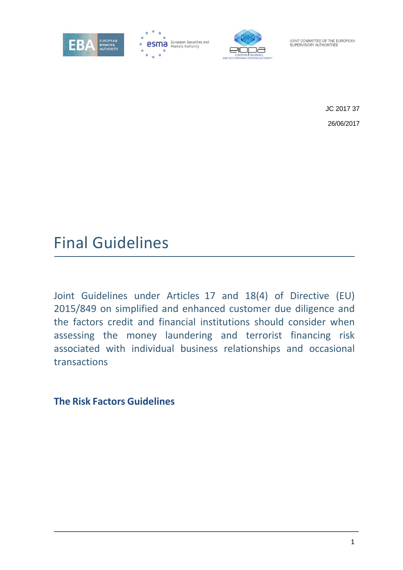

esma European Securities and



JOINT COMMITTEE OF THE EUROPEAN SUPERVISORY AUTHORITIES

> JC 2017 37 26/06/2017

# Final Guidelines

Joint Guidelines under Articles 17 and 18(4) of Directive (EU) 2015/849 on simplified and enhanced customer due diligence and the factors credit and financial institutions should consider when assessing the money laundering and terrorist financing risk associated with individual business relationships and occasional transactions

**The Risk Factors Guidelines**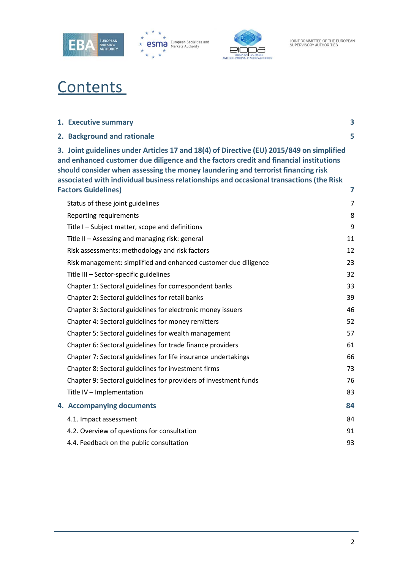





# **Contents**

| 1. Executive summary                                                                                                                                                                                                                                                                                                                                                                           | 3  |
|------------------------------------------------------------------------------------------------------------------------------------------------------------------------------------------------------------------------------------------------------------------------------------------------------------------------------------------------------------------------------------------------|----|
| 2. Background and rationale                                                                                                                                                                                                                                                                                                                                                                    | 5  |
| 3. Joint guidelines under Articles 17 and 18(4) of Directive (EU) 2015/849 on simplified<br>and enhanced customer due diligence and the factors credit and financial institutions<br>should consider when assessing the money laundering and terrorist financing risk<br>associated with individual business relationships and occasional transactions (the Risk<br><b>Factors Guidelines)</b> | 7  |
| Status of these joint guidelines                                                                                                                                                                                                                                                                                                                                                               | 7  |
| Reporting requirements                                                                                                                                                                                                                                                                                                                                                                         | 8  |
| Title I - Subject matter, scope and definitions                                                                                                                                                                                                                                                                                                                                                | 9  |
| Title II - Assessing and managing risk: general                                                                                                                                                                                                                                                                                                                                                | 11 |
| Risk assessments: methodology and risk factors                                                                                                                                                                                                                                                                                                                                                 | 12 |
| Risk management: simplified and enhanced customer due diligence                                                                                                                                                                                                                                                                                                                                | 23 |
| Title III - Sector-specific guidelines                                                                                                                                                                                                                                                                                                                                                         | 32 |
| Chapter 1: Sectoral guidelines for correspondent banks                                                                                                                                                                                                                                                                                                                                         | 33 |
| Chapter 2: Sectoral guidelines for retail banks                                                                                                                                                                                                                                                                                                                                                | 39 |
| Chapter 3: Sectoral guidelines for electronic money issuers                                                                                                                                                                                                                                                                                                                                    | 46 |
| Chapter 4: Sectoral guidelines for money remitters                                                                                                                                                                                                                                                                                                                                             | 52 |
| Chapter 5: Sectoral guidelines for wealth management                                                                                                                                                                                                                                                                                                                                           | 57 |
| Chapter 6: Sectoral guidelines for trade finance providers                                                                                                                                                                                                                                                                                                                                     | 61 |
| Chapter 7: Sectoral guidelines for life insurance undertakings                                                                                                                                                                                                                                                                                                                                 | 66 |
| Chapter 8: Sectoral guidelines for investment firms                                                                                                                                                                                                                                                                                                                                            | 73 |
| Chapter 9: Sectoral guidelines for providers of investment funds                                                                                                                                                                                                                                                                                                                               | 76 |
| Title IV - Implementation                                                                                                                                                                                                                                                                                                                                                                      | 83 |
| 4. Accompanying documents                                                                                                                                                                                                                                                                                                                                                                      | 84 |
| 4.1. Impact assessment                                                                                                                                                                                                                                                                                                                                                                         | 84 |
| 4.2. Overview of questions for consultation                                                                                                                                                                                                                                                                                                                                                    | 91 |
| 4.4. Feedback on the public consultation                                                                                                                                                                                                                                                                                                                                                       | 93 |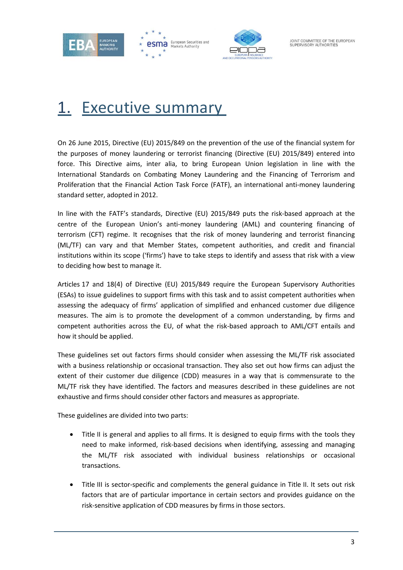<span id="page-2-0"></span>





JOINT COMMITTEE OF THE EUROPEAN SUPERVISORY AUTHORITIES

# 1. Executive summary

On 26 June 2015, Directive (EU) 2015/849 on the prevention of the use of the financial system for the purposes of money laundering or terrorist financing (Directive (EU) 2015/849) entered into force. This Directive aims, inter alia, to bring European Union legislation in line with the International Standards on Combating Money Laundering and the Financing of Terrorism and Proliferation that the Financial Action Task Force (FATF), an international anti-money laundering standard setter, adopted in 2012.

In line with the FATF's standards, Directive (EU) 2015/849 puts the risk-based approach at the centre of the European Union's anti-money laundering (AML) and countering financing of terrorism (CFT) regime. It recognises that the risk of money laundering and terrorist financing (ML/TF) can vary and that Member States, competent authorities, and credit and financial institutions within its scope ('firms') have to take steps to identify and assess that risk with a view to deciding how best to manage it.

Articles 17 and 18(4) of Directive (EU) 2015/849 require the European Supervisory Authorities (ESAs) to issue guidelines to support firms with this task and to assist competent authorities when assessing the adequacy of firms' application of simplified and enhanced customer due diligence measures. The aim is to promote the development of a common understanding, by firms and competent authorities across the EU, of what the risk-based approach to AML/CFT entails and how it should be applied.

These guidelines set out factors firms should consider when assessing the ML/TF risk associated with a business relationship or occasional transaction. They also set out how firms can adjust the extent of their customer due diligence (CDD) measures in a way that is commensurate to the ML/TF risk they have identified. The factors and measures described in these guidelines are not exhaustive and firms should consider other factors and measures as appropriate.

These guidelines are divided into two parts:

- Title II is general and applies to all firms. It is designed to equip firms with the tools they need to make informed, risk-based decisions when identifying, assessing and managing the ML/TF risk associated with individual business relationships or occasional transactions.
- Title III is sector-specific and complements the general guidance in Title II. It sets out risk factors that are of particular importance in certain sectors and provides guidance on the risk-sensitive application of CDD measures by firms in those sectors.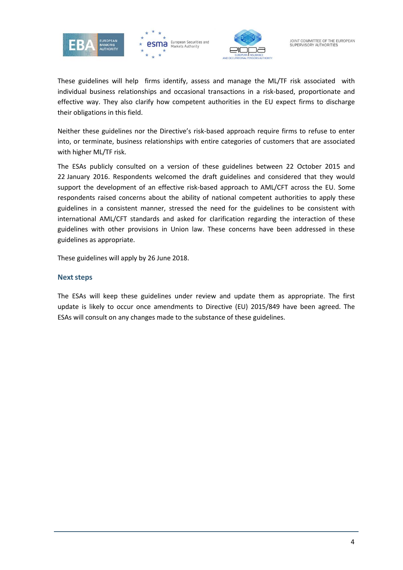





These guidelines will help firms identify, assess and manage the ML/TF risk associated with individual business relationships and occasional transactions in a risk-based, proportionate and effective way. They also clarify how competent authorities in the EU expect firms to discharge their obligations in this field.

Neither these guidelines nor the Directive's risk-based approach require firms to refuse to enter into, or terminate, business relationships with entire categories of customers that are associated with higher ML/TF risk.

The ESAs publicly consulted on a version of these guidelines between 22 October 2015 and 22 January 2016. Respondents welcomed the draft guidelines and considered that they would support the development of an effective risk-based approach to AML/CFT across the EU. Some respondents raised concerns about the ability of national competent authorities to apply these guidelines in a consistent manner, stressed the need for the guidelines to be consistent with international AML/CFT standards and asked for clarification regarding the interaction of these guidelines with other provisions in Union law. These concerns have been addressed in these guidelines as appropriate.

These guidelines will apply by 26 June 2018.

#### **Next steps**

The ESAs will keep these guidelines under review and update them as appropriate. The first update is likely to occur once amendments to Directive (EU) 2015/849 have been agreed. The ESAs will consult on any changes made to the substance of these guidelines.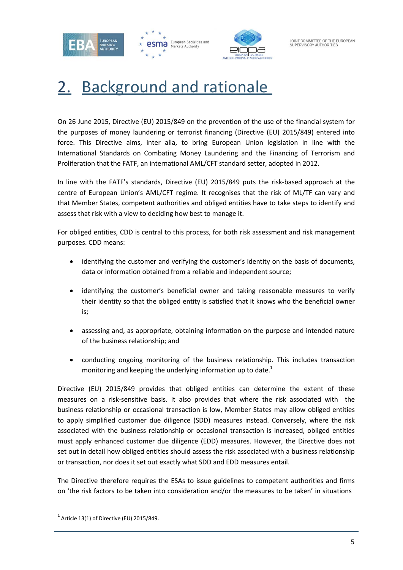





# <span id="page-4-0"></span>2. Background and rationale

On 26 June 2015, Directive (EU) 2015/849 on the prevention of the use of the financial system for the purposes of money laundering or terrorist financing (Directive (EU) 2015/849) entered into force. This Directive aims, inter alia, to bring European Union legislation in line with the International Standards on Combating Money Laundering and the Financing of Terrorism and Proliferation that the FATF, an international AML/CFT standard setter, adopted in 2012.

In line with the FATF's standards, Directive (EU) 2015/849 puts the risk-based approach at the centre of European Union's AML/CFT regime. It recognises that the risk of ML/TF can vary and that Member States, competent authorities and obliged entities have to take steps to identify and assess that risk with a view to deciding how best to manage it.

For obliged entities, CDD is central to this process, for both risk assessment and risk management purposes. CDD means:

- identifying the customer and verifying the customer's identity on the basis of documents, data or information obtained from a reliable and independent source;
- identifying the customer's beneficial owner and taking reasonable measures to verify their identity so that the obliged entity is satisfied that it knows who the beneficial owner is;
- assessing and, as appropriate, obtaining information on the purpose and intended nature of the business relationship; and
- conducting ongoing monitoring of the business relationship. This includes transaction monitoring and keeping the underlying information up to date. $1$

Directive (EU) 2015/849 provides that obliged entities can determine the extent of these measures on a risk-sensitive basis. It also provides that where the risk associated with the business relationship or occasional transaction is low, Member States may allow obliged entities to apply simplified customer due diligence (SDD) measures instead. Conversely, where the risk associated with the business relationship or occasional transaction is increased, obliged entities must apply enhanced customer due diligence (EDD) measures. However, the Directive does not set out in detail how obliged entities should assess the risk associated with a business relationship or transaction, nor does it set out exactly what SDD and EDD measures entail.

The Directive therefore requires the ESAs to issue guidelines to competent authorities and firms on 'the risk factors to be taken into consideration and/or the measures to be taken' in situations

 $1$  Article 13(1) of Directive (EU) 2015/849.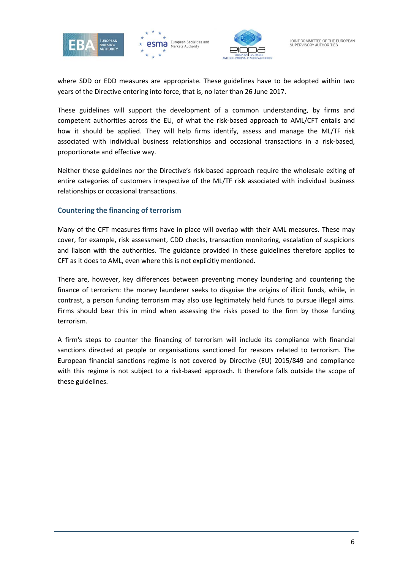





where SDD or EDD measures are appropriate. These guidelines have to be adopted within two years of the Directive entering into force, that is, no later than 26 June 2017.

These guidelines will support the development of a common understanding, by firms and competent authorities across the EU, of what the risk-based approach to AML/CFT entails and how it should be applied. They will help firms identify, assess and manage the ML/TF risk associated with individual business relationships and occasional transactions in a risk-based, proportionate and effective way.

Neither these guidelines nor the Directive's risk-based approach require the wholesale exiting of entire categories of customers irrespective of the ML/TF risk associated with individual business relationships or occasional transactions.

### **Countering the financing of terrorism**

Many of the CFT measures firms have in place will overlap with their AML measures. These may cover, for example, risk assessment, CDD checks, transaction monitoring, escalation of suspicions and liaison with the authorities. The guidance provided in these guidelines therefore applies to CFT as it does to AML, even where this is not explicitly mentioned.

There are, however, key differences between preventing money laundering and countering the finance of terrorism: the money launderer seeks to disguise the origins of illicit funds, while, in contrast, a person funding terrorism may also use legitimately held funds to pursue illegal aims. Firms should bear this in mind when assessing the risks posed to the firm by those funding terrorism.

A firm's steps to counter the financing of terrorism will include its compliance with financial sanctions directed at people or organisations sanctioned for reasons related to terrorism. The European financial sanctions regime is not covered by Directive (EU) 2015/849 and compliance with this regime is not subject to a risk-based approach. It therefore falls outside the scope of these guidelines.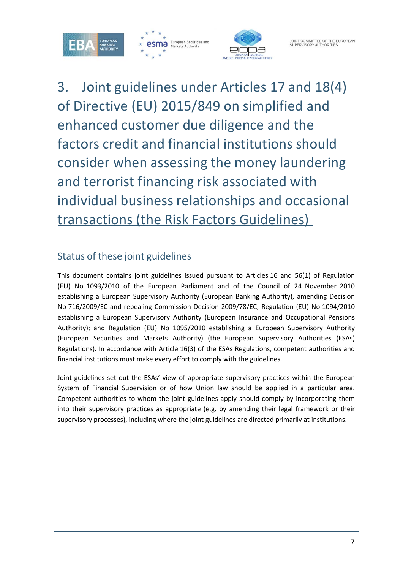



3. Joint guidelines under Articles 17 and 18(4) of Directive (EU) 2015/849 on simplified and enhanced customer due diligence and the factors credit and financial institutions should consider when assessing the money laundering and terrorist financing risk associated with individual business relationships and occasional transactions (the Risk Factors Guidelines)

# <span id="page-6-0"></span>Status of these joint guidelines

This document contains joint guidelines issued pursuant to Articles 16 and 56(1) of Regulation (EU) No 1093/2010 of the European Parliament and of the Council of 24 November 2010 establishing a European Supervisory Authority (European Banking Authority), amending Decision No 716/2009/EC and repealing Commission Decision 2009/78/EC; Regulation (EU) No 1094/2010 establishing a European Supervisory Authority (European Insurance and Occupational Pensions Authority); and Regulation (EU) No 1095/2010 establishing a European Supervisory Authority (European Securities and Markets Authority) (the European Supervisory Authorities (ESAs) Regulations). In accordance with Article 16(3) of the ESAs Regulations, competent authorities and financial institutions must make every effort to comply with the guidelines.

Joint guidelines set out the ESAs' view of appropriate supervisory practices within the European System of Financial Supervision or of how Union law should be applied in a particular area. Competent authorities to whom the joint guidelines apply should comply by incorporating them into their supervisory practices as appropriate (e.g. by amending their legal framework or their supervisory processes), including where the joint guidelines are directed primarily at institutions.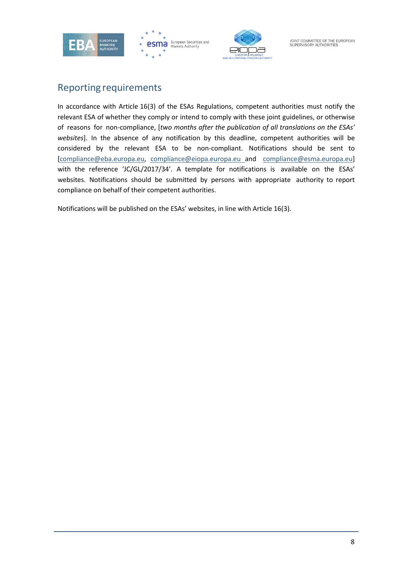





# <span id="page-7-0"></span>Reporting requirements

In accordance with Article 16(3) of the ESAs Regulations, competent authorities must notify the relevant ESA of whether they comply or intend to comply with these joint guidelines, or otherwise of reasons for non-compliance, [*two months after the publication of all translations on the ESAs' websites*]. In the absence of any notification by this deadline, competent authorities will be considered by the relevant ESA to be non-compliant. Notifications should be sent to [\[compliance@eba.europa.eu,](mailto:compliance@eba.europa.eu) [compliance@eiopa.europa.eu](mailto:compliance@eba.europa.eu) and [compliance@esma.europa.eu\]](mailto:compliance@esma.europa.eu) with the reference 'JC/GL/2017/34'. A template for notifications is available on the ESAs' websites. Notifications should be submitted by persons with appropriate authority to report compliance on behalf of their competent authorities.

Notifications will be published on the ESAs' websites, in line with Article 16(3).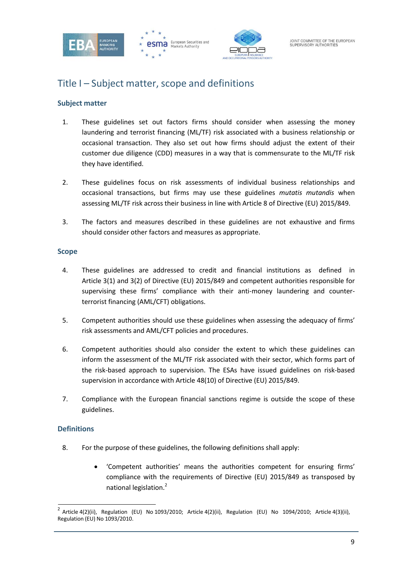





# <span id="page-8-0"></span>Title I – Subject matter, scope and definitions

## **Subject matter**

- 1. These guidelines set out factors firms should consider when assessing the money laundering and terrorist financing (ML/TF) risk associated with a business relationship or occasional transaction. They also set out how firms should adjust the extent of their customer due diligence (CDD) measures in a way that is commensurate to the ML/TF risk they have identified.
- 2. These guidelines focus on risk assessments of individual business relationships and occasional transactions, but firms may use these guidelines *mutatis mutandis* when assessing ML/TF risk across their business in line with Article 8 of Directive (EU) 2015/849.
- 3. The factors and measures described in these guidelines are not exhaustive and firms should consider other factors and measures as appropriate.

#### **Scope**

- 4. These guidelines are addressed to credit and financial institutions as defined in Article 3(1) and 3(2) of Directive (EU) 2015/849 and competent authorities responsible for supervising these firms' compliance with their anti-money laundering and counterterrorist financing (AML/CFT) obligations.
- 5. Competent authorities should use these guidelines when assessing the adequacy of firms' risk assessments and AML/CFT policies and procedures.
- 6. Competent authorities should also consider the extent to which these guidelines can inform the assessment of the ML/TF risk associated with their sector, which forms part of the risk-based approach to supervision. The ESAs have issued guidelines on risk-based supervision in accordance with Article 48(10) of Directive (EU) 2015/849.
- 7. Compliance with the European financial sanctions regime is outside the scope of these guidelines.

#### **Definitions**

- 8. For the purpose of these guidelines, the following definitions shall apply:
	- 'Competent authorities' means the authorities competent for ensuring firms' compliance with the requirements of Directive (EU) 2015/849 as transposed by national legislation.<sup>2</sup>

<sup>&</sup>lt;sup>2</sup> Article 4(2)(ii), Regulation (EU) No 1093/2010; Article 4(2)(ii), Regulation (EU) No 1094/2010; Article 4(3)(ii), Regulation (EU) No 1093/2010.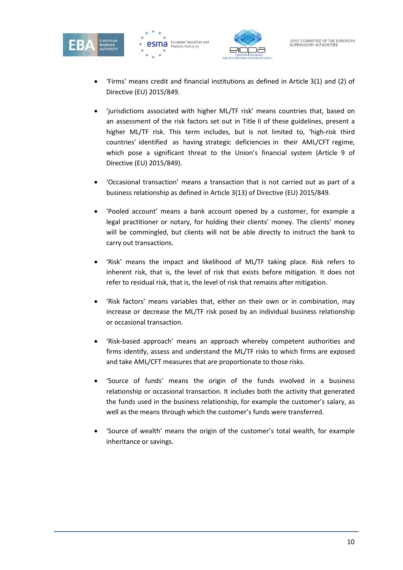





- 'Firms' means credit and financial institutions as defined in Article 3(1) and (2) of Directive (EU) 2015/849.
- 'jurisdictions associated with higher ML/TF risk' means countries that, based on an assessment of the risk factors set out in Title II of these guidelines, present a higher ML/TF risk. This term includes, but is not limited to, 'high-risk third countries' identified as having strategic deficiencies in their AML/CFT regime, which pose a significant threat to the Union's financial system (Article 9 of Directive (EU) 2015/849).
- 'Occasional transaction' means a transaction that is not carried out as part of a business relationship as defined in Article 3(13) of Directive (EU) 2015/849.
- 'Pooled account' means a bank account opened by a customer, for example a legal practitioner or notary, for holding their clients' money. The clients' money will be commingled, but clients will not be able directly to instruct the bank to carry out transactions.
- 'Risk' means the impact and likelihood of ML/TF taking place. Risk refers to inherent risk, that is, the level of risk that exists before mitigation. It does not refer to residual risk, that is, the level of risk that remains after mitigation.
- 'Risk factors' means variables that, either on their own or in combination, may increase or decrease the ML/TF risk posed by an individual business relationship or occasional transaction.
- 'Risk-based approach' means an approach whereby competent authorities and firms identify, assess and understand the ML/TF risks to which firms are exposed and take AML/CFT measures that are proportionate to those risks.
- 'Source of funds' means the origin of the funds involved in a business relationship or occasional transaction. It includes both the activity that generated the funds used in the business relationship, for example the customer's salary, as well as the means through which the customer's funds were transferred.
- 'Source of wealth' means the origin of the customer's total wealth, for example inheritance or savings.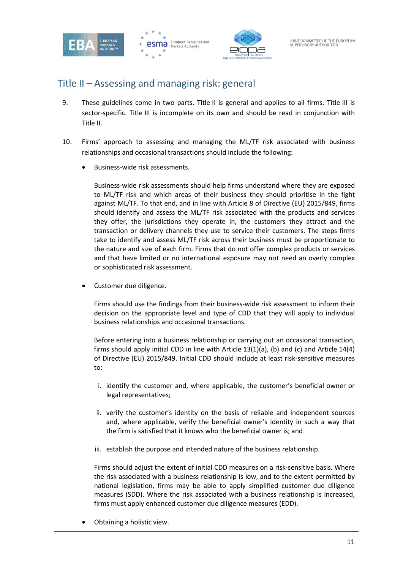



# <span id="page-10-0"></span>Title II – Assessing and managing risk: general

- 9. These guidelines come in two parts. Title II is general and applies to all firms. Title III is sector-specific. Title III is incomplete on its own and should be read in conjunction with Title II.
- 10. Firms' approach to assessing and managing the ML/TF risk associated with business relationships and occasional transactions should include the following:
	- Business-wide risk assessments.

Business-wide risk assessments should help firms understand where they are exposed to ML/TF risk and which areas of their business they should prioritise in the fight against ML/TF. To that end, and in line with Article 8 of Directive (EU) 2015/849, firms should identify and assess the ML/TF risk associated with the products and services they offer, the jurisdictions they operate in, the customers they attract and the transaction or delivery channels they use to service their customers. The steps firms take to identify and assess ML/TF risk across their business must be proportionate to the nature and size of each firm. Firms that do not offer complex products or services and that have limited or no international exposure may not need an overly complex or sophisticated risk assessment.

Customer due diligence.

Firms should use the findings from their business-wide risk assessment to inform their decision on the appropriate level and type of CDD that they will apply to individual business relationships and occasional transactions.

Before entering into a business relationship or carrying out an occasional transaction, firms should apply initial CDD in line with Article 13(1)(a), (b) and (c) and Article 14(4) of Directive (EU) 2015/849. Initial CDD should include at least risk-sensitive measures to:

- i. identify the customer and, where applicable, the customer's beneficial owner or legal representatives;
- ii. verify the customer's identity on the basis of reliable and independent sources and, where applicable, verify the beneficial owner's identity in such a way that the firm is satisfied that it knows who the beneficial owner is; and
- iii. establish the purpose and intended nature of the business relationship.

Firms should adjust the extent of initial CDD measures on a risk-sensitive basis. Where the risk associated with a business relationship is low, and to the extent permitted by national legislation, firms may be able to apply simplified customer due diligence measures (SDD). Where the risk associated with a business relationship is increased, firms must apply enhanced customer due diligence measures (EDD).

• Obtaining a holistic view.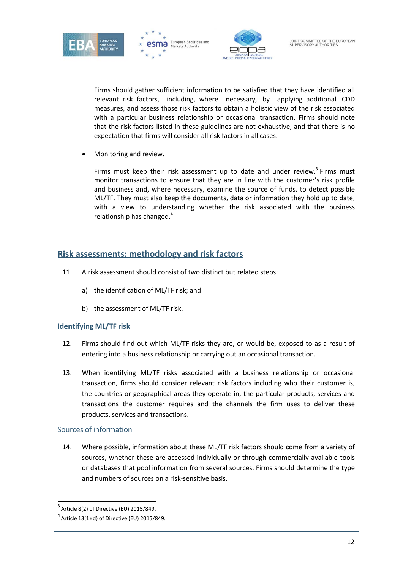





Firms should gather sufficient information to be satisfied that they have identified all relevant risk factors, including, where necessary, by applying additional CDD measures, and assess those risk factors to obtain a holistic view of the risk associated with a particular business relationship or occasional transaction. Firms should note that the risk factors listed in these guidelines are not exhaustive, and that there is no expectation that firms will consider all risk factors in all cases.

• Monitoring and review.

Firms must keep their risk assessment up to date and under review.<sup>3</sup> Firms must monitor transactions to ensure that they are in line with the customer's risk profile and business and, where necessary, examine the source of funds, to detect possible ML/TF. They must also keep the documents, data or information they hold up to date, with a view to understanding whether the risk associated with the business relationship has changed.<sup>4</sup>

## <span id="page-11-0"></span>**Risk assessments: methodology and risk factors**

- 11. A risk assessment should consist of two distinct but related steps:
	- a) the identification of ML/TF risk; and
	- b) the assessment of ML/TF risk.

## **Identifying ML/TF risk**

- 12. Firms should find out which ML/TF risks they are, or would be, exposed to as a result of entering into a business relationship or carrying out an occasional transaction.
- 13. When identifying ML/TF risks associated with a business relationship or occasional transaction, firms should consider relevant risk factors including who their customer is, the countries or geographical areas they operate in, the particular products, services and transactions the customer requires and the channels the firm uses to deliver these products, services and transactions.

#### Sources of information

14. Where possible, information about these ML/TF risk factors should come from a variety of sources, whether these are accessed individually or through commercially available tools or databases that pool information from several sources. Firms should determine the type and numbers of sources on a risk-sensitive basis.

 $3$  Article 8(2) of Directive (EU) 2015/849.

 $4$  Article 13(1)(d) of Directive (EU) 2015/849.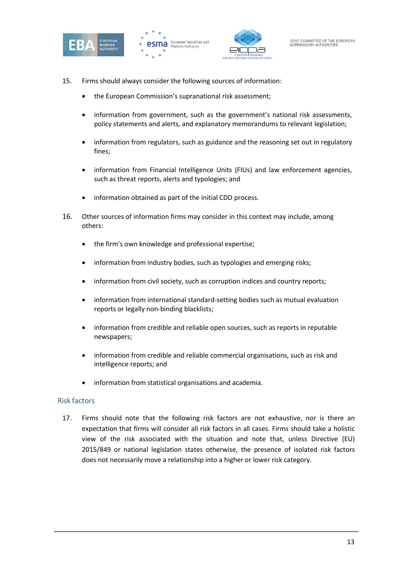





- 15. Firms should always consider the following sources of information:
	- the European Commission's supranational risk assessment;
	- information from government, such as the government's national risk assessments, policy statements and alerts, and explanatory memorandums to relevant legislation;
	- information from regulators, such as guidance and the reasoning set out in regulatory fines;
	- information from Financial Intelligence Units (FIUs) and law enforcement agencies, such as threat reports, alerts and typologies; and
	- information obtained as part of the initial CDD process.
- 16. Other sources of information firms may consider in this context may include, among others:
	- the firm's own knowledge and professional expertise;
	- information from industry bodies, such as typologies and emerging risks;
	- information from civil society, such as corruption indices and country reports;
	- information from international standard-setting bodies such as mutual evaluation reports or legally non-binding blacklists;
	- information from credible and reliable open sources, such as reports in reputable newspapers;
	- information from credible and reliable commercial organisations, such as risk and intelligence reports; and
	- information from statistical organisations and academia.

#### Risk factors

17. Firms should note that the following risk factors are not exhaustive, nor is there an expectation that firms will consider all risk factors in all cases. Firms should take a holistic view of the risk associated with the situation and note that, unless Directive (EU) 2015/849 or national legislation states otherwise, the presence of isolated risk factors does not necessarily move a relationship into a higher or lower risk category.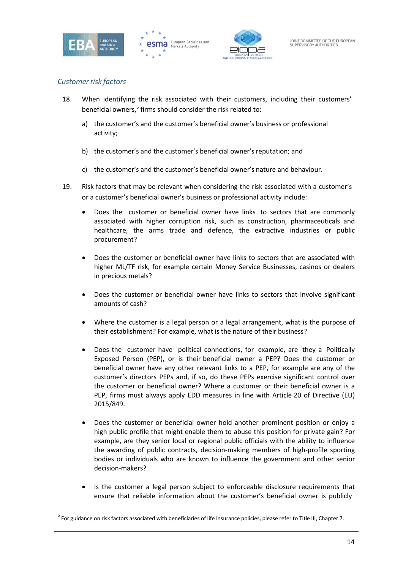





### *Customer risk factors*

- 18. When identifying the risk associated with their customers, including their customers' beneficial owners, $5$  firms should consider the risk related to:
	- a) the customer's and the customer's beneficial owner's business or professional activity;
	- b) the customer's and the customer's beneficial owner's reputation; and
	- c) the customer's and the customer's beneficial owner's nature and behaviour.
- 19. Risk factors that may be relevant when considering the risk associated with a customer's or a customer's beneficial owner's business or professional activity include:
	- Does the customer or beneficial owner have links to sectors that are commonly associated with higher corruption risk, such as construction, pharmaceuticals and healthcare, the arms trade and defence, the extractive industries or public procurement?
	- Does the customer or beneficial owner have links to sectors that are associated with higher ML/TF risk, for example certain Money Service Businesses, casinos or dealers in precious metals?
	- Does the customer or beneficial owner have links to sectors that involve significant amounts of cash?
	- Where the customer is a legal person or a legal arrangement, what is the purpose of their establishment? For example, what is the nature of their business?
	- Does the customer have political connections, for example, are they a Politically Exposed Person (PEP), or is their beneficial owner a PEP? Does the customer or beneficial owner have any other relevant links to a PEP, for example are any of the customer's directors PEPs and, if so, do these PEPs exercise significant control over the customer or beneficial owner? Where a customer or their beneficial owner is a PEP, firms must always apply EDD measures in line with Article 20 of Directive (EU) 2015/849.
	- Does the customer or beneficial owner hold another prominent position or enjoy a high public profile that might enable them to abuse this position for private gain? For example, are they senior local or regional public officials with the ability to influence the awarding of public contracts, decision-making members of high-profile sporting bodies or individuals who are known to influence the government and other senior decision-makers?
	- Is the customer a legal person subject to enforceable disclosure requirements that ensure that reliable information about the customer's beneficial owner is publicly

<sup>&</sup>lt;sup>5</sup> For guidance on risk factors associated with beneficiaries of life insurance policies, please refer to Title III, Chapter 7.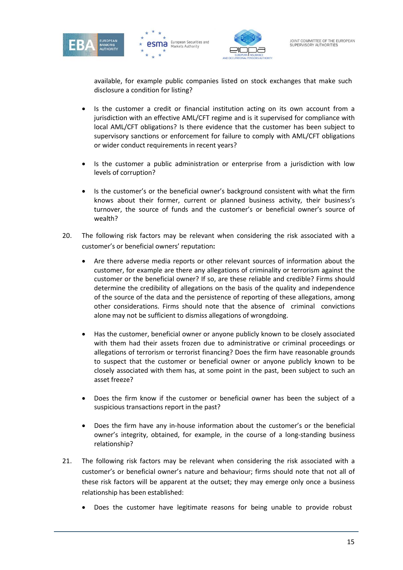





available, for example public companies listed on stock exchanges that make such disclosure a condition for listing?

- Is the customer a credit or financial institution acting on its own account from a jurisdiction with an effective AML/CFT regime and is it supervised for compliance with local AML/CFT obligations? Is there evidence that the customer has been subject to supervisory sanctions or enforcement for failure to comply with AML/CFT obligations or wider conduct requirements in recent years?
- Is the customer a public administration or enterprise from a jurisdiction with low levels of corruption?
- Is the customer's or the beneficial owner's background consistent with what the firm knows about their former, current or planned business activity, their business's turnover, the source of funds and the customer's or beneficial owner's source of wealth?
- 20. The following risk factors may be relevant when considering the risk associated with a customer's or beneficial owners' reputation**:**
	- Are there adverse media reports or other relevant sources of information about the customer, for example are there any allegations of criminality or terrorism against the customer or the beneficial owner? If so, are these reliable and credible? Firms should determine the credibility of allegations on the basis of the quality and independence of the source of the data and the persistence of reporting of these allegations, among other considerations. Firms should note that the absence of criminal convictions alone may not be sufficient to dismiss allegations of wrongdoing.
	- Has the customer, beneficial owner or anyone publicly known to be closely associated with them had their assets frozen due to administrative or criminal proceedings or allegations of terrorism or terrorist financing? Does the firm have reasonable grounds to suspect that the customer or beneficial owner or anyone publicly known to be closely associated with them has, at some point in the past, been subject to such an asset freeze?
	- Does the firm know if the customer or beneficial owner has been the subject of a suspicious transactions report in the past?
	- Does the firm have any in-house information about the customer's or the beneficial owner's integrity, obtained, for example, in the course of a long-standing business relationship?
- 21. The following risk factors may be relevant when considering the risk associated with a customer's or beneficial owner's nature and behaviour; firms should note that not all of these risk factors will be apparent at the outset; they may emerge only once a business relationship has been established:
	- Does the customer have legitimate reasons for being unable to provide robust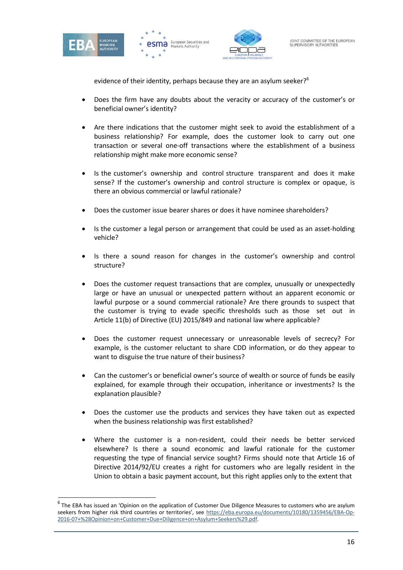





evidence of their identity, perhaps because they are an asylum seeker?<sup>6</sup>

- Does the firm have any doubts about the veracity or accuracy of the customer's or beneficial owner's identity?
- Are there indications that the customer might seek to avoid the establishment of a business relationship? For example, does the customer look to carry out one transaction or several one-off transactions where the establishment of a business relationship might make more economic sense?
- Is the customer's ownership and control structure transparent and does it make sense? If the customer's ownership and control structure is complex or opaque, is there an obvious commercial or lawful rationale?
- Does the customer issue bearer shares or does it have nominee shareholders?
- Is the customer a legal person or arrangement that could be used as an asset-holding vehicle?
- Is there a sound reason for changes in the customer's ownership and control structure?
- Does the customer request transactions that are complex, unusually or unexpectedly large or have an unusual or unexpected pattern without an apparent economic or lawful purpose or a sound commercial rationale? Are there grounds to suspect that the customer is trying to evade specific thresholds such as those set out in Article 11(b) of Directive (EU) 2015/849 and national law where applicable?
- Does the customer request unnecessary or unreasonable levels of secrecy? For example, is the customer reluctant to share CDD information, or do they appear to want to disguise the true nature of their business?
- Can the customer's or beneficial owner's source of wealth or source of funds be easily explained, for example through their occupation, inheritance or investments? Is the explanation plausible?
- Does the customer use the products and services they have taken out as expected when the business relationship was first established?
- Where the customer is a non-resident, could their needs be better serviced elsewhere? Is there a sound economic and lawful rationale for the customer requesting the type of financial service sought? Firms should note that Article 16 of Directive 2014/92/EU creates a right for customers who are legally resident in the Union to obtain a basic payment account, but this right applies only to the extent that

 $^6$  The EBA has issued an 'Opinion on the application of Customer Due Diligence Measures to customers who are asylum seekers from higher risk third countries or territories', see https://eba.europa.eu/documents/10180/1359456/EBA-Op-2016-07+%28Opinion+on+Customer+Due+Diligence+on+Asylum+Seekers%29.pdf.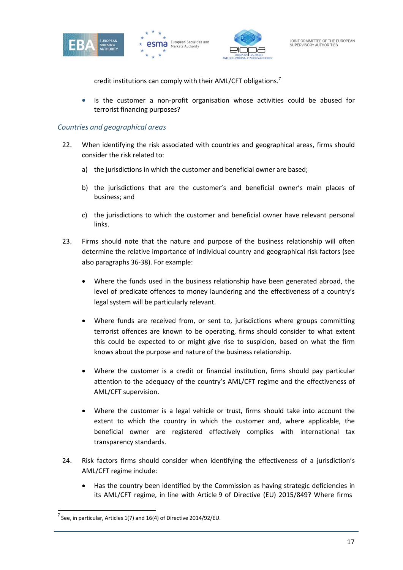





credit institutions can comply with their AML/CFT obligations.<sup>7</sup>

• Is the customer a non-profit organisation whose activities could be abused for terrorist financing purposes?

#### *Countries and geographical areas*

- 22. When identifying the risk associated with countries and geographical areas, firms should consider the risk related to:
	- a) the jurisdictions in which the customer and beneficial owner are based;
	- b) the jurisdictions that are the customer's and beneficial owner's main places of business; and
	- c) the jurisdictions to which the customer and beneficial owner have relevant personal links.
- 23. Firms should note that the nature and purpose of the business relationship will often determine the relative importance of individual country and geographical risk factors (see also paragraphs 36-38). For example:
	- Where the funds used in the business relationship have been generated abroad, the level of predicate offences to money laundering and the effectiveness of a country's legal system will be particularly relevant.
	- Where funds are received from, or sent to, jurisdictions where groups committing terrorist offences are known to be operating, firms should consider to what extent this could be expected to or might give rise to suspicion, based on what the firm knows about the purpose and nature of the business relationship.
	- Where the customer is a credit or financial institution, firms should pay particular attention to the adequacy of the country's AML/CFT regime and the effectiveness of AML/CFT supervision.
	- Where the customer is a legal vehicle or trust, firms should take into account the extent to which the country in which the customer and, where applicable, the beneficial owner are registered effectively complies with international tax transparency standards.
- 24. Risk factors firms should consider when identifying the effectiveness of a jurisdiction's AML/CFT regime include:
	- Has the country been identified by the Commission as having strategic deficiencies in its AML/CFT regime, in line with Article 9 of Directive (EU) 2015/849? Where firms

 $<sup>7</sup>$  See, in particular, Articles 1(7) and 16(4) of Directive 2014/92/EU.</sup>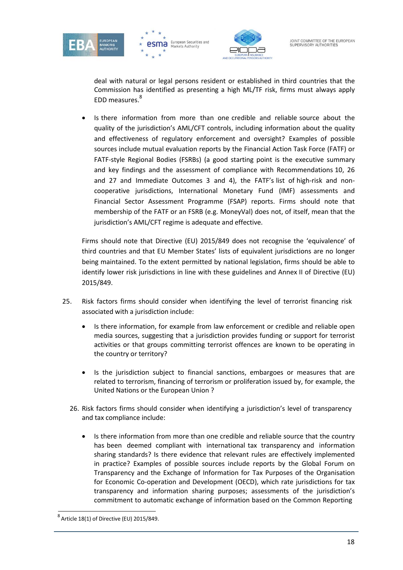





deal with natural or legal persons resident or established in third countries that the Commission has identified as presenting a high ML/TF risk, firms must always apply EDD measures.<sup>8</sup>

• Is there information from more than one credible and reliable source about the quality of the jurisdiction's AML/CFT controls, including information about the quality and effectiveness of regulatory enforcement and oversight? Examples of possible sources include mutual evaluation reports by the Financial Action Task Force (FATF) or FATF-style Regional Bodies (FSRBs) (a good starting point is the executive summary and key findings and the assessment of compliance with Recommendations 10, 26 and 27 and Immediate Outcomes 3 and 4), the FATF's list of high-risk and noncooperative jurisdictions, International Monetary Fund (IMF) assessments and Financial Sector Assessment Programme (FSAP) reports. Firms should note that membership of the FATF or an FSRB (e.g. MoneyVal) does not, of itself, mean that the jurisdiction's AML/CFT regime is adequate and effective.

Firms should note that Directive (EU) 2015/849 does not recognise the 'equivalence' of third countries and that EU Member States' lists of equivalent jurisdictions are no longer being maintained. To the extent permitted by national legislation, firms should be able to identify lower risk jurisdictions in line with these guidelines and Annex II of Directive (EU) 2015/849.

- 25. Risk factors firms should consider when identifying the level of terrorist financing risk associated with a jurisdiction include:
	- Is there information, for example from law enforcement or credible and reliable open media sources, suggesting that a jurisdiction provides funding or support for terrorist activities or that groups committing terrorist offences are known to be operating in the country or territory?
	- Is the jurisdiction subject to financial sanctions, embargoes or measures that are related to terrorism, financing of terrorism or proliferation issued by, for example, the United Nations or the European Union ?
	- 26. Risk factors firms should consider when identifying a jurisdiction's level of transparency and tax compliance include:
		- Is there information from more than one credible and reliable source that the country has been deemed compliant with international tax transparency and information sharing standards? Is there evidence that relevant rules are effectively implemented in practice? Examples of possible sources include reports by the Global Forum on Transparency and the Exchange of Information for Tax Purposes of the Organisation for Economic Co-operation and Development (OECD), which rate jurisdictions for tax transparency and information sharing purposes; assessments of the jurisdiction's commitment to automatic exchange of information based on the Common Reporting

 $^8$  Article 18(1) of Directive (EU) 2015/849.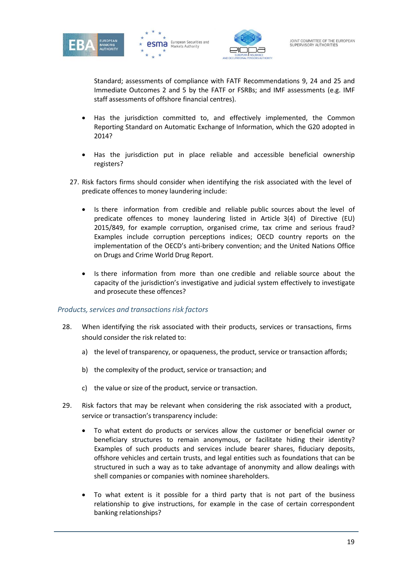





Standard; assessments of compliance with FATF Recommendations 9, 24 and 25 and Immediate Outcomes 2 and 5 by the FATF or FSRBs; and IMF assessments (e.g. IMF staff assessments of offshore financial centres).

- Has the jurisdiction committed to, and effectively implemented, the Common Reporting Standard on Automatic Exchange of Information, which the G20 adopted in 2014?
- Has the jurisdiction put in place reliable and accessible beneficial ownership registers?
- 27. Risk factors firms should consider when identifying the risk associated with the level of predicate offences to money laundering include:
	- Is there information from credible and reliable public sources about the level of predicate offences to money laundering listed in Article 3(4) of Directive (EU) 2015/849, for example corruption, organised crime, tax crime and serious fraud? Examples include corruption perceptions indices; OECD country reports on the implementation of the OECD's anti-bribery convention; and the United Nations Office on Drugs and Crime World Drug Report.
	- Is there information from more than one credible and reliable source about the capacity of the jurisdiction's investigative and judicial system effectively to investigate and prosecute these offences?

#### *Products, services and transactions risk factors*

- 28. When identifying the risk associated with their products, services or transactions, firms should consider the risk related to:
	- a) the level of transparency, or opaqueness, the product, service or transaction affords;
	- b) the complexity of the product, service or transaction; and
	- c) the value or size of the product, service or transaction.
- 29. Risk factors that may be relevant when considering the risk associated with a product, service or transaction's transparency include:
	- To what extent do products or services allow the customer or beneficial owner or beneficiary structures to remain anonymous, or facilitate hiding their identity? Examples of such products and services include bearer shares, fiduciary deposits, offshore vehicles and certain trusts, and legal entities such as foundations that can be structured in such a way as to take advantage of anonymity and allow dealings with shell companies or companies with nominee shareholders.
	- To what extent is it possible for a third party that is not part of the business relationship to give instructions, for example in the case of certain correspondent banking relationships?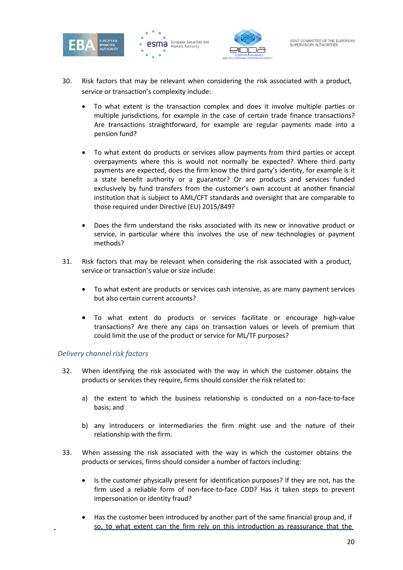





- 30. Risk factors that may be relevant when considering the risk associated with a product, service or transaction's complexity include:
	- To what extent is the transaction complex and does it involve multiple parties or multiple jurisdictions, for example in the case of certain trade finance transactions? Are transactions straightforward, for example are regular payments made into a pension fund?
	- To what extent do products or services allow payments from third parties or accept overpayments where this is would not normally be expected? Where third party payments are expected, does the firm know the third party's identity, for example is it a state benefit authority or a guarantor? Or are products and services funded exclusively by fund transfers from the customer's own account at another financial institution that is subject to AML/CFT standards and oversight that are comparable to those required under Directive (EU) 2015/849?
	- Does the firm understand the risks associated with its new or innovative product or service, in particular where this involves the use of new technologies or payment methods?
- 31. Risk factors that may be relevant when considering the risk associated with a product, service or transaction's value or size include:
	- To what extent are products or services cash intensive, as are many payment services but also certain current accounts?
	- To what extent do products or services facilitate or encourage high-value transactions? Are there any caps on transaction values or levels of premium that could limit the use of the product or service for ML/TF purposes?

#### *Delivery channel risk factors*

- 32. When identifying the risk associated with the way in which the customer obtains the products or services they require, firms should consider the risk related to:
	- a) the extent to which the business relationship is conducted on a non-face-to-face basis; and
	- b) any introducers or intermediaries the firm might use and the nature of their relationship with the firm.
- 33. When assessing the risk associated with the way in which the customer obtains the products or services, firms should consider a number of factors including:
	- Is the customer physically present for identification purposes? If they are not, has the firm used a reliable form of non-face-to-face CDD? Has it taken steps to prevent impersonation or identity fraud?
	- Has the customer been introduced by another part of the same financial group and, if so, to what extent can the firm rely on this introduction as reassurance that the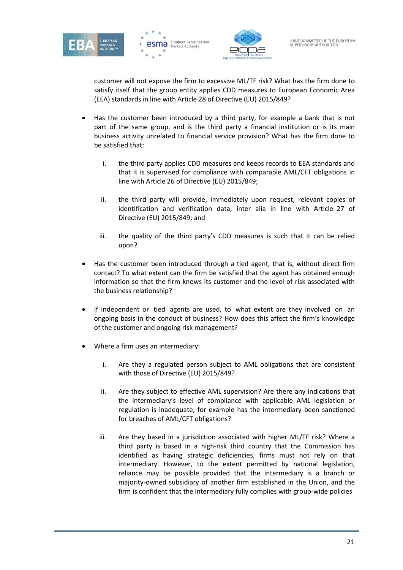





customer will not expose the firm to excessive ML/TF risk? What has the firm done to satisfy itself that the group entity applies CDD measures to European Economic Area (EEA) standards in line with Article 28 of Directive (EU) 2015/849?

- Has the customer been introduced by a third party, for example a bank that is not part of the same group, and is the third party a financial institution or is its main business activity unrelated to financial service provision? What has the firm done to be satisfied that:
	- i. the third party applies CDD measures and keeps records to EEA standards and that it is supervised for compliance with comparable AML/CFT obligations in line with Article 26 of Directive (EU) 2015/849;
	- ii. the third party will provide, immediately upon request, relevant copies of identification and verification data, inter alia in line with Article 27 of Directive (EU) 2015/849; and
	- iii. the quality of the third party's CDD measures is such that it can be relied upon?
- Has the customer been introduced through a tied agent, that is, without direct firm contact? To what extent can the firm be satisfied that the agent has obtained enough information so that the firm knows its customer and the level of risk associated with the business relationship?
- If independent or tied agents are used, to what extent are they involved on an ongoing basis in the conduct of business? How does this affect the firm's knowledge of the customer and ongoing risk management?
- Where a firm uses an intermediary:
	- i. Are they a regulated person subject to AML obligations that are consistent with those of Directive (EU) 2015/849?
	- ii. Are they subject to effective AML supervision? Are there any indications that the intermediary's level of compliance with applicable AML legislation or regulation is inadequate, for example has the intermediary been sanctioned for breaches of AML/CFT obligations?
	- iii. Are they based in a jurisdiction associated with higher ML/TF risk? Where a third party is based in a high-risk third country that the Commission has identified as having strategic deficiencies, firms must not rely on that intermediary. However, to the extent permitted by national legislation, reliance may be possible provided that the intermediary is a branch or majority-owned subsidiary of another firm established in the Union, and the firm is confident that the intermediary fully complies with group-wide policies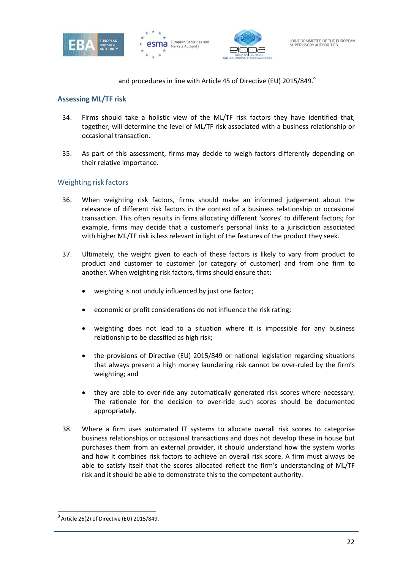





and procedures in line with Article 45 of Directive (EU) 2015/849.<sup>9</sup>

#### **Assessing ML/TF risk**

- 34. Firms should take a holistic view of the ML/TF risk factors they have identified that, together, will determine the level of ML/TF risk associated with a business relationship or occasional transaction.
- 35. As part of this assessment, firms may decide to weigh factors differently depending on their relative importance.

#### Weighting risk factors

- 36. When weighting risk factors, firms should make an informed judgement about the relevance of different risk factors in the context of a business relationship or occasional transaction. This often results in firms allocating different 'scores' to different factors; for example, firms may decide that a customer's personal links to a jurisdiction associated with higher ML/TF risk is less relevant in light of the features of the product they seek.
- 37. Ultimately, the weight given to each of these factors is likely to vary from product to product and customer to customer (or category of customer) and from one firm to another. When weighting risk factors, firms should ensure that:
	- weighting is not unduly influenced by just one factor;
	- economic or profit considerations do not influence the risk rating;
	- weighting does not lead to a situation where it is impossible for any business relationship to be classified as high risk;
	- the provisions of Directive (EU) 2015/849 or national legislation regarding situations that always present a high money laundering risk cannot be over-ruled by the firm's weighting; and
	- they are able to over-ride any automatically generated risk scores where necessary. The rationale for the decision to over-ride such scores should be documented appropriately.
- 38. Where a firm uses automated IT systems to allocate overall risk scores to categorise business relationships or occasional transactions and does not develop these in house but purchases them from an external provider, it should understand how the system works and how it combines risk factors to achieve an overall risk score. A firm must always be able to satisfy itself that the scores allocated reflect the firm's understanding of ML/TF risk and it should be able to demonstrate this to the competent authority.

 $^{9}$  Article 26(2) of Directive (EU) 2015/849.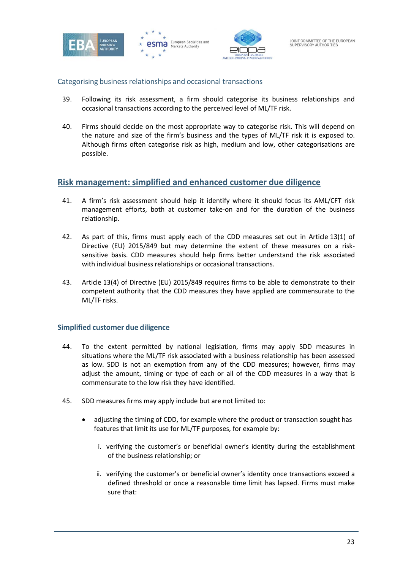





#### Categorising business relationships and occasional transactions

- 39. Following its risk assessment, a firm should categorise its business relationships and occasional transactions according to the perceived level of ML/TF risk.
- 40. Firms should decide on the most appropriate way to categorise risk. This will depend on the nature and size of the firm's business and the types of ML/TF risk it is exposed to. Although firms often categorise risk as high, medium and low, other categorisations are possible.

### <span id="page-22-0"></span>**Risk management: simplified and enhanced customer due diligence**

- 41. A firm's risk assessment should help it identify where it should focus its AML/CFT risk management efforts, both at customer take-on and for the duration of the business relationship.
- 42. As part of this, firms must apply each of the CDD measures set out in Article 13(1) of Directive (EU) 2015/849 but may determine the extent of these measures on a risksensitive basis. CDD measures should help firms better understand the risk associated with individual business relationships or occasional transactions.
- 43. Article 13(4) of Directive (EU) 2015/849 requires firms to be able to demonstrate to their competent authority that the CDD measures they have applied are commensurate to the ML/TF risks.

#### **Simplified customer due diligence**

- 44. To the extent permitted by national legislation, firms may apply SDD measures in situations where the ML/TF risk associated with a business relationship has been assessed as low. SDD is not an exemption from any of the CDD measures; however, firms may adjust the amount, timing or type of each or all of the CDD measures in a way that is commensurate to the low risk they have identified.
- 45. SDD measures firms may apply include but are not limited to:
	- adjusting the timing of CDD, for example where the product or transaction sought has features that limit its use for ML/TF purposes, for example by:
		- i. verifying the customer's or beneficial owner's identity during the establishment of the business relationship; or
		- ii. verifying the customer's or beneficial owner's identity once transactions exceed a defined threshold or once a reasonable time limit has lapsed. Firms must make sure that: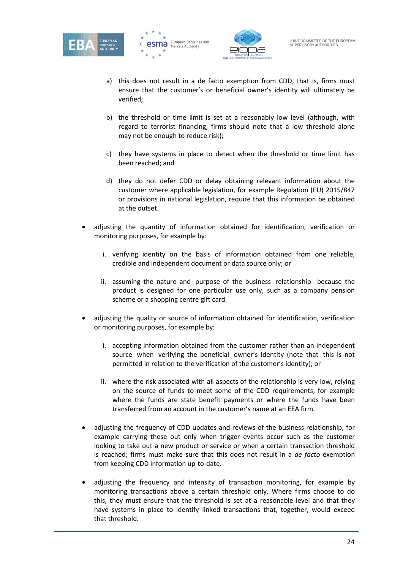





- a) this does not result in a de facto exemption from CDD, that is, firms must ensure that the customer's or beneficial owner's identity will ultimately be verified;
- b) the threshold or time limit is set at a reasonably low level (although, with regard to terrorist financing, firms should note that a low threshold alone may not be enough to reduce risk);
- c) they have systems in place to detect when the threshold or time limit has been reached; and
- d) they do not defer CDD or delay obtaining relevant information about the customer where applicable legislation, for example Regulation (EU) 2015/847 or provisions in national legislation, require that this information be obtained at the outset.
- adjusting the quantity of information obtained for identification, verification or monitoring purposes, for example by:
	- i. verifying identity on the basis of information obtained from one reliable, credible and independent document or data source only; or
	- ii. assuming the nature and purpose of the business relationship because the product is designed for one particular use only, such as a company pension scheme or a shopping centre gift card.
- adjusting the quality or source of information obtained for identification, verification or monitoring purposes, for example by:
	- i. accepting information obtained from the customer rather than an independent source when verifying the beneficial owner's identity (note that this is not permitted in relation to the verification of the customer's identity); or
	- ii. where the risk associated with all aspects of the relationship is very low, relying on the source of funds to meet some of the CDD requirements, for example where the funds are state benefit payments or where the funds have been transferred from an account in the customer's name at an EEA firm.
- adjusting the frequency of CDD updates and reviews of the business relationship, for example carrying these out only when trigger events occur such as the customer looking to take out a new product or service or when a certain transaction threshold is reached; firms must make sure that this does not result in a *de facto* exemption from keeping CDD information up-to-date.
- adjusting the frequency and intensity of transaction monitoring, for example by monitoring transactions above a certain threshold only. Where firms choose to do this, they must ensure that the threshold is set at a reasonable level and that they have systems in place to identify linked transactions that, together, would exceed that threshold.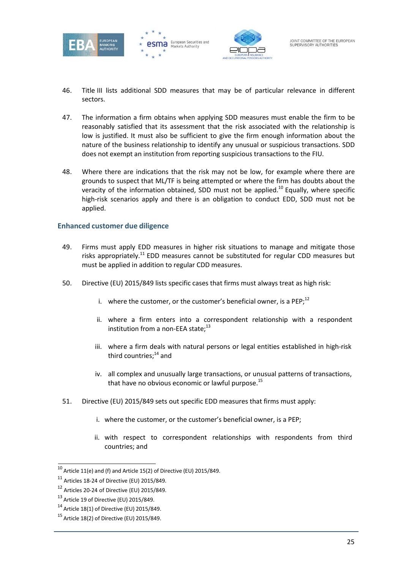





- 46. Title III lists additional SDD measures that may be of particular relevance in different sectors.
- 47. The information a firm obtains when applying SDD measures must enable the firm to be reasonably satisfied that its assessment that the risk associated with the relationship is low is justified. It must also be sufficient to give the firm enough information about the nature of the business relationship to identify any unusual or suspicious transactions. SDD does not exempt an institution from reporting suspicious transactions to the FIU.
- 48. Where there are indications that the risk may not be low, for example where there are grounds to suspect that ML/TF is being attempted or where the firm has doubts about the veracity of the information obtained, SDD must not be applied.<sup>10</sup> Equally, where specific high-risk scenarios apply and there is an obligation to conduct EDD, SDD must not be applied.

#### **Enhanced customer due diligence**

- 49. Firms must apply EDD measures in higher risk situations to manage and mitigate those risks appropriately.<sup>11</sup> EDD measures cannot be substituted for regular CDD measures but must be applied in addition to regular CDD measures.
- 50. Directive (EU) 2015/849 lists specific cases that firms must always treat as high risk:
	- i. where the customer, or the customer's beneficial owner, is a PEP; $^{12}$
	- ii. where a firm enters into a correspondent relationship with a respondent institution from a non-EEA state; $^{13}$
	- iii. where a firm deals with natural persons or legal entities established in high-risk third countries;<sup>14</sup> and
	- iv. all complex and unusually large transactions, or unusual patterns of transactions, that have no obvious economic or lawful purpose. $^{15}$
- 51. Directive (EU) 2015/849 sets out specific EDD measures that firms must apply:
	- i. where the customer, or the customer's beneficial owner, is a PEP;
	- ii. with respect to correspondent relationships with respondents from third countries; and

 $10$  Article 11(e) and (f) and Article 15(2) of Directive (EU) 2015/849.

<sup>11</sup> Articles 18-24 of Directive (EU) 2015/849.

<sup>12</sup> Articles 20-24 of Directive (EU) 2015/849.

 $13$  Article 19 of Directive (EU) 2015/849.

<sup>14</sup> Article 18(1) of Directive (EU) 2015/849.

<sup>&</sup>lt;sup>15</sup> Article 18(2) of Directive (EU) 2015/849.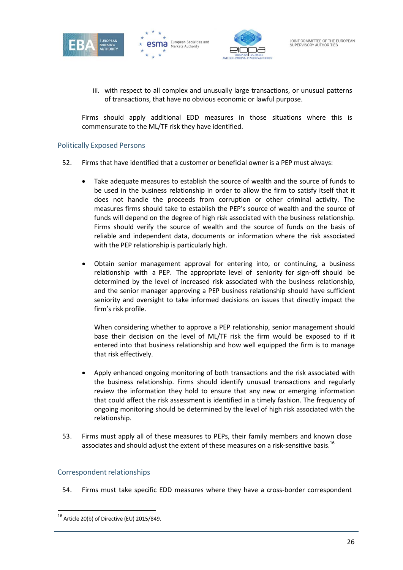





iii. with respect to all complex and unusually large transactions, or unusual patterns of transactions, that have no obvious economic or lawful purpose.

Firms should apply additional EDD measures in those situations where this is commensurate to the ML/TF risk they have identified.

#### Politically Exposed Persons

- 52. Firms that have identified that a customer or beneficial owner is a PEP must always:
	- Take adequate measures to establish the source of wealth and the source of funds to be used in the business relationship in order to allow the firm to satisfy itself that it does not handle the proceeds from corruption or other criminal activity. The measures firms should take to establish the PEP's source of wealth and the source of funds will depend on the degree of high risk associated with the business relationship. Firms should verify the source of wealth and the source of funds on the basis of reliable and independent data, documents or information where the risk associated with the PEP relationship is particularly high.
	- Obtain senior management approval for entering into, or continuing, a business relationship with a PEP. The appropriate level of seniority for sign-off should be determined by the level of increased risk associated with the business relationship, and the senior manager approving a PEP business relationship should have sufficient seniority and oversight to take informed decisions on issues that directly impact the firm's risk profile.

When considering whether to approve a PEP relationship, senior management should base their decision on the level of ML/TF risk the firm would be exposed to if it entered into that business relationship and how well equipped the firm is to manage that risk effectively.

- Apply enhanced ongoing monitoring of both transactions and the risk associated with the business relationship. Firms should identify unusual transactions and regularly review the information they hold to ensure that any new or emerging information that could affect the risk assessment is identified in a timely fashion. The frequency of ongoing monitoring should be determined by the level of high risk associated with the relationship.
- 53. Firms must apply all of these measures to PEPs, their family members and known close associates and should adjust the extent of these measures on a risk-sensitive basis.<sup>16</sup>

## Correspondent relationships

54. Firms must take specific EDD measures where they have a cross-border correspondent

<sup>16</sup> Article 20(b) of Directive (EU) 2015/849.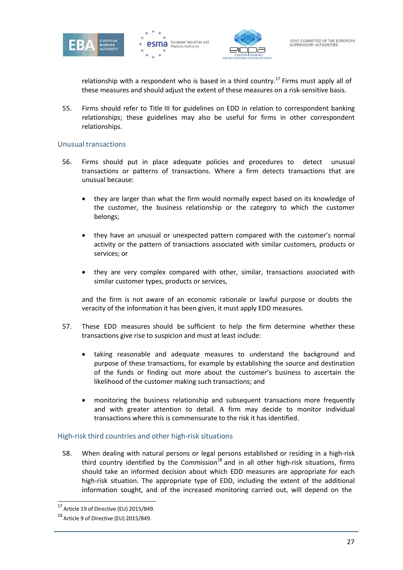





relationship with a respondent who is based in a third country.<sup>17</sup> Firms must apply all of these measures and should adjust the extent of these measures on a risk-sensitive basis.

55. Firms should refer to Title III for guidelines on EDD in relation to correspondent banking relationships; these guidelines may also be useful for firms in other correspondent relationships.

#### Unusual transactions

- 56. Firms should put in place adequate policies and procedures to detect unusual transactions or patterns of transactions. Where a firm detects transactions that are unusual because:
	- they are larger than what the firm would normally expect based on its knowledge of the customer, the business relationship or the category to which the customer belongs;
	- they have an unusual or unexpected pattern compared with the customer's normal activity or the pattern of transactions associated with similar customers, products or services; or
	- they are very complex compared with other, similar, transactions associated with similar customer types, products or services,

and the firm is not aware of an economic rationale or lawful purpose or doubts the veracity of the information it has been given, it must apply EDD measures.

- 57. These EDD measures should be sufficient to help the firm determine whether these transactions give rise to suspicion and must at least include:
	- taking reasonable and adequate measures to understand the background and purpose of these transactions, for example by establishing the source and destination of the funds or finding out more about the customer's business to ascertain the likelihood of the customer making such transactions; and
	- monitoring the business relationship and subsequent transactions more frequently and with greater attention to detail. A firm may decide to monitor individual transactions where this is commensurate to the risk it has identified.

#### High-risk third countries and other high-risk situations

58. When dealing with natural persons or legal persons established or residing in a high-risk third country identified by the Commission<sup>18</sup> and in all other high-risk situations, firms should take an informed decision about which EDD measures are appropriate for each high-risk situation. The appropriate type of EDD, including the extent of the additional information sought, and of the increased monitoring carried out, will depend on the

 $17$  Article 19 of Directive (EU) 2015/849.

<sup>18</sup> Article 9 of Directive (EU) 2015/849.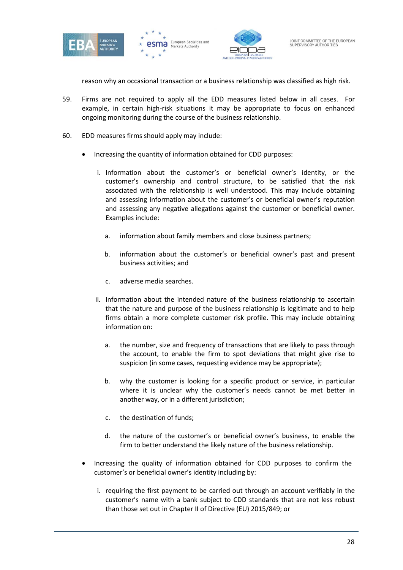





reason why an occasional transaction or a business relationship was classified as high risk.

- 59. Firms are not required to apply all the EDD measures listed below in all cases. For example, in certain high-risk situations it may be appropriate to focus on enhanced ongoing monitoring during the course of the business relationship.
- 60. EDD measures firms should apply may include:
	- Increasing the quantity of information obtained for CDD purposes:
		- i. Information about the customer's or beneficial owner's identity, or the customer's ownership and control structure, to be satisfied that the risk associated with the relationship is well understood. This may include obtaining and assessing information about the customer's or beneficial owner's reputation and assessing any negative allegations against the customer or beneficial owner. Examples include:
			- a. information about family members and close business partners;
			- b. information about the customer's or beneficial owner's past and present business activities; and
			- c. adverse media searches.
		- ii. Information about the intended nature of the business relationship to ascertain that the nature and purpose of the business relationship is legitimate and to help firms obtain a more complete customer risk profile. This may include obtaining information on:
			- a. the number, size and frequency of transactions that are likely to pass through the account, to enable the firm to spot deviations that might give rise to suspicion (in some cases, requesting evidence may be appropriate);
			- b. why the customer is looking for a specific product or service, in particular where it is unclear why the customer's needs cannot be met better in another way, or in a different jurisdiction;
			- c. the destination of funds;
			- d. the nature of the customer's or beneficial owner's business, to enable the firm to better understand the likely nature of the business relationship.
	- Increasing the quality of information obtained for CDD purposes to confirm the customer's or beneficial owner's identity including by:
		- i. requiring the first payment to be carried out through an account verifiably in the customer's name with a bank subject to CDD standards that are not less robust than those set out in Chapter II of Directive (EU) 2015/849; or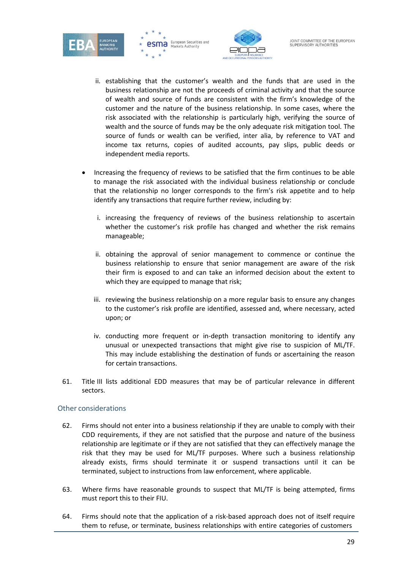





- ii. establishing that the customer's wealth and the funds that are used in the business relationship are not the proceeds of criminal activity and that the source of wealth and source of funds are consistent with the firm's knowledge of the customer and the nature of the business relationship. In some cases, where the risk associated with the relationship is particularly high, verifying the source of wealth and the source of funds may be the only adequate risk mitigation tool. The source of funds or wealth can be verified, inter alia, by reference to VAT and income tax returns, copies of audited accounts, pay slips, public deeds or independent media reports.
- Increasing the frequency of reviews to be satisfied that the firm continues to be able to manage the risk associated with the individual business relationship or conclude that the relationship no longer corresponds to the firm's risk appetite and to help identify any transactions that require further review, including by:
	- i. increasing the frequency of reviews of the business relationship to ascertain whether the customer's risk profile has changed and whether the risk remains manageable;
	- ii. obtaining the approval of senior management to commence or continue the business relationship to ensure that senior management are aware of the risk their firm is exposed to and can take an informed decision about the extent to which they are equipped to manage that risk;
	- iii. reviewing the business relationship on a more regular basis to ensure any changes to the customer's risk profile are identified, assessed and, where necessary, acted upon; or
	- iv. conducting more frequent or in-depth transaction monitoring to identify any unusual or unexpected transactions that might give rise to suspicion of ML/TF. This may include establishing the destination of funds or ascertaining the reason for certain transactions.
- 61. Title III lists additional EDD measures that may be of particular relevance in different sectors.

#### Other considerations

- 62. Firms should not enter into a business relationship if they are unable to comply with their CDD requirements, if they are not satisfied that the purpose and nature of the business relationship are legitimate or if they are not satisfied that they can effectively manage the risk that they may be used for ML/TF purposes. Where such a business relationship already exists, firms should terminate it or suspend transactions until it can be terminated, subject to instructions from law enforcement, where applicable.
- 63. Where firms have reasonable grounds to suspect that ML/TF is being attempted, firms must report this to their FIU.
- 64. Firms should note that the application of a risk-based approach does not of itself require them to refuse, or terminate, business relationships with entire categories of customers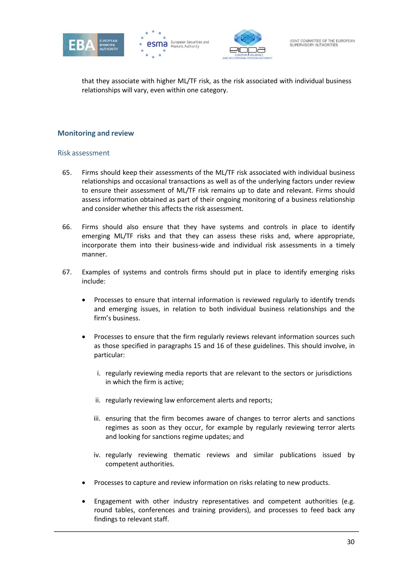





that they associate with higher ML/TF risk, as the risk associated with individual business relationships will vary, even within one category.

#### **Monitoring and review**

#### Risk assessment

- 65. Firms should keep their assessments of the ML/TF risk associated with individual business relationships and occasional transactions as well as of the underlying factors under review to ensure their assessment of ML/TF risk remains up to date and relevant. Firms should assess information obtained as part of their ongoing monitoring of a business relationship and consider whether this affects the risk assessment.
- 66. Firms should also ensure that they have systems and controls in place to identify emerging ML/TF risks and that they can assess these risks and, where appropriate, incorporate them into their business-wide and individual risk assessments in a timely manner.
- 67. Examples of systems and controls firms should put in place to identify emerging risks include:
	- Processes to ensure that internal information is reviewed regularly to identify trends and emerging issues, in relation to both individual business relationships and the firm's business.
	- Processes to ensure that the firm regularly reviews relevant information sources such as those specified in paragraphs 15 and 16 of these guidelines. This should involve, in particular:
		- i. regularly reviewing media reports that are relevant to the sectors or jurisdictions in which the firm is active;
		- ii. regularly reviewing law enforcement alerts and reports;
		- iii. ensuring that the firm becomes aware of changes to terror alerts and sanctions regimes as soon as they occur, for example by regularly reviewing terror alerts and looking for sanctions regime updates; and
		- iv. regularly reviewing thematic reviews and similar publications issued by competent authorities.
	- Processes to capture and review information on risks relating to new products.
	- Engagement with other industry representatives and competent authorities (e.g. round tables, conferences and training providers), and processes to feed back any findings to relevant staff.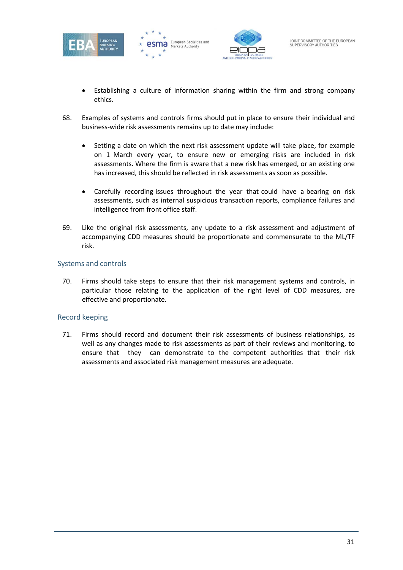





- Establishing a culture of information sharing within the firm and strong company ethics.
- 68. Examples of systems and controls firms should put in place to ensure their individual and business-wide risk assessments remains up to date may include:
	- Setting a date on which the next risk assessment update will take place, for example on 1 March every year, to ensure new or emerging risks are included in risk assessments. Where the firm is aware that a new risk has emerged, or an existing one has increased, this should be reflected in risk assessments as soon as possible.
	- Carefully recording issues throughout the year that could have a bearing on risk assessments, such as internal suspicious transaction reports, compliance failures and intelligence from front office staff.
- 69. Like the original risk assessments, any update to a risk assessment and adjustment of accompanying CDD measures should be proportionate and commensurate to the ML/TF risk.

#### Systems and controls

70. Firms should take steps to ensure that their risk management systems and controls, in particular those relating to the application of the right level of CDD measures, are effective and proportionate.

#### Record keeping

71. Firms should record and document their risk assessments of business relationships, as well as any changes made to risk assessments as part of their reviews and monitoring, to ensure that they can demonstrate to the competent authorities that their risk assessments and associated risk management measures are adequate.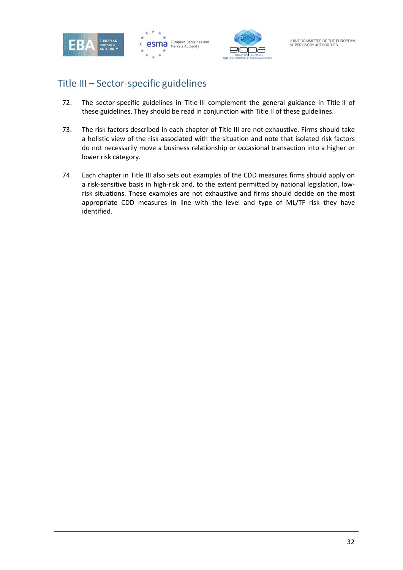





# <span id="page-31-0"></span>Title III – Sector-specific guidelines

- 72. The sector-specific guidelines in Title III complement the general guidance in Title II of these guidelines. They should be read in conjunction with Title II of these guidelines.
- 73. The risk factors described in each chapter of Title III are not exhaustive. Firms should take a holistic view of the risk associated with the situation and note that isolated risk factors do not necessarily move a business relationship or occasional transaction into a higher or lower risk category.
- 74. Each chapter in Title III also sets out examples of the CDD measures firms should apply on a risk-sensitive basis in high-risk and, to the extent permitted by national legislation, lowrisk situations. These examples are not exhaustive and firms should decide on the most appropriate CDD measures in line with the level and type of ML/TF risk they have identified.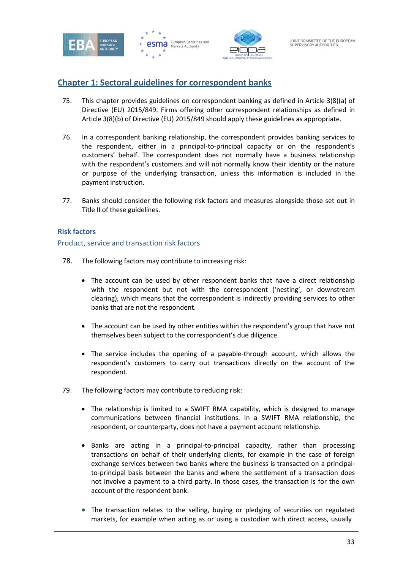





## <span id="page-32-0"></span>**Chapter 1: Sectoral guidelines for correspondent banks**

- 75. This chapter provides guidelines on correspondent banking as defined in Article 3(8)(a) of Directive (EU) 2015/849. Firms offering other correspondent relationships as defined in Article 3(8)(b) of Directive (EU) 2015/849 should apply these guidelines as appropriate.
- 76. In a correspondent banking relationship, the correspondent provides banking services to the respondent, either in a principal-to-principal capacity or on the respondent's customers' behalf. The correspondent does not normally have a business relationship with the respondent's customers and will not normally know their identity or the nature or purpose of the underlying transaction, unless this information is included in the payment instruction.
- 77. Banks should consider the following risk factors and measures alongside those set out in Title II of these guidelines.

#### **Risk factors**

Product, service and transaction risk factors

- 78. The following factors may contribute to increasing risk:
	- The account can be used by other respondent banks that have a direct relationship with the respondent but not with the correspondent ('nesting', or downstream clearing), which means that the correspondent is indirectly providing services to other banks that are not the respondent.
	- The account can be used by other entities within the respondent's group that have not themselves been subject to the correspondent's due diligence.
	- The service includes the opening of a payable-through account, which allows the respondent's customers to carry out transactions directly on the account of the respondent.
- 79. The following factors may contribute to reducing risk:
	- The relationship is limited to a SWIFT RMA capability, which is designed to manage communications between financial institutions. In a SWIFT RMA relationship, the respondent, or counterparty, does not have a payment account relationship.
	- Banks are acting in a principal-to-principal capacity, rather than processing transactions on behalf of their underlying clients, for example in the case of foreign exchange services between two banks where the business is transacted on a principalto-principal basis between the banks and where the settlement of a transaction does not involve a payment to a third party. In those cases, the transaction is for the own account of the respondent bank.
	- The transaction relates to the selling, buying or pledging of securities on regulated markets, for example when acting as or using a custodian with direct access, usually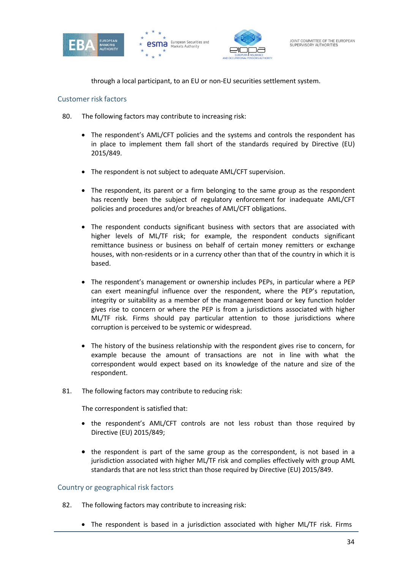





through a local participant, to an EU or non-EU securities settlement system.

#### Customer risk factors

- 80. The following factors may contribute to increasing risk:
	- The respondent's AML/CFT policies and the systems and controls the respondent has in place to implement them fall short of the standards required by Directive (EU) 2015/849.
	- The respondent is not subject to adequate AML/CFT supervision.
	- The respondent, its parent or a firm belonging to the same group as the respondent has recently been the subject of regulatory enforcement for inadequate AML/CFT policies and procedures and/or breaches of AML/CFT obligations.
	- The respondent conducts significant business with sectors that are associated with higher levels of ML/TF risk; for example, the respondent conducts significant remittance business or business on behalf of certain money remitters or exchange houses, with non-residents or in a currency other than that of the country in which it is based.
	- The respondent's management or ownership includes PEPs, in particular where a PEP can exert meaningful influence over the respondent, where the PEP's reputation, integrity or suitability as a member of the management board or key function holder gives rise to concern or where the PEP is from a jurisdictions associated with higher ML/TF risk. Firms should pay particular attention to those jurisdictions where corruption is perceived to be systemic or widespread.
	- The history of the business relationship with the respondent gives rise to concern, for example because the amount of transactions are not in line with what the correspondent would expect based on its knowledge of the nature and size of the respondent.
- 81. The following factors may contribute to reducing risk:

The correspondent is satisfied that:

- the respondent's AML/CFT controls are not less robust than those required by Directive (EU) 2015/849;
- the respondent is part of the same group as the correspondent, is not based in a jurisdiction associated with higher ML/TF risk and complies effectively with group AML standards that are not less strict than those required by Directive (EU) 2015/849.

#### Country or geographical risk factors

- 82. The following factors may contribute to increasing risk:
	- The respondent is based in a jurisdiction associated with higher ML/TF risk. Firms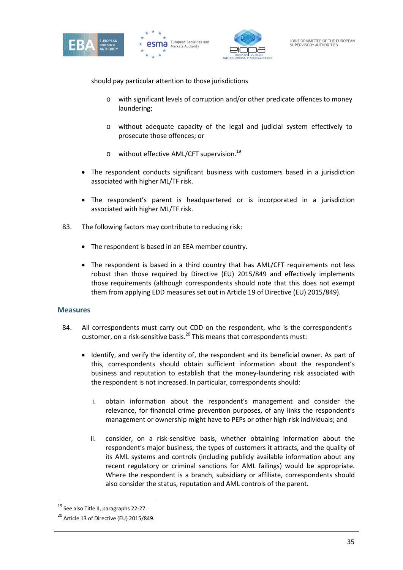





should pay particular attention to those jurisdictions

- o with significant levels of corruption and/or other predicate offences to money laundering;
- o without adequate capacity of the legal and judicial system effectively to prosecute those offences; or
- o without effective AML/CFT supervision.19
- The respondent conducts significant business with customers based in a jurisdiction associated with higher ML/TF risk.
- The respondent's parent is headquartered or is incorporated in a jurisdiction associated with higher ML/TF risk.
- 83. The following factors may contribute to reducing risk:
	- The respondent is based in an EEA member country.
	- The respondent is based in a third country that has AML/CFT requirements not less robust than those required by Directive (EU) 2015/849 and effectively implements those requirements (although correspondents should note that this does not exempt them from applying EDD measures set out in Article 19 of Directive (EU) 2015/849).

#### **Measures**

- 84. All correspondents must carry out CDD on the respondent, who is the correspondent's customer, on a risk-sensitive basis.<sup>20</sup> This means that correspondents must:
	- Identify, and verify the identity of, the respondent and its beneficial owner. As part of this, correspondents should obtain sufficient information about the respondent's business and reputation to establish that the money-laundering risk associated with the respondent is not increased. In particular, correspondents should:
		- i. obtain information about the respondent's management and consider the relevance, for financial crime prevention purposes, of any links the respondent's management or ownership might have to PEPs or other high-risk individuals; and
		- ii. consider, on a risk-sensitive basis, whether obtaining information about the respondent's major business, the types of customers it attracts, and the quality of its AML systems and controls (including publicly available information about any recent regulatory or criminal sanctions for AML failings) would be appropriate. Where the respondent is a branch, subsidiary or affiliate, correspondents should also consider the status, reputation and AML controls of the parent.

<sup>19</sup> See also Title II, paragraphs 22-27.

<sup>20</sup> Article 13 of Directive (EU) 2015/849.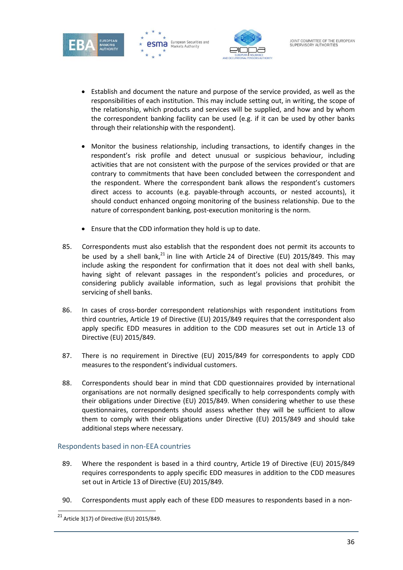





- Establish and document the nature and purpose of the service provided, as well as the responsibilities of each institution. This may include setting out, in writing, the scope of the relationship, which products and services will be supplied, and how and by whom the correspondent banking facility can be used (e.g. if it can be used by other banks through their relationship with the respondent).
- Monitor the business relationship, including transactions, to identify changes in the respondent's risk profile and detect unusual or suspicious behaviour, including activities that are not consistent with the purpose of the services provided or that are contrary to commitments that have been concluded between the correspondent and the respondent. Where the correspondent bank allows the respondent's customers direct access to accounts (e.g. payable-through accounts, or nested accounts), it should conduct enhanced ongoing monitoring of the business relationship. Due to the nature of correspondent banking, post-execution monitoring is the norm.
- Ensure that the CDD information they hold is up to date.
- 85. Correspondents must also establish that the respondent does not permit its accounts to be used by a shell bank, $^{21}$  in line with Article 24 of Directive (EU) 2015/849. This may include asking the respondent for confirmation that it does not deal with shell banks, having sight of relevant passages in the respondent's policies and procedures, or considering publicly available information, such as legal provisions that prohibit the servicing of shell banks.
- 86. In cases of cross-border correspondent relationships with respondent institutions from third countries, Article 19 of Directive (EU) 2015/849 requires that the correspondent also apply specific EDD measures in addition to the CDD measures set out in Article 13 of Directive (EU) 2015/849.
- 87. There is no requirement in Directive (EU) 2015/849 for correspondents to apply CDD measures to the respondent's individual customers.
- 88. Correspondents should bear in mind that CDD questionnaires provided by international organisations are not normally designed specifically to help correspondents comply with their obligations under Directive (EU) 2015/849. When considering whether to use these questionnaires, correspondents should assess whether they will be sufficient to allow them to comply with their obligations under Directive (EU) 2015/849 and should take additional steps where necessary.

## Respondents based in non-EEA countries

- 89. Where the respondent is based in a third country, Article 19 of Directive (EU) 2015/849 requires correspondents to apply specific EDD measures in addition to the CDD measures set out in Article 13 of Directive (EU) 2015/849.
- 90. Correspondents must apply each of these EDD measures to respondents based in a non-

 $21$  Article 3(17) of Directive (EU) 2015/849.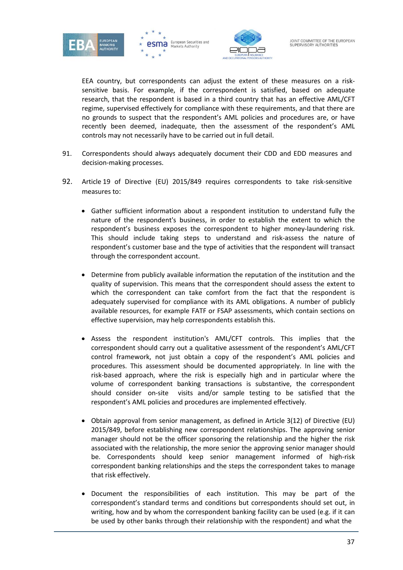





EEA country, but correspondents can adjust the extent of these measures on a risksensitive basis. For example, if the correspondent is satisfied, based on adequate research, that the respondent is based in a third country that has an effective AML/CFT regime, supervised effectively for compliance with these requirements, and that there are no grounds to suspect that the respondent's AML policies and procedures are, or have recently been deemed, inadequate, then the assessment of the respondent's AML controls may not necessarily have to be carried out in full detail.

- 91. Correspondents should always adequately document their CDD and EDD measures and decision-making processes.
- 92. Article 19 of Directive (EU) 2015/849 requires correspondents to take risk-sensitive measures to:
	- Gather sufficient information about a respondent institution to understand fully the nature of the respondent's business, in order to establish the extent to which the respondent's business exposes the correspondent to higher money-laundering risk. This should include taking steps to understand and risk-assess the nature of respondent's customer base and the type of activities that the respondent will transact through the correspondent account.
	- Determine from publicly available information the reputation of the institution and the quality of supervision. This means that the correspondent should assess the extent to which the correspondent can take comfort from the fact that the respondent is adequately supervised for compliance with its AML obligations. A number of publicly available resources, for example FATF or FSAP assessments, which contain sections on effective supervision, may help correspondents establish this.
	- Assess the respondent institution's AML/CFT controls. This implies that the correspondent should carry out a qualitative assessment of the respondent's AML/CFT control framework, not just obtain a copy of the respondent's AML policies and procedures. This assessment should be documented appropriately. In line with the risk-based approach, where the risk is especially high and in particular where the volume of correspondent banking transactions is substantive, the correspondent should consider on-site visits and/or sample testing to be satisfied that the respondent's AML policies and procedures are implemented effectively.
	- Obtain approval from senior management, as defined in Article 3(12) of Directive (EU) 2015/849, before establishing new correspondent relationships. The approving senior manager should not be the officer sponsoring the relationship and the higher the risk associated with the relationship, the more senior the approving senior manager should be. Correspondents should keep senior management informed of high-risk correspondent banking relationships and the steps the correspondent takes to manage that risk effectively.
	- Document the responsibilities of each institution. This may be part of the correspondent's standard terms and conditions but correspondents should set out, in writing, how and by whom the correspondent banking facility can be used (e.g. if it can be used by other banks through their relationship with the respondent) and what the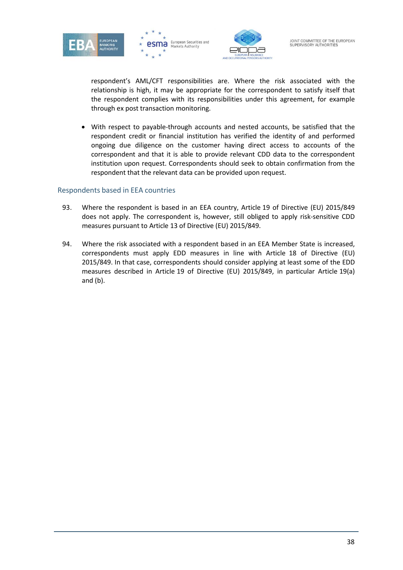





respondent's AML/CFT responsibilities are. Where the risk associated with the relationship is high, it may be appropriate for the correspondent to satisfy itself that the respondent complies with its responsibilities under this agreement, for example through ex post transaction monitoring.

• With respect to payable-through accounts and nested accounts, be satisfied that the respondent credit or financial institution has verified the identity of and performed ongoing due diligence on the customer having direct access to accounts of the correspondent and that it is able to provide relevant CDD data to the correspondent institution upon request. Correspondents should seek to obtain confirmation from the respondent that the relevant data can be provided upon request.

#### Respondents based in EEA countries

- 93. Where the respondent is based in an EEA country, Article 19 of Directive (EU) 2015/849 does not apply. The correspondent is, however, still obliged to apply risk-sensitive CDD measures pursuant to Article 13 of Directive (EU) 2015/849.
- 94. Where the risk associated with a respondent based in an EEA Member State is increased, correspondents must apply EDD measures in line with Article 18 of Directive (EU) 2015/849. In that case, correspondents should consider applying at least some of the EDD measures described in Article 19 of Directive (EU) 2015/849, in particular Article 19(a) and (b).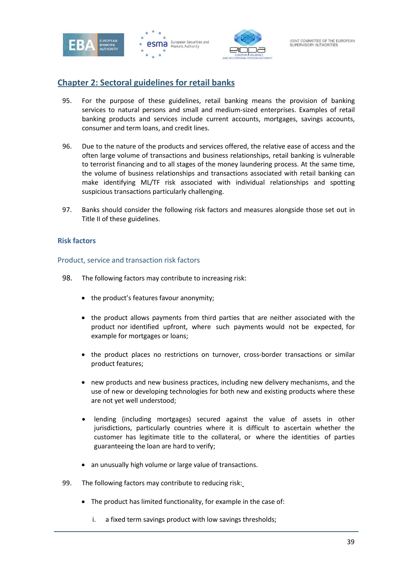





# **Chapter 2: Sectoral guidelines for retail banks**

- 95. For the purpose of these guidelines, retail banking means the provision of banking services to natural persons and small and medium-sized enterprises. Examples of retail banking products and services include current accounts, mortgages, savings accounts, consumer and term loans, and credit lines.
- 96. Due to the nature of the products and services offered, the relative ease of access and the often large volume of transactions and business relationships, retail banking is vulnerable to terrorist financing and to all stages of the money laundering process. At the same time, the volume of business relationships and transactions associated with retail banking can make identifying ML/TF risk associated with individual relationships and spotting suspicious transactions particularly challenging.
- 97. Banks should consider the following risk factors and measures alongside those set out in Title II of these guidelines.

# **Risk factors**

Product, service and transaction risk factors

- 98. The following factors may contribute to increasing risk:
	- the product's features favour anonymity;
	- the product allows payments from third parties that are neither associated with the product nor identified upfront, where such payments would not be expected, for example for mortgages or loans;
	- the product places no restrictions on turnover, cross-border transactions or similar product features;
	- new products and new business practices, including new delivery mechanisms, and the use of new or developing technologies for both new and existing products where these are not yet well understood;
	- lending (including mortgages) secured against the value of assets in other jurisdictions, particularly countries where it is difficult to ascertain whether the customer has legitimate title to the collateral, or where the identities of parties guaranteeing the loan are hard to verify;
	- an unusually high volume or large value of transactions.
- 99. The following factors may contribute to reducing risk:
	- The product has limited functionality, for example in the case of:
		- i. a fixed term savings product with low savings thresholds;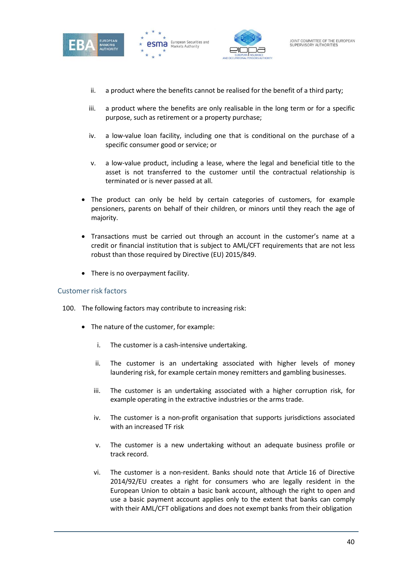





- ii. a product where the benefits cannot be realised for the benefit of a third party;
- iii. a product where the benefits are only realisable in the long term or for a specific purpose, such as retirement or a property purchase;
- iv. a low-value loan facility, including one that is conditional on the purchase of a specific consumer good or service; or
- v. a low-value product, including a lease, where the legal and beneficial title to the asset is not transferred to the customer until the contractual relationship is terminated or is never passed at all.
- The product can only be held by certain categories of customers, for example pensioners, parents on behalf of their children, or minors until they reach the age of majority.
- Transactions must be carried out through an account in the customer's name at a credit or financial institution that is subject to AML/CFT requirements that are not less robust than those required by Directive (EU) 2015/849.
- There is no overpayment facility.

#### Customer risk factors

- 100. The following factors may contribute to increasing risk:
	- The nature of the customer, for example:
		- i. The customer is a cash-intensive undertaking.
		- ii. The customer is an undertaking associated with higher levels of money laundering risk, for example certain money remitters and gambling businesses.
		- iii. The customer is an undertaking associated with a higher corruption risk, for example operating in the extractive industries or the arms trade.
		- iv. The customer is a non-profit organisation that supports jurisdictions associated with an increased TF risk
		- v. The customer is a new undertaking without an adequate business profile or track record.
		- vi. The customer is a non-resident. Banks should note that Article 16 of Directive 2014/92/EU creates a right for consumers who are legally resident in the European Union to obtain a basic bank account, although the right to open and use a basic payment account applies only to the extent that banks can comply with their AML/CFT obligations and does not exempt banks from their obligation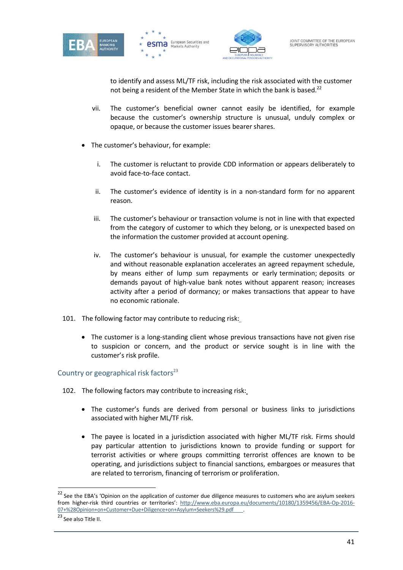





to identify and assess ML/TF risk, including the risk associated with the customer not being a resident of the Member State in which the bank is based.<sup>22</sup>

- vii. The customer's beneficial owner cannot easily be identified, for example because the customer's ownership structure is unusual, unduly complex or opaque, or because the customer issues bearer shares.
- The customer's behaviour, for example:
	- i. The customer is reluctant to provide CDD information or appears deliberately to avoid face-to-face contact.
	- ii. The customer's evidence of identity is in a non-standard form for no apparent reason.
	- iii. The customer's behaviour or transaction volume is not in line with that expected from the category of customer to which they belong, or is unexpected based on the information the customer provided at account opening.
	- iv. The customer's behaviour is unusual, for example the customer unexpectedly and without reasonable explanation accelerates an agreed repayment schedule, by means either of lump sum repayments or early termination; deposits or demands payout of high-value bank notes without apparent reason; increases activity after a period of dormancy; or makes transactions that appear to have no economic rationale.
- 101. The following factor may contribute to reducing risk:
	- The customer is a long-standing client whose previous transactions have not given rise to suspicion or concern, and the product or service sought is in line with the customer's risk profile.

# Country or geographical risk factors<sup>23</sup>

- 102. The following factors may contribute to increasing risk:
	- The customer's funds are derived from personal or business links to jurisdictions associated with higher ML/TF risk.
	- The payee is located in a jurisdiction associated with higher ML/TF risk. Firms should pay particular attention to jurisdictions known to provide funding or support for terrorist activities or where groups committing terrorist offences are known to be operating, and jurisdictions subject to financial sanctions, embargoes or measures that are related to terrorism, financing of terrorism or proliferation.

<sup>&</sup>lt;sup>22</sup> See the EBA's 'Opinion on the application of customer due diligence measures to customers who are asylum seekers from higher-risk third countries or territories': <http://www.eba.europa.eu/documents/10180/1359456/EBA-Op-2016-> 07+%28Opinion+on+Customer+Due+Diligence+on+Asylum+Seekers%29.pdf .

<sup>23</sup> See also Title II.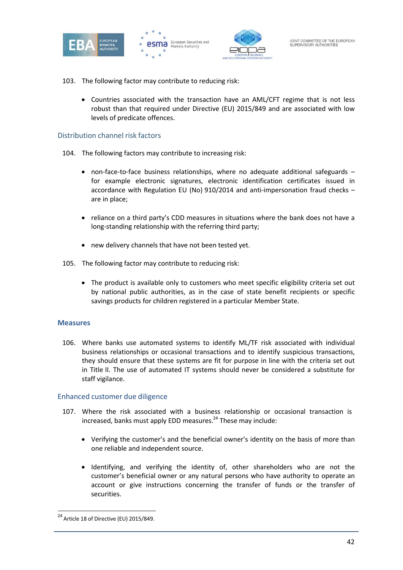





- 103. The following factor may contribute to reducing risk:
	- Countries associated with the transaction have an AML/CFT regime that is not less robust than that required under Directive (EU) 2015/849 and are associated with low levels of predicate offences.

#### Distribution channel risk factors

- 104. The following factors may contribute to increasing risk:
	- non-face-to-face business relationships, where no adequate additional safeguards for example electronic signatures, electronic identification certificates issued in accordance with Regulation EU (No) 910/2014 and anti-impersonation fraud checks – are in place;
	- reliance on a third party's CDD measures in situations where the bank does not have a long-standing relationship with the referring third party;
	- new delivery channels that have not been tested yet.
- 105. The following factor may contribute to reducing risk:
	- The product is available only to customers who meet specific eligibility criteria set out by national public authorities, as in the case of state benefit recipients or specific savings products for children registered in a particular Member State.

#### **Measures**

106. Where banks use automated systems to identify ML/TF risk associated with individual business relationships or occasional transactions and to identify suspicious transactions, they should ensure that these systems are fit for purpose in line with the criteria set out in Title II. The use of automated IT systems should never be considered a substitute for staff vigilance.

#### Enhanced customer due diligence

- 107. Where the risk associated with a business relationship or occasional transaction is  $increased$ , banks must apply EDD measures. $^{24}$  These may include:
	- Verifying the customer's and the beneficial owner's identity on the basis of more than one reliable and independent source.
	- Identifying, and verifying the identity of, other shareholders who are not the customer's beneficial owner or any natural persons who have authority to operate an account or give instructions concerning the transfer of funds or the transfer of securities.

<sup>&</sup>lt;sup>24</sup> Article 18 of Directive (EU) 2015/849.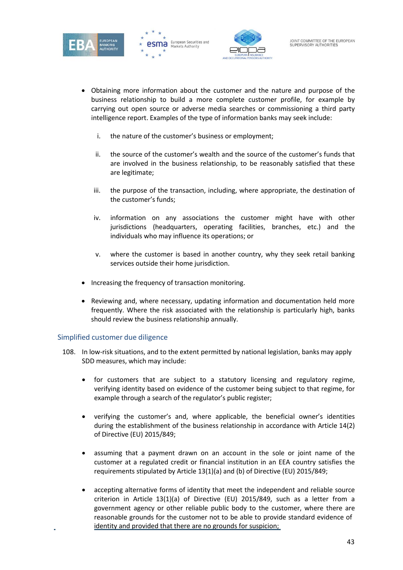





- Obtaining more information about the customer and the nature and purpose of the business relationship to build a more complete customer profile, for example by carrying out open source or adverse media searches or commissioning a third party intelligence report. Examples of the type of information banks may seek include:
	- i. the nature of the customer's business or employment;
	- ii. the source of the customer's wealth and the source of the customer's funds that are involved in the business relationship, to be reasonably satisfied that these are legitimate;
	- iii. the purpose of the transaction, including, where appropriate, the destination of the customer's funds;
	- iv. information on any associations the customer might have with other jurisdictions (headquarters, operating facilities, branches, etc.) and the individuals who may influence its operations; or
	- v. where the customer is based in another country, why they seek retail banking services outside their home jurisdiction.
- Increasing the frequency of transaction monitoring.
- Reviewing and, where necessary, updating information and documentation held more frequently. Where the risk associated with the relationship is particularly high, banks should review the business relationship annually.

# Simplified customer due diligence

- 108. In low-risk situations, and to the extent permitted by national legislation, banks may apply SDD measures, which may include:
	- for customers that are subject to a statutory licensing and regulatory regime, verifying identity based on evidence of the customer being subject to that regime, for example through a search of the regulator's public register;
	- verifying the customer's and, where applicable, the beneficial owner's identities during the establishment of the business relationship in accordance with Article 14(2) of Directive (EU) 2015/849;
	- assuming that a payment drawn on an account in the sole or joint name of the customer at a regulated credit or financial institution in an EEA country satisfies the requirements stipulated by Article 13(1)(a) and (b) of Directive (EU) 2015/849;
	- accepting alternative forms of identity that meet the independent and reliable source criterion in Article 13(1)(a) of Directive (EU) 2015/849, such as a letter from a government agency or other reliable public body to the customer, where there are reasonable grounds for the customer not to be able to provide standard evidence of identity and provided that there are no grounds for suspicion;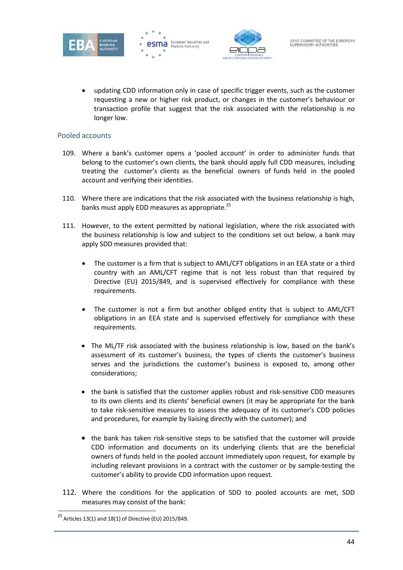





• updating CDD information only in case of specific trigger events, such as the customer requesting a new or higher risk product, or changes in the customer's behaviour or transaction profile that suggest that the risk associated with the relationship is no longer low.

#### Pooled accounts

- 109. Where a bank's customer opens a 'pooled account' in order to administer funds that belong to the customer's own clients, the bank should apply full CDD measures, including treating the customer's clients as the beneficial owners of funds held in the pooled account and verifying their identities.
- 110. Where there are indications that the risk associated with the business relationship is high, banks must apply EDD measures as appropriate.<sup>25</sup>
- 111. However, to the extent permitted by national legislation, where the risk associated with the business relationship is low and subject to the conditions set out below, a bank may apply SDD measures provided that:
	- The customer is a firm that is subject to AML/CFT obligations in an EEA state or a third country with an AML/CFT regime that is not less robust than that required by Directive (EU) 2015/849, and is supervised effectively for compliance with these requirements.
	- The customer is not a firm but another obliged entity that is subject to AML/CFT obligations in an EEA state and is supervised effectively for compliance with these requirements.
	- The ML/TF risk associated with the business relationship is low, based on the bank's assessment of its customer's business, the types of clients the customer's business serves and the jurisdictions the customer's business is exposed to, among other considerations;
	- the bank is satisfied that the customer applies robust and risk-sensitive CDD measures to its own clients and its clients' beneficial owners (it may be appropriate for the bank to take risk-sensitive measures to assess the adequacy of its customer's CDD policies and procedures, for example by liaising directly with the customer); and
	- the bank has taken risk-sensitive steps to be satisfied that the customer will provide CDD information and documents on its underlying clients that are the beneficial owners of funds held in the pooled account immediately upon request, for example by including relevant provisions in a contract with the customer or by sample-testing the customer's ability to provide CDD information upon request.
- 112. Where the conditions for the application of SDD to pooled accounts are met, SDD measures may consist of the bank:

<sup>&</sup>lt;sup>25</sup> Articles 13(1) and 18(1) of Directive (EU) 2015/849.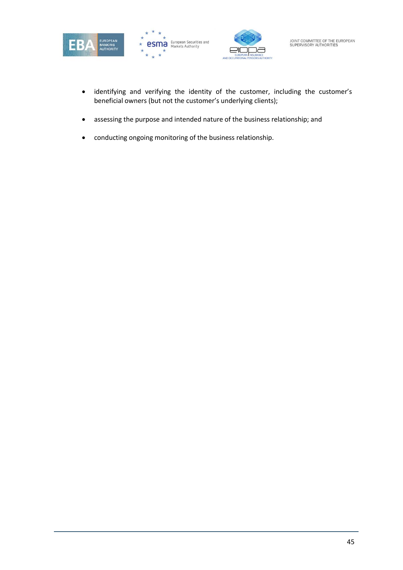





- identifying and verifying the identity of the customer, including the customer's beneficial owners (but not the customer's underlying clients);
- assessing the purpose and intended nature of the business relationship; and
- conducting ongoing monitoring of the business relationship.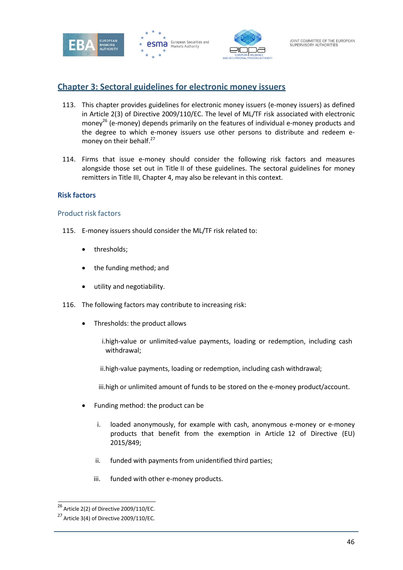





# **Chapter 3: Sectoral guidelines for electronic money issuers**

- 113. This chapter provides guidelines for electronic money issuers (e-money issuers) as defined in Article 2(3) of Directive 2009/110/EC. The level of ML/TF risk associated with electronic money<sup>26</sup> (e-money) depends primarily on the features of individual e-money products and the degree to which e-money issuers use other persons to distribute and redeem emoney on their behalf.<sup>27</sup>
- 114. Firms that issue e-money should consider the following risk factors and measures alongside those set out in Title II of these guidelines. The sectoral guidelines for money remitters in Title III, Chapter 4, may also be relevant in this context.

#### **Risk factors**

#### Product risk factors

- 115. E-money issuers should consider the ML/TF risk related to:
	- thresholds;
	- the funding method; and
	- utility and negotiability.
- 116. The following factors may contribute to increasing risk:
	- Thresholds: the product allows
		- i.high-value or unlimited-value payments, loading or redemption, including cash withdrawal;
		- ii.high-value payments, loading or redemption, including cash withdrawal;
		- iii.high or unlimited amount of funds to be stored on the e-money product/account.
	- Funding method: the product can be
		- i. loaded anonymously, for example with cash, anonymous e-money or e-money products that benefit from the exemption in Article 12 of Directive (EU) 2015/849;
		- ii. funded with payments from unidentified third parties;
		- iii. funded with other e-money products.

 $26$  Article 2(2) of Directive 2009/110/EC.

 $27$  Article 3(4) of Directive 2009/110/EC.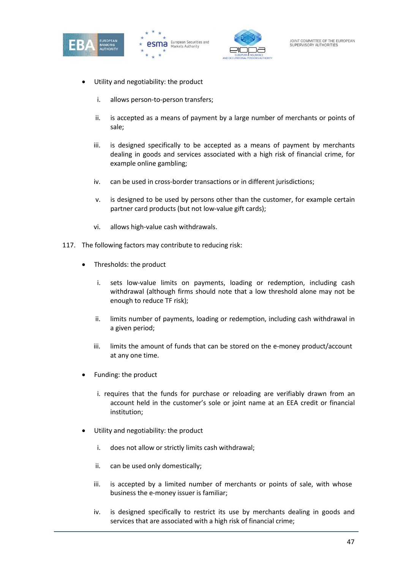





- Utility and negotiability: the product
	- i. allows person-to-person transfers;
	- ii. is accepted as a means of payment by a large number of merchants or points of sale;
	- iii. is designed specifically to be accepted as a means of payment by merchants dealing in goods and services associated with a high risk of financial crime, for example online gambling;
	- iv. can be used in cross-border transactions or in different jurisdictions;
	- v. is designed to be used by persons other than the customer, for example certain partner card products (but not low-value gift cards);
	- vi. allows high-value cash withdrawals.
- 117. The following factors may contribute to reducing risk:
	- Thresholds: the product
		- i. sets low-value limits on payments, loading or redemption, including cash withdrawal (although firms should note that a low threshold alone may not be enough to reduce TF risk);
		- ii. limits number of payments, loading or redemption, including cash withdrawal in a given period;
		- iii. limits the amount of funds that can be stored on the e-money product/account at any one time.
	- Funding: the product
		- i. requires that the funds for purchase or reloading are verifiably drawn from an account held in the customer's sole or joint name at an EEA credit or financial institution;
	- Utility and negotiability: the product
		- i. does not allow or strictly limits cash withdrawal;
		- ii. can be used only domestically;
		- iii. is accepted by a limited number of merchants or points of sale, with whose business the e-money issuer is familiar;
		- iv. is designed specifically to restrict its use by merchants dealing in goods and services that are associated with a high risk of financial crime;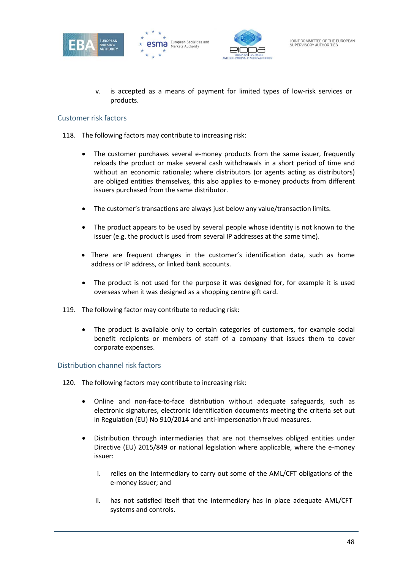





is accepted as a means of payment for limited types of low-risk services or products.

# Customer risk factors

- 118. The following factors may contribute to increasing risk:
	- The customer purchases several e-money products from the same issuer, frequently reloads the product or make several cash withdrawals in a short period of time and without an economic rationale; where distributors (or agents acting as distributors) are obliged entities themselves, this also applies to e-money products from different issuers purchased from the same distributor.
	- The customer's transactions are always just below any value/transaction limits.
	- The product appears to be used by several people whose identity is not known to the issuer (e.g. the product is used from several IP addresses at the same time).
	- There are frequent changes in the customer's identification data, such as home address or IP address, or linked bank accounts.
	- The product is not used for the purpose it was designed for, for example it is used overseas when it was designed as a shopping centre gift card.
- 119. The following factor may contribute to reducing risk:
	- The product is available only to certain categories of customers, for example social benefit recipients or members of staff of a company that issues them to cover corporate expenses.

# Distribution channel risk factors

- 120. The following factors may contribute to increasing risk:
	- Online and non-face-to-face distribution without adequate safeguards, such as electronic signatures, electronic identification documents meeting the criteria set out in Regulation (EU) No 910/2014 and anti-impersonation fraud measures.
	- Distribution through intermediaries that are not themselves obliged entities under Directive (EU) 2015/849 or national legislation where applicable, where the e-money issuer:
		- i. relies on the intermediary to carry out some of the AML/CFT obligations of the e-money issuer; and
		- ii. has not satisfied itself that the intermediary has in place adequate AML/CFT systems and controls.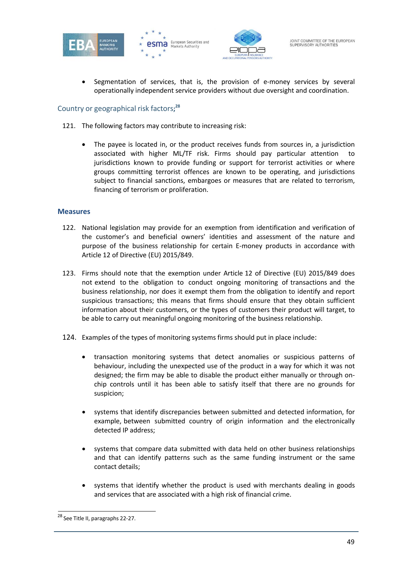





• Segmentation of services, that is, the provision of e-money services by several operationally independent service providers without due oversight and coordination.

# Country or geographical risk factors**; 28**

- 121. The following factors may contribute to increasing risk:
	- The payee is located in, or the product receives funds from sources in, a jurisdiction associated with higher ML/TF risk. Firms should pay particular attention jurisdictions known to provide funding or support for terrorist activities or where groups committing terrorist offences are known to be operating, and jurisdictions subject to financial sanctions, embargoes or measures that are related to terrorism, financing of terrorism or proliferation.

#### **Measures**

- 122. National legislation may provide for an exemption from identification and verification of the customer's and beneficial owners' identities and assessment of the nature and purpose of the business relationship for certain E-money products in accordance with Article 12 of Directive (EU) 2015/849.
- 123. Firms should note that the exemption under Article 12 of Directive (EU) 2015/849 does not extend to the obligation to conduct ongoing monitoring of transactions and the business relationship, nor does it exempt them from the obligation to identify and report suspicious transactions; this means that firms should ensure that they obtain sufficient information about their customers, or the types of customers their product will target, to be able to carry out meaningful ongoing monitoring of the business relationship.
- 124. Examples of the types of monitoring systems firms should put in place include:
	- transaction monitoring systems that detect anomalies or suspicious patterns of behaviour, including the unexpected use of the product in a way for which it was not designed; the firm may be able to disable the product either manually or through onchip controls until it has been able to satisfy itself that there are no grounds for suspicion;
	- systems that identify discrepancies between submitted and detected information, for example, between submitted country of origin information and the electronically detected IP address;
	- systems that compare data submitted with data held on other business relationships and that can identify patterns such as the same funding instrument or the same contact details;
	- systems that identify whether the product is used with merchants dealing in goods and services that are associated with a high risk of financial crime.

<sup>&</sup>lt;sup>28</sup> See Title II, paragraphs 22-27.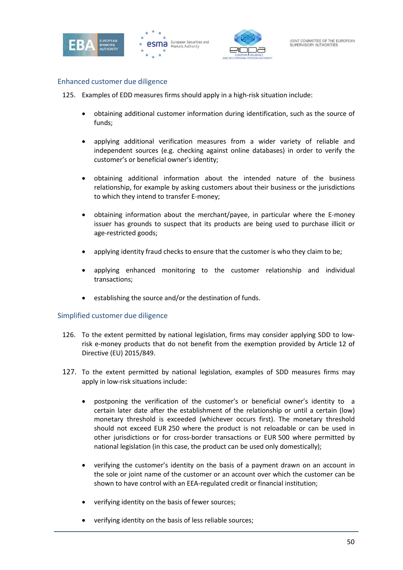





#### Enhanced customer due diligence

125. Examples of EDD measures firms should apply in a high-risk situation include:

- obtaining additional customer information during identification, such as the source of funds;
- applying additional verification measures from a wider variety of reliable and independent sources (e.g. checking against online databases) in order to verify the customer's or beneficial owner's identity;
- obtaining additional information about the intended nature of the business relationship, for example by asking customers about their business or the jurisdictions to which they intend to transfer E-money;
- obtaining information about the merchant/payee, in particular where the E-money issuer has grounds to suspect that its products are being used to purchase illicit or age-restricted goods;
- applying identity fraud checks to ensure that the customer is who they claim to be;
- applying enhanced monitoring to the customer relationship and individual transactions;
- establishing the source and/or the destination of funds.

#### Simplified customer due diligence

- 126. To the extent permitted by national legislation, firms may consider applying SDD to lowrisk e-money products that do not benefit from the exemption provided by Article 12 of Directive (EU) 2015/849.
- 127. To the extent permitted by national legislation, examples of SDD measures firms may apply in low-risk situations include:
	- postponing the verification of the customer's or beneficial owner's identity to a certain later date after the establishment of the relationship or until a certain (low) monetary threshold is exceeded (whichever occurs first). The monetary threshold should not exceed EUR 250 where the product is not reloadable or can be used in other jurisdictions or for cross-border transactions or EUR 500 where permitted by national legislation (in this case, the product can be used only domestically);
	- verifying the customer's identity on the basis of a payment drawn on an account in the sole or joint name of the customer or an account over which the customer can be shown to have control with an EEA-regulated credit or financial institution;
	- verifying identity on the basis of fewer sources;
	- verifying identity on the basis of less reliable sources;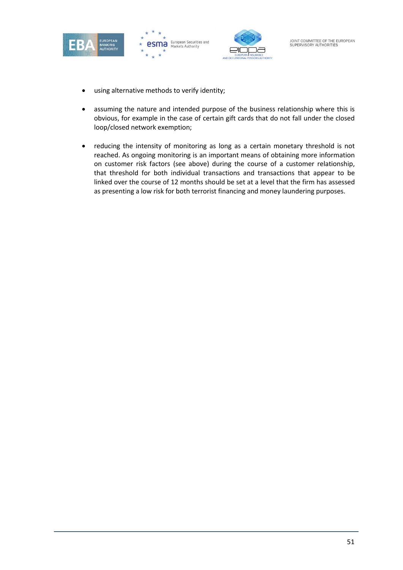





- using alternative methods to verify identity;
- assuming the nature and intended purpose of the business relationship where this is obvious, for example in the case of certain gift cards that do not fall under the closed loop/closed network exemption;
- reducing the intensity of monitoring as long as a certain monetary threshold is not reached. As ongoing monitoring is an important means of obtaining more information on customer risk factors (see above) during the course of a customer relationship, that threshold for both individual transactions and transactions that appear to be linked over the course of 12 months should be set at a level that the firm has assessed as presenting a low risk for both terrorist financing and money laundering purposes.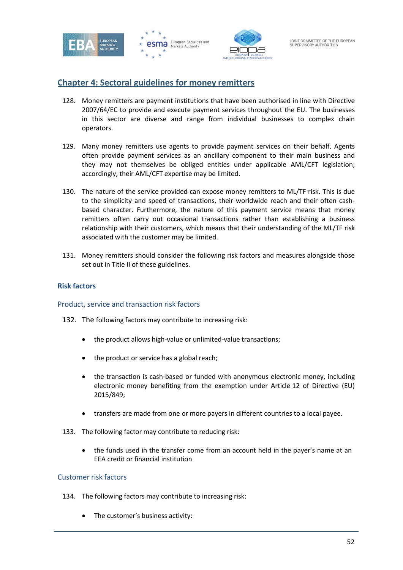





# **Chapter 4: Sectoral guidelines for money remitters**

- 128. Money remitters are payment institutions that have been authorised in line with Directive 2007/64/EC to provide and execute payment services throughout the EU. The businesses in this sector are diverse and range from individual businesses to complex chain operators.
- 129. Many money remitters use agents to provide payment services on their behalf. Agents often provide payment services as an ancillary component to their main business and they may not themselves be obliged entities under applicable AML/CFT legislation; accordingly, their AML/CFT expertise may be limited.
- 130. The nature of the service provided can expose money remitters to ML/TF risk. This is due to the simplicity and speed of transactions, their worldwide reach and their often cashbased character. Furthermore, the nature of this payment service means that money remitters often carry out occasional transactions rather than establishing a business relationship with their customers, which means that their understanding of the ML/TF risk associated with the customer may be limited.
- 131. Money remitters should consider the following risk factors and measures alongside those set out in Title II of these guidelines.

# **Risk factors**

# Product, service and transaction risk factors

- 132. The following factors may contribute to increasing risk:
	- the product allows high-value or unlimited-value transactions;
	- the product or service has a global reach;
	- the transaction is cash-based or funded with anonymous electronic money, including electronic money benefiting from the exemption under Article 12 of Directive (EU) 2015/849;
	- transfers are made from one or more payers in different countries to a local payee.
- 133. The following factor may contribute to reducing risk:
	- the funds used in the transfer come from an account held in the payer's name at an EEA credit or financial institution

# Customer risk factors

- 134. The following factors may contribute to increasing risk:
	- The customer's business activity: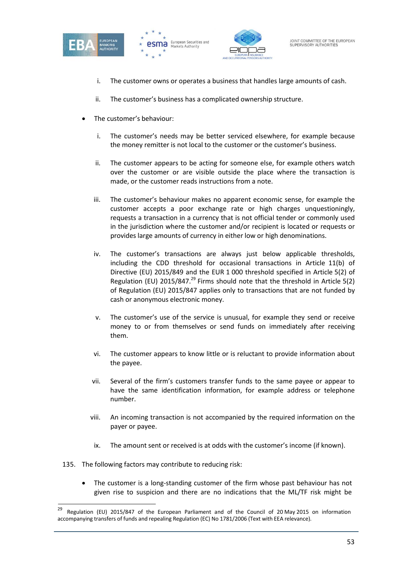





- i. The customer owns or operates a business that handles large amounts of cash.
- ii. The customer's business has a complicated ownership structure.
- The customer's behaviour:
	- i. The customer's needs may be better serviced elsewhere, for example because the money remitter is not local to the customer or the customer's business.
	- ii. The customer appears to be acting for someone else, for example others watch over the customer or are visible outside the place where the transaction is made, or the customer reads instructions from a note.
	- iii. The customer's behaviour makes no apparent economic sense, for example the customer accepts a poor exchange rate or high charges unquestioningly, requests a transaction in a currency that is not official tender or commonly used in the jurisdiction where the customer and/or recipient is located or requests or provides large amounts of currency in either low or high denominations.
	- iv. The customer's transactions are always just below applicable thresholds, including the CDD threshold for occasional transactions in Article 11(b) of Directive (EU) 2015/849 and the EUR 1 000 threshold specified in Article 5(2) of Regulation (EU) 2015/847.<sup>29</sup> Firms should note that the threshold in Article 5(2) of Regulation (EU) 2015/847 applies only to transactions that are not funded by cash or anonymous electronic money.
	- v. The customer's use of the service is unusual, for example they send or receive money to or from themselves or send funds on immediately after receiving them.
	- vi. The customer appears to know little or is reluctant to provide information about the payee.
	- vii. Several of the firm's customers transfer funds to the same payee or appear to have the same identification information, for example address or telephone number.
	- viii. An incoming transaction is not accompanied by the required information on the payer or payee.
	- ix. The amount sent or received is at odds with the customer's income (if known).
- 135. The following factors may contribute to reducing risk:
	- The customer is a long-standing customer of the firm whose past behaviour has not given rise to suspicion and there are no indications that the ML/TF risk might be

<sup>&</sup>lt;sup>29</sup> Regulation (EU) 2015/847 of the European Parliament and of the Council of 20 May 2015 on information accompanying transfers of funds and repealing Regulation (EC) No 1781/2006 (Text with EEA relevance).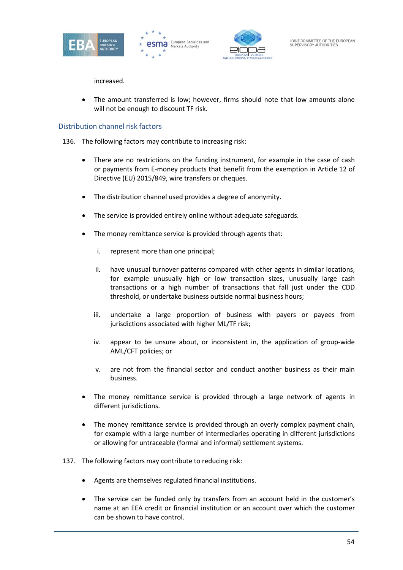





increased.

• The amount transferred is low; however, firms should note that low amounts alone will not be enough to discount TF risk.

# Distribution channel risk factors

- 136. The following factors may contribute to increasing risk:
	- There are no restrictions on the funding instrument, for example in the case of cash or payments from E-money products that benefit from the exemption in Article 12 of Directive (EU) 2015/849, wire transfers or cheques.
	- The distribution channel used provides a degree of anonymity.
	- The service is provided entirely online without adequate safeguards.
	- The money remittance service is provided through agents that:
		- i. represent more than one principal;
		- ii. have unusual turnover patterns compared with other agents in similar locations, for example unusually high or low transaction sizes, unusually large cash transactions or a high number of transactions that fall just under the CDD threshold, or undertake business outside normal business hours;
		- iii. undertake a large proportion of business with payers or payees from jurisdictions associated with higher ML/TF risk;
		- iv. appear to be unsure about, or inconsistent in, the application of group-wide AML/CFT policies; or
		- v. are not from the financial sector and conduct another business as their main business.
	- The money remittance service is provided through a large network of agents in different jurisdictions.
	- The money remittance service is provided through an overly complex payment chain, for example with a large number of intermediaries operating in different jurisdictions or allowing for untraceable (formal and informal) settlement systems.
- 137. The following factors may contribute to reducing risk:
	- Agents are themselves regulated financial institutions.
	- The service can be funded only by transfers from an account held in the customer's name at an EEA credit or financial institution or an account over which the customer can be shown to have control.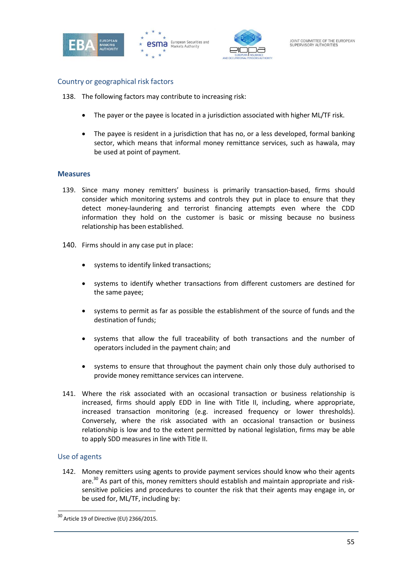





# Country or geographical risk factors

138. The following factors may contribute to increasing risk:

- The payer or the payee is located in a jurisdiction associated with higher ML/TF risk.
- The payee is resident in a jurisdiction that has no, or a less developed, formal banking sector, which means that informal money remittance services, such as hawala, may be used at point of payment.

#### **Measures**

- 139. Since many money remitters' business is primarily transaction-based, firms should consider which monitoring systems and controls they put in place to ensure that they detect money-laundering and terrorist financing attempts even where the CDD information they hold on the customer is basic or missing because no business relationship has been established.
- 140. Firms should in any case put in place:
	- systems to identify linked transactions;
	- systems to identify whether transactions from different customers are destined for the same payee;
	- systems to permit as far as possible the establishment of the source of funds and the destination of funds;
	- systems that allow the full traceability of both transactions and the number of operators included in the payment chain; and
	- systems to ensure that throughout the payment chain only those duly authorised to provide money remittance services can intervene.
- 141. Where the risk associated with an occasional transaction or business relationship is increased, firms should apply EDD in line with Title II, including, where appropriate, increased transaction monitoring (e.g. increased frequency or lower thresholds). Conversely, where the risk associated with an occasional transaction or business relationship is low and to the extent permitted by national legislation, firms may be able to apply SDD measures in line with Title II.

#### Use of agents

142. Money remitters using agents to provide payment services should know who their agents are.<sup>30</sup> As part of this, money remitters should establish and maintain appropriate and risksensitive policies and procedures to counter the risk that their agents may engage in, or be used for, ML/TF, including by:

 $30$  Article 19 of Directive (EU) 2366/2015.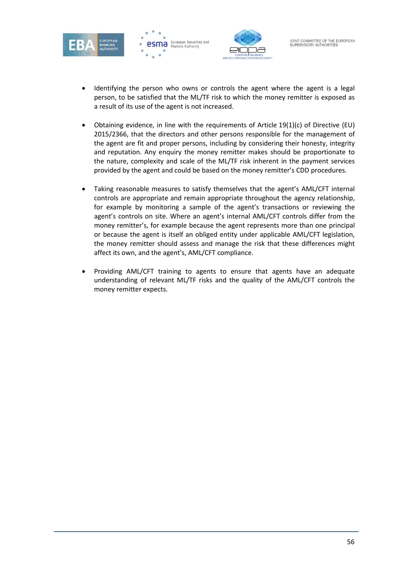





- Identifying the person who owns or controls the agent where the agent is a legal person, to be satisfied that the ML/TF risk to which the money remitter is exposed as a result of its use of the agent is not increased.
- Obtaining evidence, in line with the requirements of Article 19(1)(c) of Directive (EU) 2015/2366, that the directors and other persons responsible for the management of the agent are fit and proper persons, including by considering their honesty, integrity and reputation. Any enquiry the money remitter makes should be proportionate to the nature, complexity and scale of the ML/TF risk inherent in the payment services provided by the agent and could be based on the money remitter's CDD procedures.
- Taking reasonable measures to satisfy themselves that the agent's AML/CFT internal controls are appropriate and remain appropriate throughout the agency relationship, for example by monitoring a sample of the agent's transactions or reviewing the agent's controls on site. Where an agent's internal AML/CFT controls differ from the money remitter's, for example because the agent represents more than one principal or because the agent is itself an obliged entity under applicable AML/CFT legislation, the money remitter should assess and manage the risk that these differences might affect its own, and the agent's, AML/CFT compliance.
- Providing AML/CFT training to agents to ensure that agents have an adequate understanding of relevant ML/TF risks and the quality of the AML/CFT controls the money remitter expects.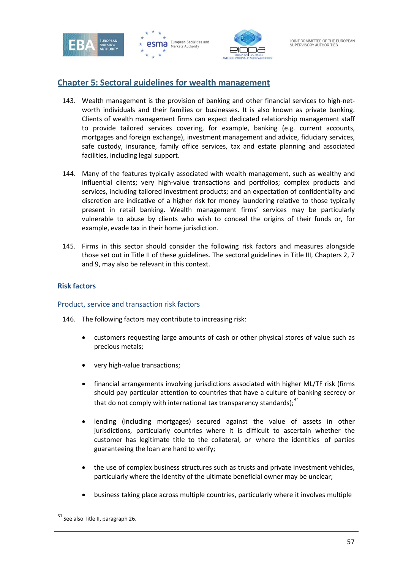





# **Chapter 5: Sectoral guidelines for wealth management**

- 143. Wealth management is the provision of banking and other financial services to high-networth individuals and their families or businesses. It is also known as private banking. Clients of wealth management firms can expect dedicated relationship management staff to provide tailored services covering, for example, banking (e.g. current accounts, mortgages and foreign exchange), investment management and advice, fiduciary services, safe custody, insurance, family office services, tax and estate planning and associated facilities, including legal support.
- 144. Many of the features typically associated with wealth management, such as wealthy and influential clients; very high-value transactions and portfolios; complex products and services, including tailored investment products; and an expectation of confidentiality and discretion are indicative of a higher risk for money laundering relative to those typically present in retail banking. Wealth management firms' services may be particularly vulnerable to abuse by clients who wish to conceal the origins of their funds or, for example, evade tax in their home jurisdiction.
- 145. Firms in this sector should consider the following risk factors and measures alongside those set out in Title II of these guidelines. The sectoral guidelines in Title III, Chapters 2, 7 and 9, may also be relevant in this context.

# **Risk factors**

# Product, service and transaction risk factors

- 146. The following factors may contribute to increasing risk:
	- customers requesting large amounts of cash or other physical stores of value such as precious metals;
	- very high-value transactions;
	- financial arrangements involving jurisdictions associated with higher ML/TF risk (firms should pay particular attention to countries that have a culture of banking secrecy or that do not comply with international tax transparency standards):  $31$
	- lending (including mortgages) secured against the value of assets in other jurisdictions, particularly countries where it is difficult to ascertain whether the customer has legitimate title to the collateral, or where the identities of parties guaranteeing the loan are hard to verify;
	- the use of complex business structures such as trusts and private investment vehicles, particularly where the identity of the ultimate beneficial owner may be unclear;
	- business taking place across multiple countries, particularly where it involves multiple

<sup>&</sup>lt;sup>31</sup> See also Title II, paragraph 26.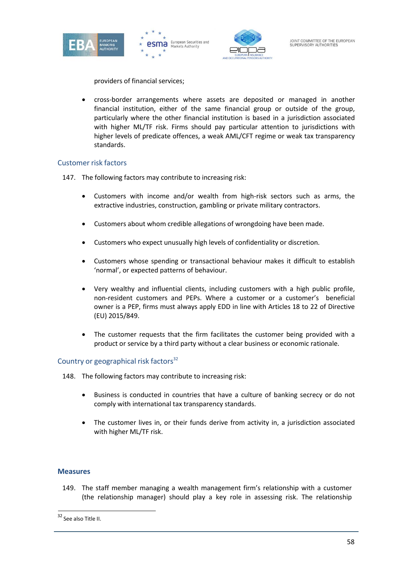





providers of financial services;

• cross-border arrangements where assets are deposited or managed in another financial institution, either of the same financial group or outside of the group, particularly where the other financial institution is based in a jurisdiction associated with higher ML/TF risk. Firms should pay particular attention to jurisdictions with higher levels of predicate offences, a weak AML/CFT regime or weak tax transparency standards.

# Customer risk factors

- 147. The following factors may contribute to increasing risk:
	- Customers with income and/or wealth from high-risk sectors such as arms, the extractive industries, construction, gambling or private military contractors.
	- Customers about whom credible allegations of wrongdoing have been made.
	- Customers who expect unusually high levels of confidentiality or discretion.
	- Customers whose spending or transactional behaviour makes it difficult to establish 'normal', or expected patterns of behaviour.
	- Very wealthy and influential clients, including customers with a high public profile, non-resident customers and PEPs. Where a customer or a customer's beneficial owner is a PEP, firms must always apply EDD in line with Articles 18 to 22 of Directive (EU) 2015/849.
	- The customer requests that the firm facilitates the customer being provided with a product or service by a third party without a clear business or economic rationale.

# Country or geographical risk factors<sup>32</sup>

- 148. The following factors may contribute to increasing risk:
	- Business is conducted in countries that have a culture of banking secrecy or do not comply with international tax transparency standards.
	- The customer lives in, or their funds derive from activity in, a jurisdiction associated with higher ML/TF risk.

# **Measures**

149. The staff member managing a wealth management firm's relationship with a customer (the relationship manager) should play a key role in assessing risk. The relationship

<sup>32</sup> See also Title II.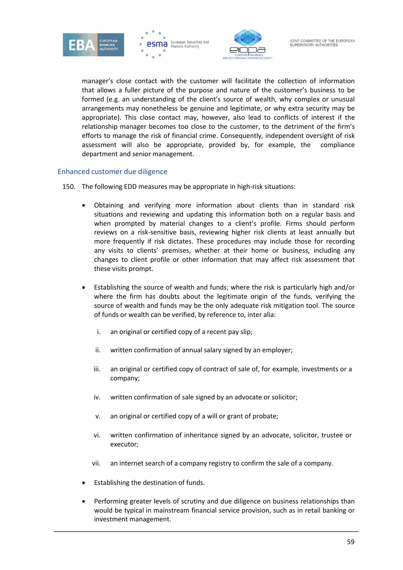





manager's close contact with the customer will facilitate the collection of information that allows a fuller picture of the purpose and nature of the customer's business to be formed (e.g. an understanding of the client's source of wealth, why complex or unusual arrangements may nonetheless be genuine and legitimate, or why extra security may be appropriate). This close contact may, however, also lead to conflicts of interest if the relationship manager becomes too close to the customer, to the detriment of the firm's efforts to manage the risk of financial crime. Consequently, independent oversight of risk assessment will also be appropriate, provided by, for example, the compliance department and senior management.

# Enhanced customer due diligence

- 150. The following EDD measures may be appropriate in high-risk situations:
	- Obtaining and verifying more information about clients than in standard risk situations and reviewing and updating this information both on a regular basis and when prompted by material changes to a client's profile. Firms should perform reviews on a risk-sensitive basis, reviewing higher risk clients at least annually but more frequently if risk dictates. These procedures may include those for recording any visits to clients' premises, whether at their home or business, including any changes to client profile or other information that may affect risk assessment that these visits prompt.
	- Establishing the source of wealth and funds; where the risk is particularly high and/or where the firm has doubts about the legitimate origin of the funds, verifying the source of wealth and funds may be the only adequate risk mitigation tool. The source of funds or wealth can be verified, by reference to, inter alia:
		- i. an original or certified copy of a recent pay slip;
		- ii. written confirmation of annual salary signed by an employer;
		- iii. an original or certified copy of contract of sale of, for example, investments or a company;
		- iv. written confirmation of sale signed by an advocate or solicitor;
		- v. an original or certified copy of a will or grant of probate;
		- vi. written confirmation of inheritance signed by an advocate, solicitor, trustee or executor;
		- vii. an internet search of a company registry to confirm the sale of a company.
	- Establishing the destination of funds.
	- Performing greater levels of scrutiny and due diligence on business relationships than would be typical in mainstream financial service provision, such as in retail banking or investment management.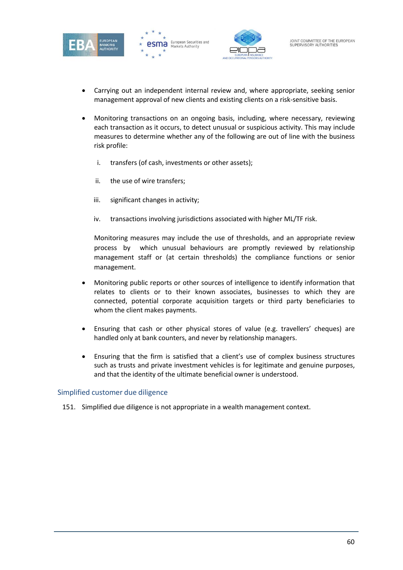





- Carrying out an independent internal review and, where appropriate, seeking senior management approval of new clients and existing clients on a risk-sensitive basis.
- Monitoring transactions on an ongoing basis, including, where necessary, reviewing each transaction as it occurs, to detect unusual or suspicious activity. This may include measures to determine whether any of the following are out of line with the business risk profile:
	- i. transfers (of cash, investments or other assets);
	- ii. the use of wire transfers;
	- iii. significant changes in activity;
	- iv. transactions involving jurisdictions associated with higher ML/TF risk.

Monitoring measures may include the use of thresholds, and an appropriate review process by which unusual behaviours are promptly reviewed by relationship management staff or (at certain thresholds) the compliance functions or senior management.

- Monitoring public reports or other sources of intelligence to identify information that relates to clients or to their known associates, businesses to which they are connected, potential corporate acquisition targets or third party beneficiaries to whom the client makes payments.
- Ensuring that cash or other physical stores of value (e.g. travellers' cheques) are handled only at bank counters, and never by relationship managers.
- Ensuring that the firm is satisfied that a client's use of complex business structures such as trusts and private investment vehicles is for legitimate and genuine purposes, and that the identity of the ultimate beneficial owner is understood.

#### Simplified customer due diligence

151. Simplified due diligence is not appropriate in a wealth management context.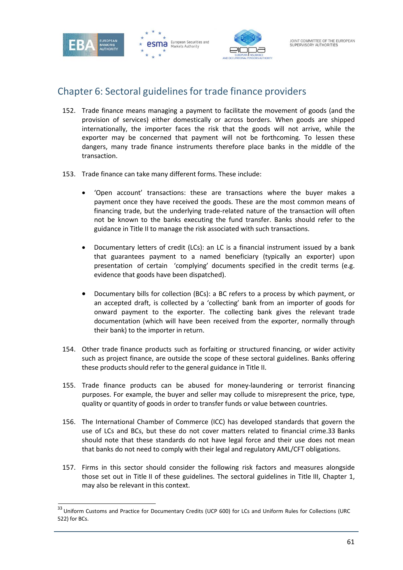



# Chapter 6: Sectoral guidelines for trade finance providers

- 152. Trade finance means managing a payment to facilitate the movement of goods (and the provision of services) either domestically or across borders. When goods are shipped internationally, the importer faces the risk that the goods will not arrive, while the exporter may be concerned that payment will not be forthcoming. To lessen these dangers, many trade finance instruments therefore place banks in the middle of the transaction.
- 153. Trade finance can take many different forms. These include:
	- 'Open account' transactions: these are transactions where the buyer makes a payment once they have received the goods. These are the most common means of financing trade, but the underlying trade-related nature of the transaction will often not be known to the banks executing the fund transfer. Banks should refer to the guidance in Title II to manage the risk associated with such transactions.
	- Documentary letters of credit (LCs): an LC is a financial instrument issued by a bank that guarantees payment to a named beneficiary (typically an exporter) upon presentation of certain 'complying' documents specified in the credit terms (e.g. evidence that goods have been dispatched).
	- Documentary bills for collection (BCs): a BC refers to a process by which payment, or an accepted draft, is collected by a 'collecting' bank from an importer of goods for onward payment to the exporter. The collecting bank gives the relevant trade documentation (which will have been received from the exporter, normally through their bank) to the importer in return.
- 154. Other trade finance products such as forfaiting or structured financing, or wider activity such as project finance, are outside the scope of these sectoral guidelines. Banks offering these products should refer to the general guidance in Title II.
- 155. Trade finance products can be abused for money-laundering or terrorist financing purposes. For example, the buyer and seller may collude to misrepresent the price, type, quality or quantity of goods in order to transfer funds or value between countries.
- 156. The International Chamber of Commerce (ICC) has developed standards that govern the use of LCs and BCs, but these do not cover matters related to financial crime.33 Banks should note that these standards do not have legal force and their use does not mean that banks do not need to comply with their legal and regulatory AML/CFT obligations.
- 157. Firms in this sector should consider the following risk factors and measures alongside those set out in Title II of these guidelines. The sectoral guidelines in Title III, Chapter 1, may also be relevant in this context.

<sup>33</sup> Uniform Customs and Practice for Documentary Credits (UCP 600) for LCs and Uniform Rules for Collections (URC 522) for BCs.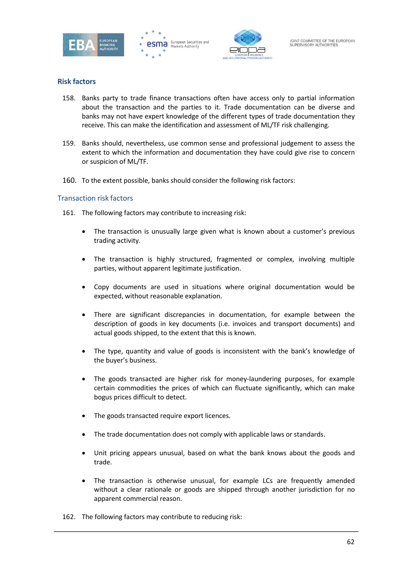





# **Risk factors**

- 158. Banks party to trade finance transactions often have access only to partial information about the transaction and the parties to it. Trade documentation can be diverse and banks may not have expert knowledge of the different types of trade documentation they receive. This can make the identification and assessment of ML/TF risk challenging.
- 159. Banks should, nevertheless, use common sense and professional judgement to assess the extent to which the information and documentation they have could give rise to concern or suspicion of ML/TF.
- 160. To the extent possible, banks should consider the following risk factors:

#### Transaction risk factors

- 161. The following factors may contribute to increasing risk:
	- The transaction is unusually large given what is known about a customer's previous trading activity.
	- The transaction is highly structured, fragmented or complex, involving multiple parties, without apparent legitimate justification.
	- Copy documents are used in situations where original documentation would be expected, without reasonable explanation.
	- There are significant discrepancies in documentation, for example between the description of goods in key documents (i.e. invoices and transport documents) and actual goods shipped, to the extent that this is known.
	- The type, quantity and value of goods is inconsistent with the bank's knowledge of the buyer's business.
	- The goods transacted are higher risk for money-laundering purposes, for example certain commodities the prices of which can fluctuate significantly, which can make bogus prices difficult to detect.
	- The goods transacted require export licences.
	- The trade documentation does not comply with applicable laws or standards.
	- Unit pricing appears unusual, based on what the bank knows about the goods and trade.
	- The transaction is otherwise unusual, for example LCs are frequently amended without a clear rationale or goods are shipped through another jurisdiction for no apparent commercial reason.
- 162. The following factors may contribute to reducing risk: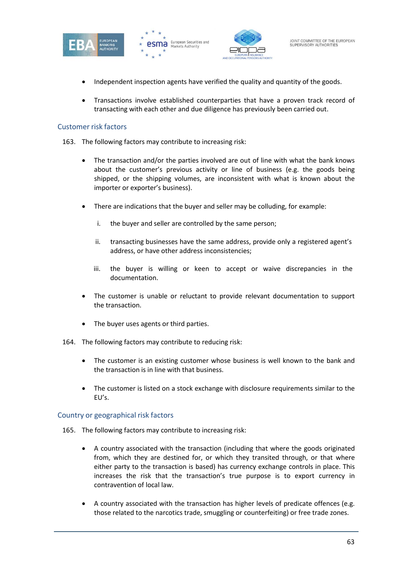







• Transactions involve established counterparties that have a proven track record of transacting with each other and due diligence has previously been carried out.

#### Customer risk factors

- 163. The following factors may contribute to increasing risk:
	- The transaction and/or the parties involved are out of line with what the bank knows about the customer's previous activity or line of business (e.g. the goods being shipped, or the shipping volumes, are inconsistent with what is known about the importer or exporter's business).
	- There are indications that the buyer and seller may be colluding, for example:
		- i. the buyer and seller are controlled by the same person;
		- ii. transacting businesses have the same address, provide only a registered agent's address, or have other address inconsistencies;
		- iii. the buyer is willing or keen to accept or waive discrepancies in the documentation.
	- The customer is unable or reluctant to provide relevant documentation to support the transaction.
	- The buyer uses agents or third parties.
- 164. The following factors may contribute to reducing risk:
	- The customer is an existing customer whose business is well known to the bank and the transaction is in line with that business.
	- The customer is listed on a stock exchange with disclosure requirements similar to the EU's.

#### Country or geographical risk factors

- 165. The following factors may contribute to increasing risk:
	- A country associated with the transaction (including that where the goods originated from, which they are destined for, or which they transited through, or that where either party to the transaction is based) has currency exchange controls in place. This increases the risk that the transaction's true purpose is to export currency in contravention of local law.
	- A country associated with the transaction has higher levels of predicate offences (e.g. those related to the narcotics trade, smuggling or counterfeiting) or free trade zones.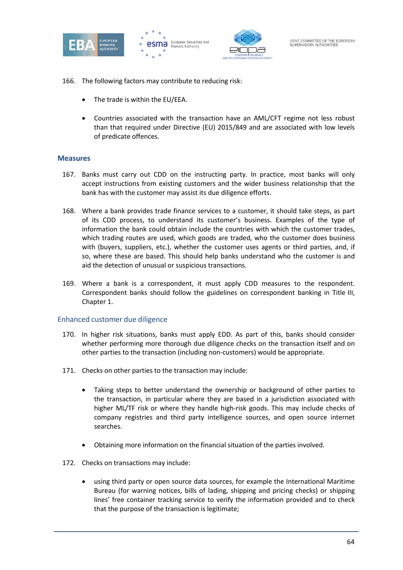





- 166. The following factors may contribute to reducing risk:
	- The trade is within the EU/EEA.
	- Countries associated with the transaction have an AML/CFT regime not less robust than that required under Directive (EU) 2015/849 and are associated with low levels of predicate offences.

#### **Measures**

- 167. Banks must carry out CDD on the instructing party. In practice, most banks will only accept instructions from existing customers and the wider business relationship that the bank has with the customer may assist its due diligence efforts.
- 168. Where a bank provides trade finance services to a customer, it should take steps, as part of its CDD process, to understand its customer's business. Examples of the type of information the bank could obtain include the countries with which the customer trades, which trading routes are used, which goods are traded, who the customer does business with (buyers, suppliers, etc.), whether the customer uses agents or third parties, and, if so, where these are based. This should help banks understand who the customer is and aid the detection of unusual or suspicious transactions.
- 169. Where a bank is a correspondent, it must apply CDD measures to the respondent. Correspondent banks should follow the guidelines on correspondent banking in Title III, Chapter 1.

#### Enhanced customer due diligence

- 170. In higher risk situations, banks must apply EDD. As part of this, banks should consider whether performing more thorough due diligence checks on the transaction itself and on other parties to the transaction (including non-customers) would be appropriate.
- 171. Checks on other parties to the transaction may include:
	- Taking steps to better understand the ownership or background of other parties to the transaction, in particular where they are based in a jurisdiction associated with higher ML/TF risk or where they handle high-risk goods. This may include checks of company registries and third party intelligence sources, and open source internet searches.
	- Obtaining more information on the financial situation of the parties involved.
- 172. Checks on transactions may include:
	- using third party or open source data sources, for example the International Maritime Bureau (for warning notices, bills of lading, shipping and pricing checks) or shipping lines' free container tracking service to verify the information provided and to check that the purpose of the transaction is legitimate;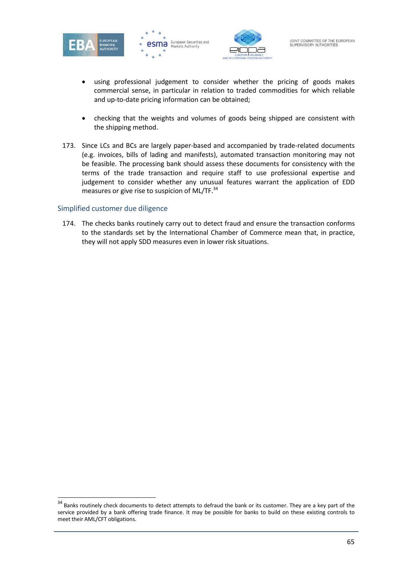





- using professional judgement to consider whether the pricing of goods makes commercial sense, in particular in relation to traded commodities for which reliable and up-to-date pricing information can be obtained;
- checking that the weights and volumes of goods being shipped are consistent with the shipping method.
- 173. Since LCs and BCs are largely paper-based and accompanied by trade-related documents (e.g. invoices, bills of lading and manifests), automated transaction monitoring may not be feasible. The processing bank should assess these documents for consistency with the terms of the trade transaction and require staff to use professional expertise and judgement to consider whether any unusual features warrant the application of EDD measures or give rise to suspicion of ML/TF.<sup>34</sup>

# Simplified customer due diligence

174. The checks banks routinely carry out to detect fraud and ensure the transaction conforms to the standards set by the International Chamber of Commerce mean that, in practice, they will not apply SDD measures even in lower risk situations.

<sup>&</sup>lt;sup>34</sup> Banks routinely check documents to detect attempts to defraud the bank or its customer. They are a key part of the service provided by a bank offering trade finance. It may be possible for banks to build on these existing controls to meet their AML/CFT obligations.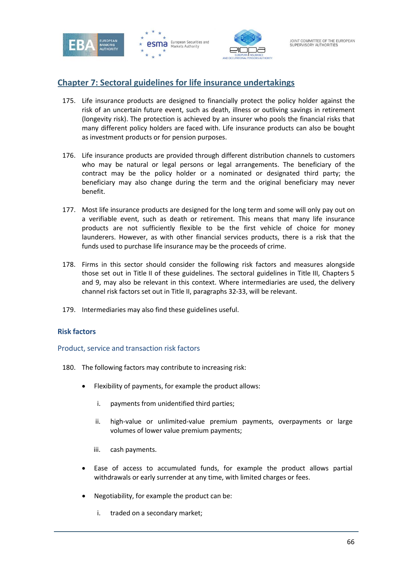





# **Chapter 7: Sectoral guidelines for life insurance undertakings**

- 175. Life insurance products are designed to financially protect the policy holder against the risk of an uncertain future event, such as death, illness or outliving savings in retirement (longevity risk). The protection is achieved by an insurer who pools the financial risks that many different policy holders are faced with. Life insurance products can also be bought as investment products or for pension purposes.
- 176. Life insurance products are provided through different distribution channels to customers who may be natural or legal persons or legal arrangements. The beneficiary of the contract may be the policy holder or a nominated or designated third party; the beneficiary may also change during the term and the original beneficiary may never benefit.
- 177. Most life insurance products are designed for the long term and some will only pay out on a verifiable event, such as death or retirement. This means that many life insurance products are not sufficiently flexible to be the first vehicle of choice for money launderers. However, as with other financial services products, there is a risk that the funds used to purchase life insurance may be the proceeds of crime.
- 178. Firms in this sector should consider the following risk factors and measures alongside those set out in Title II of these guidelines. The sectoral guidelines in Title III, Chapters 5 and 9, may also be relevant in this context. Where intermediaries are used, the delivery channel risk factors set out in Title II, paragraphs 32-33, will be relevant.
- 179. Intermediaries may also find these guidelines useful.

# **Risk factors**

#### Product, service and transaction risk factors

- 180. The following factors may contribute to increasing risk:
	- Flexibility of payments, for example the product allows:
		- i. payments from unidentified third parties;
		- ii. high-value or unlimited-value premium payments, overpayments or large volumes of lower value premium payments;
		- iii. cash payments.
	- Ease of access to accumulated funds, for example the product allows partial withdrawals or early surrender at any time, with limited charges or fees.
	- Negotiability, for example the product can be:
		- i. traded on a secondary market;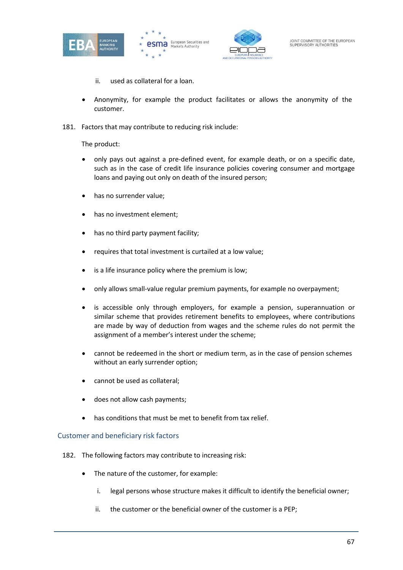





- ii. used as collateral for a loan.
- Anonymity, for example the product facilitates or allows the anonymity of the customer.
- 181. Factors that may contribute to reducing risk include:

The product:

- only pays out against a pre-defined event, for example death, or on a specific date, such as in the case of credit life insurance policies covering consumer and mortgage loans and paying out only on death of the insured person;
- has no surrender value;
- has no investment element:
- has no third party payment facility;
- requires that total investment is curtailed at a low value;
- is a life insurance policy where the premium is low;
- only allows small-value regular premium payments, for example no overpayment;
- is accessible only through employers, for example a pension, superannuation or similar scheme that provides retirement benefits to employees, where contributions are made by way of deduction from wages and the scheme rules do not permit the assignment of a member's interest under the scheme;
- cannot be redeemed in the short or medium term, as in the case of pension schemes without an early surrender option;
- cannot be used as collateral;
- does not allow cash payments;
- has conditions that must be met to benefit from tax relief.

# Customer and beneficiary risk factors

- 182. The following factors may contribute to increasing risk:
	- The nature of the customer, for example:
		- i. legal persons whose structure makes it difficult to identify the beneficial owner;
		- ii. the customer or the beneficial owner of the customer is a PEP;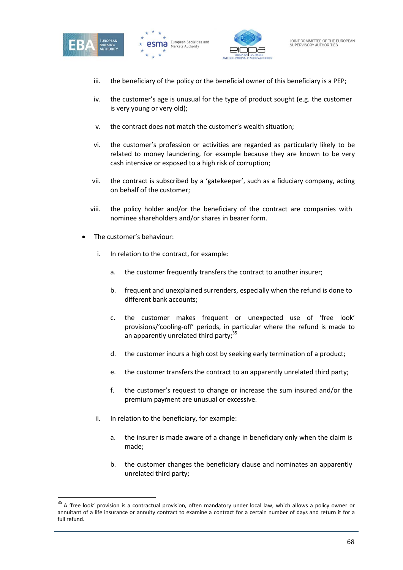





- iii. the beneficiary of the policy or the beneficial owner of this beneficiary is a PEP;
- iv. the customer's age is unusual for the type of product sought (e.g. the customer is very young or very old);
- v. the contract does not match the customer's wealth situation;
- vi. the customer's profession or activities are regarded as particularly likely to be related to money laundering, for example because they are known to be very cash intensive or exposed to a high risk of corruption;
- vii. the contract is subscribed by a 'gatekeeper', such as a fiduciary company, acting on behalf of the customer;
- viii. the policy holder and/or the beneficiary of the contract are companies with nominee shareholders and/or shares in bearer form.
- The customer's behaviour:
	- i. In relation to the contract, for example:
		- a. the customer frequently transfers the contract to another insurer;
		- b. frequent and unexplained surrenders, especially when the refund is done to different bank accounts;
		- c. the customer makes frequent or unexpected use of 'free look' provisions/'cooling-off' periods, in particular where the refund is made to an apparently unrelated third party; $35$
		- d. the customer incurs a high cost by seeking early termination of a product;
		- e. the customer transfers the contract to an apparently unrelated third party;
		- f. the customer's request to change or increase the sum insured and/or the premium payment are unusual or excessive.
	- ii. In relation to the beneficiary, for example:
		- a. the insurer is made aware of a change in beneficiary only when the claim is made;
		- b. the customer changes the beneficiary clause and nominates an apparently unrelated third party;

 $35$  A 'free look' provision is a contractual provision, often mandatory under local law, which allows a policy owner or annuitant of a life insurance or annuity contract to examine a contract for a certain number of days and return it for a full refund.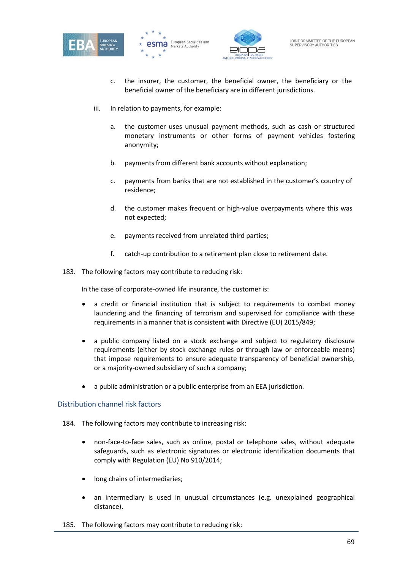





- c. the insurer, the customer, the beneficial owner, the beneficiary or the beneficial owner of the beneficiary are in different jurisdictions.
- iii. In relation to payments, for example:
	- a. the customer uses unusual payment methods, such as cash or structured monetary instruments or other forms of payment vehicles fostering anonymity;
	- b. payments from different bank accounts without explanation;
	- c. payments from banks that are not established in the customer's country of residence;
	- d. the customer makes frequent or high-value overpayments where this was not expected;
	- e. payments received from unrelated third parties;
	- f. catch-up contribution to a retirement plan close to retirement date.
- 183. The following factors may contribute to reducing risk:

In the case of corporate-owned life insurance, the customer is:

- a credit or financial institution that is subject to requirements to combat money laundering and the financing of terrorism and supervised for compliance with these requirements in a manner that is consistent with Directive (EU) 2015/849;
- a public company listed on a stock exchange and subject to regulatory disclosure requirements (either by stock exchange rules or through law or enforceable means) that impose requirements to ensure adequate transparency of beneficial ownership, or a majority-owned subsidiary of such a company;
- a public administration or a public enterprise from an EEA jurisdiction.

#### Distribution channel risk factors

- 184. The following factors may contribute to increasing risk:
	- non-face-to-face sales, such as online, postal or telephone sales, without adequate safeguards, such as electronic signatures or electronic identification documents that comply with Regulation (EU) No 910/2014;
	- long chains of intermediaries;
	- an intermediary is used in unusual circumstances (e.g. unexplained geographical distance).
- 185. The following factors may contribute to reducing risk: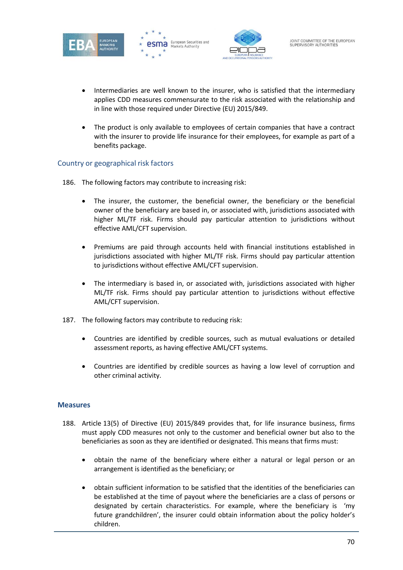





- Intermediaries are well known to the insurer, who is satisfied that the intermediary applies CDD measures commensurate to the risk associated with the relationship and in line with those required under Directive (EU) 2015/849.
- The product is only available to employees of certain companies that have a contract with the insurer to provide life insurance for their employees, for example as part of a benefits package.

# Country or geographical risk factors

- 186. The following factors may contribute to increasing risk:
	- The insurer, the customer, the beneficial owner, the beneficiary or the beneficial owner of the beneficiary are based in, or associated with, jurisdictions associated with higher ML/TF risk. Firms should pay particular attention to jurisdictions without effective AML/CFT supervision.
	- Premiums are paid through accounts held with financial institutions established in jurisdictions associated with higher ML/TF risk. Firms should pay particular attention to jurisdictions without effective AML/CFT supervision.
	- The intermediary is based in, or associated with, jurisdictions associated with higher ML/TF risk. Firms should pay particular attention to jurisdictions without effective AML/CFT supervision.
- 187. The following factors may contribute to reducing risk:
	- Countries are identified by credible sources, such as mutual evaluations or detailed assessment reports, as having effective AML/CFT systems.
	- Countries are identified by credible sources as having a low level of corruption and other criminal activity.

# **Measures**

- 188. Article 13(5) of Directive (EU) 2015/849 provides that, for life insurance business, firms must apply CDD measures not only to the customer and beneficial owner but also to the beneficiaries as soon as they are identified or designated. This means that firms must:
	- obtain the name of the beneficiary where either a natural or legal person or an arrangement is identified as the beneficiary; or
	- obtain sufficient information to be satisfied that the identities of the beneficiaries can be established at the time of payout where the beneficiaries are a class of persons or designated by certain characteristics. For example, where the beneficiary is 'my future grandchildren', the insurer could obtain information about the policy holder's children.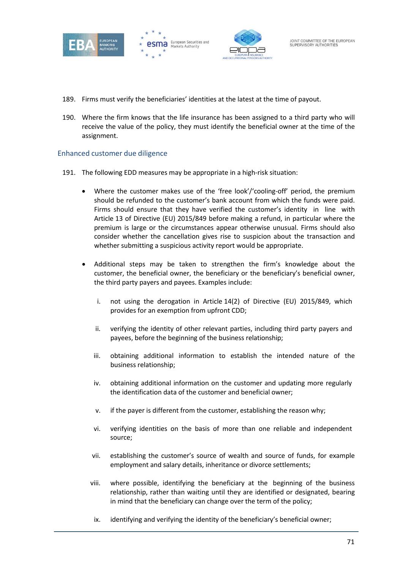





- 189. Firms must verify the beneficiaries' identities at the latest at the time of payout.
- 190. Where the firm knows that the life insurance has been assigned to a third party who will receive the value of the policy, they must identify the beneficial owner at the time of the assignment.

# Enhanced customer due diligence

- 191. The following EDD measures may be appropriate in a high-risk situation:
	- Where the customer makes use of the 'free look'/'cooling-off' period, the premium should be refunded to the customer's bank account from which the funds were paid. Firms should ensure that they have verified the customer's identity in line with Article 13 of Directive (EU) 2015/849 before making a refund, in particular where the premium is large or the circumstances appear otherwise unusual. Firms should also consider whether the cancellation gives rise to suspicion about the transaction and whether submitting a suspicious activity report would be appropriate.
	- Additional steps may be taken to strengthen the firm's knowledge about the customer, the beneficial owner, the beneficiary or the beneficiary's beneficial owner, the third party payers and payees. Examples include:
		- i. not using the derogation in Article 14(2) of Directive (EU) 2015/849, which provides for an exemption from upfront CDD;
		- ii. verifying the identity of other relevant parties, including third party payers and payees, before the beginning of the business relationship;
		- iii. obtaining additional information to establish the intended nature of the business relationship;
		- iv. obtaining additional information on the customer and updating more regularly the identification data of the customer and beneficial owner;
		- v. if the payer is different from the customer, establishing the reason why;
		- vi. verifying identities on the basis of more than one reliable and independent source;
		- vii. establishing the customer's source of wealth and source of funds, for example employment and salary details, inheritance or divorce settlements;
		- viii. where possible, identifying the beneficiary at the beginning of the business relationship, rather than waiting until they are identified or designated, bearing in mind that the beneficiary can change over the term of the policy;
		- ix. identifying and verifying the identity of the beneficiary's beneficial owner;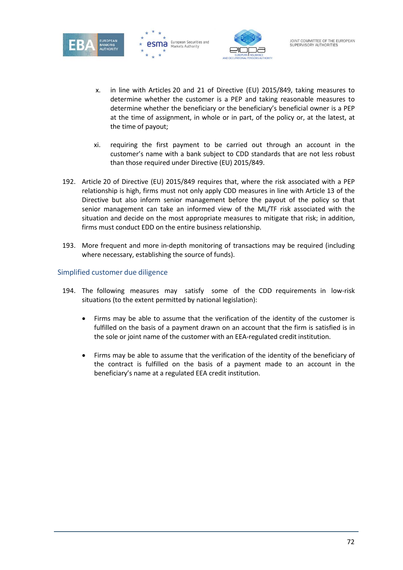





- x. in line with Articles 20 and 21 of Directive (EU) 2015/849, taking measures to determine whether the customer is a PEP and taking reasonable measures to determine whether the beneficiary or the beneficiary's beneficial owner is a PEP at the time of assignment, in whole or in part, of the policy or, at the latest, at the time of payout;
- xi. requiring the first payment to be carried out through an account in the customer's name with a bank subject to CDD standards that are not less robust than those required under Directive (EU) 2015/849.
- 192. Article 20 of Directive (EU) 2015/849 requires that, where the risk associated with a PEP relationship is high, firms must not only apply CDD measures in line with Article 13 of the Directive but also inform senior management before the payout of the policy so that senior management can take an informed view of the ML/TF risk associated with the situation and decide on the most appropriate measures to mitigate that risk; in addition, firms must conduct EDD on the entire business relationship.
- 193. More frequent and more in-depth monitoring of transactions may be required (including where necessary, establishing the source of funds).

# Simplified customer due diligence

- 194. The following measures may satisfy some of the CDD requirements in low-risk situations (to the extent permitted by national legislation):
	- Firms may be able to assume that the verification of the identity of the customer is fulfilled on the basis of a payment drawn on an account that the firm is satisfied is in the sole or joint name of the customer with an EEA-regulated credit institution.
	- Firms may be able to assume that the verification of the identity of the beneficiary of the contract is fulfilled on the basis of a payment made to an account in the beneficiary's name at a regulated EEA credit institution.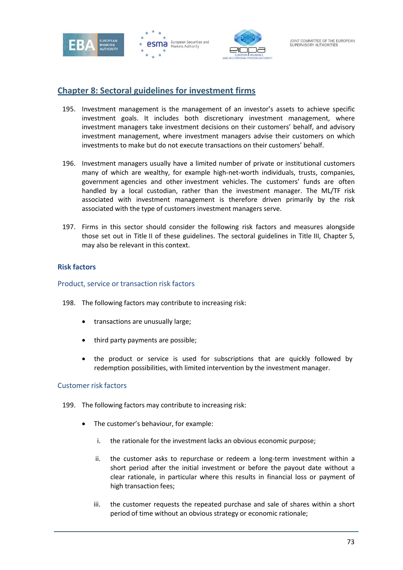





## **Chapter 8: Sectoral guidelines for investment firms**

- 195. Investment management is the management of an investor's assets to achieve specific investment goals. It includes both discretionary investment management, where investment managers take investment decisions on their customers' behalf, and advisory investment management, where investment managers advise their customers on which investments to make but do not execute transactions on their customers' behalf.
- 196. Investment managers usually have a limited number of private or institutional customers many of which are wealthy, for example high-net-worth individuals, trusts, companies, government agencies and other investment vehicles. The customers' funds are often handled by a local custodian, rather than the investment manager. The ML/TF risk associated with investment management is therefore driven primarily by the risk associated with the type of customers investment managers serve.
- 197. Firms in this sector should consider the following risk factors and measures alongside those set out in Title II of these guidelines. The sectoral guidelines in Title III, Chapter 5, may also be relevant in this context.

#### **Risk factors**

#### Product, service or transaction risk factors

- 198. The following factors may contribute to increasing risk:
	- transactions are unusually large;
	- third party payments are possible;
	- the product or service is used for subscriptions that are quickly followed by redemption possibilities, with limited intervention by the investment manager.

#### Customer risk factors

- 199. The following factors may contribute to increasing risk:
	- The customer's behaviour, for example:
		- i. the rationale for the investment lacks an obvious economic purpose;
		- ii. the customer asks to repurchase or redeem a long-term investment within a short period after the initial investment or before the payout date without a clear rationale, in particular where this results in financial loss or payment of high transaction fees;
		- iii. the customer requests the repeated purchase and sale of shares within a short period of time without an obvious strategy or economic rationale;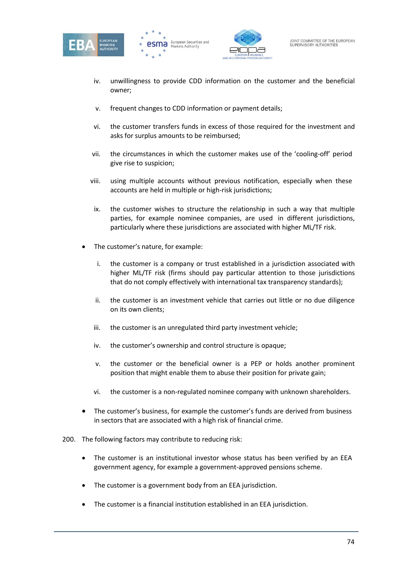





- iv. unwillingness to provide CDD information on the customer and the beneficial owner;
- v. frequent changes to CDD information or payment details;
- vi. the customer transfers funds in excess of those required for the investment and asks for surplus amounts to be reimbursed;
- vii. the circumstances in which the customer makes use of the 'cooling-off' period give rise to suspicion;
- viii. using multiple accounts without previous notification, especially when these accounts are held in multiple or high-risk jurisdictions;
- ix. the customer wishes to structure the relationship in such a way that multiple parties, for example nominee companies, are used in different jurisdictions, particularly where these jurisdictions are associated with higher ML/TF risk.
- The customer's nature, for example:
	- i. the customer is a company or trust established in a jurisdiction associated with higher ML/TF risk (firms should pay particular attention to those jurisdictions that do not comply effectively with international tax transparency standards);
	- ii. the customer is an investment vehicle that carries out little or no due diligence on its own clients;
	- iii. the customer is an unregulated third party investment vehicle;
	- iv. the customer's ownership and control structure is opaque;
	- v. the customer or the beneficial owner is a PEP or holds another prominent position that might enable them to abuse their position for private gain;
	- vi. the customer is a non-regulated nominee company with unknown shareholders.
- The customer's business, for example the customer's funds are derived from business in sectors that are associated with a high risk of financial crime.
- 200. The following factors may contribute to reducing risk:
	- The customer is an institutional investor whose status has been verified by an EEA government agency, for example a government-approved pensions scheme.
	- The customer is a government body from an EEA jurisdiction.
	- The customer is a financial institution established in an EEA jurisdiction.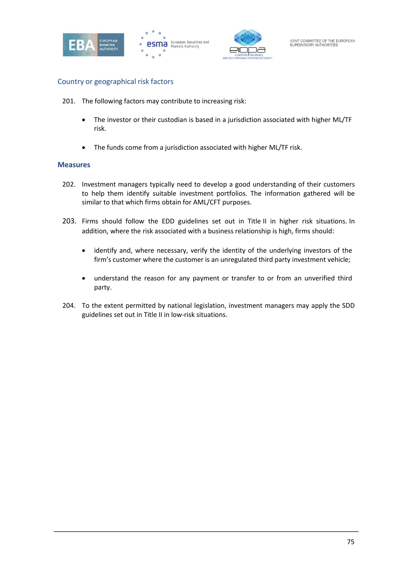





#### Country or geographical risk factors

- 201. The following factors may contribute to increasing risk:
	- The investor or their custodian is based in a jurisdiction associated with higher ML/TF risk.
	- The funds come from a jurisdiction associated with higher ML/TF risk.

#### **Measures**

- 202. Investment managers typically need to develop a good understanding of their customers to help them identify suitable investment portfolios. The information gathered will be similar to that which firms obtain for AML/CFT purposes.
- 203. Firms should follow the EDD guidelines set out in Title II in higher risk situations. In addition, where the risk associated with a business relationship is high, firms should:
	- identify and, where necessary, verify the identity of the underlying investors of the firm's customer where the customer is an unregulated third party investment vehicle;
	- understand the reason for any payment or transfer to or from an unverified third party.
- 204. To the extent permitted by national legislation, investment managers may apply the SDD guidelines set out in Title II in low-risk situations.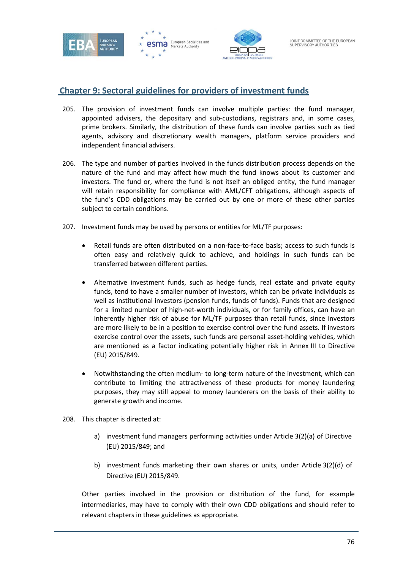





## **Chapter 9: Sectoral guidelines for providers of investment funds**

- 205. The provision of investment funds can involve multiple parties: the fund manager, appointed advisers, the depositary and sub-custodians, registrars and, in some cases, prime brokers. Similarly, the distribution of these funds can involve parties such as tied agents, advisory and discretionary wealth managers, platform service providers and independent financial advisers.
- 206. The type and number of parties involved in the funds distribution process depends on the nature of the fund and may affect how much the fund knows about its customer and investors. The fund or, where the fund is not itself an obliged entity, the fund manager will retain responsibility for compliance with AML/CFT obligations, although aspects of the fund's CDD obligations may be carried out by one or more of these other parties subject to certain conditions.
- 207. Investment funds may be used by persons or entities for ML/TF purposes:
	- Retail funds are often distributed on a non-face-to-face basis; access to such funds is often easy and relatively quick to achieve, and holdings in such funds can be transferred between different parties.
	- Alternative investment funds, such as hedge funds, real estate and private equity funds, tend to have a smaller number of investors, which can be private individuals as well as institutional investors (pension funds, funds of funds). Funds that are designed for a limited number of high-net-worth individuals, or for family offices, can have an inherently higher risk of abuse for ML/TF purposes than retail funds, since investors are more likely to be in a position to exercise control over the fund assets. If investors exercise control over the assets, such funds are personal asset-holding vehicles, which are mentioned as a factor indicating potentially higher risk in Annex III to Directive (EU) 2015/849.
	- Notwithstanding the often medium- to long-term nature of the investment, which can contribute to limiting the attractiveness of these products for money laundering purposes, they may still appeal to money launderers on the basis of their ability to generate growth and income.
- 208. This chapter is directed at:
	- a) investment fund managers performing activities under Article 3(2)(a) of Directive (EU) 2015/849; and
	- b) investment funds marketing their own shares or units, under Article 3(2)(d) of Directive (EU) 2015/849.

Other parties involved in the provision or distribution of the fund, for example intermediaries, may have to comply with their own CDD obligations and should refer to relevant chapters in these guidelines as appropriate.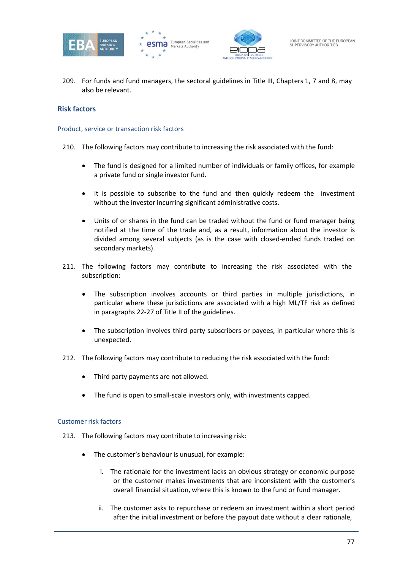





209. For funds and fund managers, the sectoral guidelines in Title III, Chapters 1, 7 and 8, may also be relevant.

#### **Risk factors**

#### Product, service or transaction risk factors

- 210. The following factors may contribute to increasing the risk associated with the fund:
	- The fund is designed for a limited number of individuals or family offices, for example a private fund or single investor fund.
	- It is possible to subscribe to the fund and then quickly redeem the investment without the investor incurring significant administrative costs.
	- Units of or shares in the fund can be traded without the fund or fund manager being notified at the time of the trade and, as a result, information about the investor is divided among several subjects (as is the case with closed-ended funds traded on secondary markets).
- 211. The following factors may contribute to increasing the risk associated with the subscription:
	- The subscription involves accounts or third parties in multiple jurisdictions, in particular where these jurisdictions are associated with a high ML/TF risk as defined in paragraphs 22-27 of Title II of the guidelines.
	- The subscription involves third party subscribers or payees, in particular where this is unexpected.
- 212. The following factors may contribute to reducing the risk associated with the fund:
	- Third party payments are not allowed.
	- The fund is open to small-scale investors only, with investments capped.

#### Customer risk factors

- 213. The following factors may contribute to increasing risk:
	- The customer's behaviour is unusual, for example:
		- i. The rationale for the investment lacks an obvious strategy or economic purpose or the customer makes investments that are inconsistent with the customer's overall financial situation, where this is known to the fund or fund manager.
		- ii. The customer asks to repurchase or redeem an investment within a short period after the initial investment or before the payout date without a clear rationale,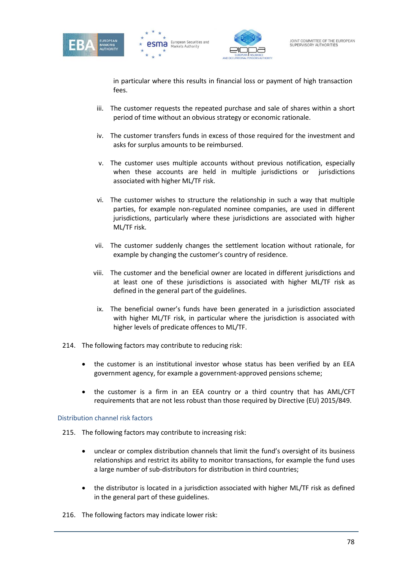





in particular where this results in financial loss or payment of high transaction fees.

- iii. The customer requests the repeated purchase and sale of shares within a short period of time without an obvious strategy or economic rationale.
- iv. The customer transfers funds in excess of those required for the investment and asks for surplus amounts to be reimbursed.
- v. The customer uses multiple accounts without previous notification, especially when these accounts are held in multiple jurisdictions or jurisdictions associated with higher ML/TF risk.
- vi. The customer wishes to structure the relationship in such a way that multiple parties, for example non-regulated nominee companies, are used in different jurisdictions, particularly where these jurisdictions are associated with higher ML/TF risk.
- vii. The customer suddenly changes the settlement location without rationale, for example by changing the customer's country of residence.
- viii. The customer and the beneficial owner are located in different jurisdictions and at least one of these jurisdictions is associated with higher ML/TF risk as defined in the general part of the guidelines.
- ix. The beneficial owner's funds have been generated in a jurisdiction associated with higher ML/TF risk, in particular where the jurisdiction is associated with higher levels of predicate offences to ML/TF.
- 214. The following factors may contribute to reducing risk:
	- the customer is an institutional investor whose status has been verified by an EEA government agency, for example a government-approved pensions scheme;
	- the customer is a firm in an EEA country or a third country that has AML/CFT requirements that are not less robust than those required by Directive (EU) 2015/849.

#### Distribution channel risk factors

- 215. The following factors may contribute to increasing risk:
	- unclear or complex distribution channels that limit the fund's oversight of its business relationships and restrict its ability to monitor transactions, for example the fund uses a large number of sub-distributors for distribution in third countries;
	- the distributor is located in a jurisdiction associated with higher ML/TF risk as defined in the general part of these guidelines.
- 216. The following factors may indicate lower risk: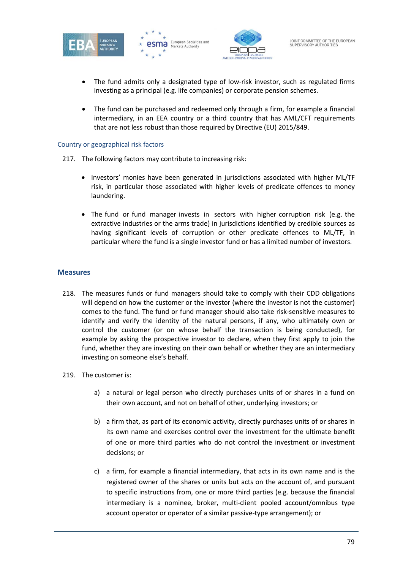





- The fund admits only a designated type of low-risk investor, such as regulated firms investing as a principal (e.g. life companies) or corporate pension schemes.
- The fund can be purchased and redeemed only through a firm, for example a financial intermediary, in an EEA country or a third country that has AML/CFT requirements that are not less robust than those required by Directive (EU) 2015/849.

#### Country or geographical risk factors

- 217. The following factors may contribute to increasing risk:
	- Investors' monies have been generated in jurisdictions associated with higher ML/TF risk, in particular those associated with higher levels of predicate offences to money laundering.
	- The fund or fund manager invests in sectors with higher corruption risk (e.g. the extractive industries or the arms trade) in jurisdictions identified by credible sources as having significant levels of corruption or other predicate offences to ML/TF, in particular where the fund is a single investor fund or has a limited number of investors.

#### **Measures**

- 218. The measures funds or fund managers should take to comply with their CDD obligations will depend on how the customer or the investor (where the investor is not the customer) comes to the fund. The fund or fund manager should also take risk-sensitive measures to identify and verify the identity of the natural persons, if any, who ultimately own or control the customer (or on whose behalf the transaction is being conducted), for example by asking the prospective investor to declare, when they first apply to join the fund, whether they are investing on their own behalf or whether they are an intermediary investing on someone else's behalf.
- 219. The customer is:
	- a) a natural or legal person who directly purchases units of or shares in a fund on their own account, and not on behalf of other, underlying investors; or
	- b) a firm that, as part of its economic activity, directly purchases units of or shares in its own name and exercises control over the investment for the ultimate benefit of one or more third parties who do not control the investment or investment decisions; or
	- c) a firm, for example a financial intermediary, that acts in its own name and is the registered owner of the shares or units but acts on the account of, and pursuant to specific instructions from, one or more third parties (e.g. because the financial intermediary is a nominee, broker, multi-client pooled account/omnibus type account operator or operator of a similar passive-type arrangement); or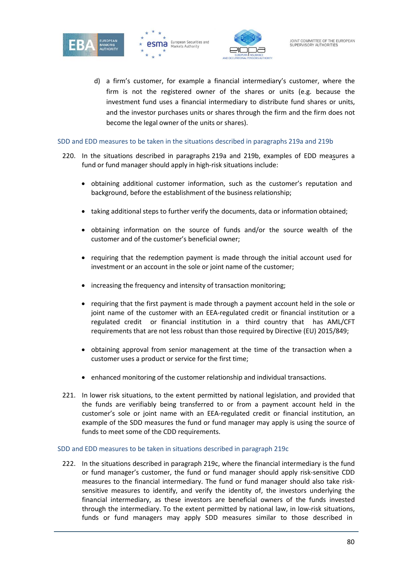





d) a firm's customer, for example a financial intermediary's customer, where the firm is not the registered owner of the shares or units (e.g. because the investment fund uses a financial intermediary to distribute fund shares or units, and the investor purchases units or shares through the firm and the firm does not become the legal owner of the units or shares).

#### SDD and EDD measures to be taken in the situations described in paragraphs 219a and 219b

- 220. In the situations described in paragraphs 219a and 219b, examples of EDD measures a fund or fund manager should apply in high-risk situations include:
	- obtaining additional customer information, such as the customer's reputation and background, before the establishment of the business relationship;
	- taking additional steps to further verify the documents, data or information obtained;
	- obtaining information on the source of funds and/or the source wealth of the customer and of the customer's beneficial owner;
	- requiring that the redemption payment is made through the initial account used for investment or an account in the sole or joint name of the customer;
	- increasing the frequency and intensity of transaction monitoring;
	- requiring that the first payment is made through a payment account held in the sole or joint name of the customer with an EEA-regulated credit or financial institution or a regulated credit or financial institution in a third country that has AML/CFT requirements that are not less robust than those required by Directive (EU) 2015/849;
	- obtaining approval from senior management at the time of the transaction when a customer uses a product or service for the first time;
	- enhanced monitoring of the customer relationship and individual transactions.
- 221. In lower risk situations, to the extent permitted by national legislation, and provided that the funds are verifiably being transferred to or from a payment account held in the customer's sole or joint name with an EEA-regulated credit or financial institution, an example of the SDD measures the fund or fund manager may apply is using the source of funds to meet some of the CDD requirements.

#### SDD and EDD measures to be taken in situations described in paragraph 219c

222. In the situations described in paragraph 219c, where the financial intermediary is the fund or fund manager's customer, the fund or fund manager should apply risk-sensitive CDD measures to the financial intermediary. The fund or fund manager should also take risksensitive measures to identify, and verify the identity of, the investors underlying the financial intermediary, as these investors are beneficial owners of the funds invested through the intermediary. To the extent permitted by national law, in low-risk situations, funds or fund managers may apply SDD measures similar to those described in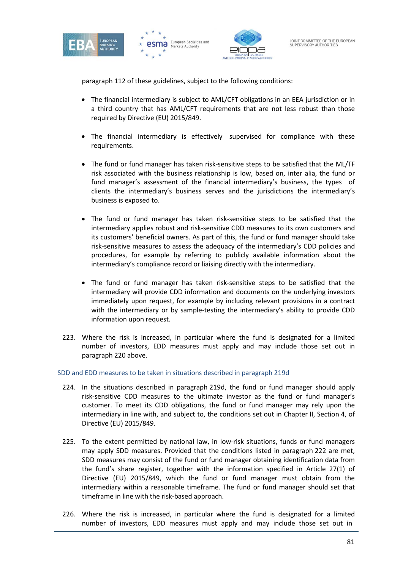







paragraph 112 of these guidelines, subject to the following conditions:

- The financial intermediary is subject to AML/CFT obligations in an EEA jurisdiction or in a third country that has AML/CFT requirements that are not less robust than those required by Directive (EU) 2015/849.
- The financial intermediary is effectively supervised for compliance with these requirements.
- The fund or fund manager has taken risk-sensitive steps to be satisfied that the ML/TF risk associated with the business relationship is low, based on, inter alia, the fund or fund manager's assessment of the financial intermediary's business, the types of clients the intermediary's business serves and the jurisdictions the intermediary's business is exposed to.
- The fund or fund manager has taken risk-sensitive steps to be satisfied that the intermediary applies robust and risk-sensitive CDD measures to its own customers and its customers' beneficial owners. As part of this, the fund or fund manager should take risk-sensitive measures to assess the adequacy of the intermediary's CDD policies and procedures, for example by referring to publicly available information about the intermediary's compliance record or liaising directly with the intermediary.
- The fund or fund manager has taken risk-sensitive steps to be satisfied that the intermediary will provide CDD information and documents on the underlying investors immediately upon request, for example by including relevant provisions in a contract with the intermediary or by sample-testing the intermediary's ability to provide CDD information upon request.
- 223. Where the risk is increased, in particular where the fund is designated for a limited number of investors, EDD measures must apply and may include those set out in paragraph 220 above.

SDD and EDD measures to be taken in situations described in paragraph 219d

- 224. In the situations described in paragraph 219d, the fund or fund manager should apply risk-sensitive CDD measures to the ultimate investor as the fund or fund manager's customer. To meet its CDD obligations, the fund or fund manager may rely upon the intermediary in line with, and subject to, the conditions set out in Chapter II, Section 4, of Directive (EU) 2015/849.
- 225. To the extent permitted by national law, in low-risk situations, funds or fund managers may apply SDD measures. Provided that the conditions listed in paragraph 222 are met, SDD measures may consist of the fund or fund manager obtaining identification data from the fund's share register, together with the information specified in Article 27(1) of Directive (EU) 2015/849, which the fund or fund manager must obtain from the intermediary within a reasonable timeframe. The fund or fund manager should set that timeframe in line with the risk-based approach.
- 226. Where the risk is increased, in particular where the fund is designated for a limited number of investors, EDD measures must apply and may include those set out in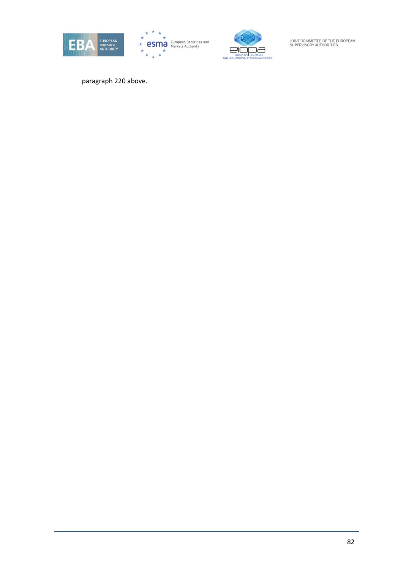





paragraph 220 above.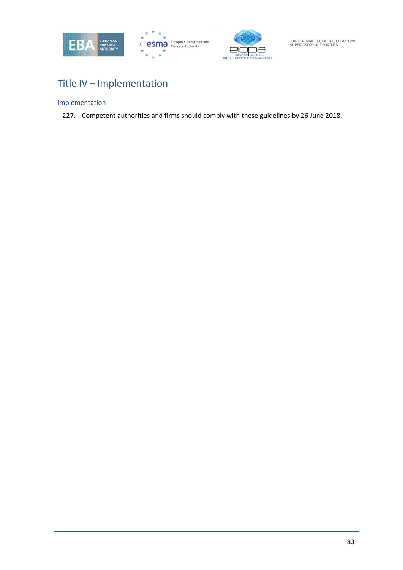





# Title IV – Implementation

## Implementation

227. Competent authorities and firms should comply with these guidelines by 26 June 2018.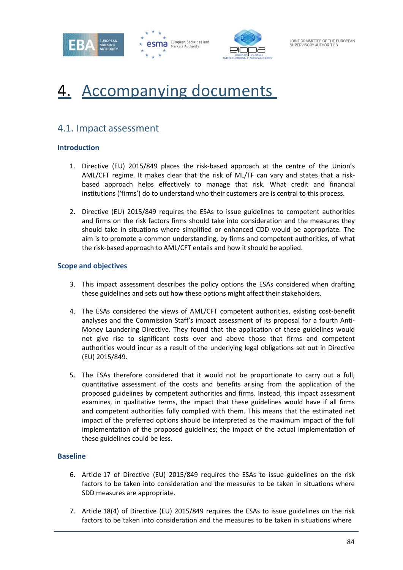





# Accompanying documents

## 4.1. Impact assessment

#### **Introduction**

- 1. Directive (EU) 2015/849 places the risk-based approach at the centre of the Union's AML/CFT regime. It makes clear that the risk of ML/TF can vary and states that a riskbased approach helps effectively to manage that risk. What credit and financial institutions ('firms') do to understand who their customers are is central to this process.
- 2. Directive (EU) 2015/849 requires the ESAs to issue guidelines to competent authorities and firms on the risk factors firms should take into consideration and the measures they should take in situations where simplified or enhanced CDD would be appropriate. The aim is to promote a common understanding, by firms and competent authorities, of what the risk-based approach to AML/CFT entails and how it should be applied.

#### **Scope and objectives**

- 3. This impact assessment describes the policy options the ESAs considered when drafting these guidelines and sets out how these options might affect their stakeholders.
- 4. The ESAs considered the views of AML/CFT competent authorities, existing cost-benefit analyses and the Commission Staff's impact assessment of its proposal for a fourth Anti-Money Laundering Directive. They found that the application of these guidelines would not give rise to significant costs over and above those that firms and competent authorities would incur as a result of the underlying legal obligations set out in Directive (EU) 2015/849.
- 5. The ESAs therefore considered that it would not be proportionate to carry out a full, quantitative assessment of the costs and benefits arising from the application of the proposed guidelines by competent authorities and firms. Instead, this impact assessment examines, in qualitative terms, the impact that these guidelines would have if all firms and competent authorities fully complied with them. This means that the estimated net impact of the preferred options should be interpreted as the maximum impact of the full implementation of the proposed guidelines; the impact of the actual implementation of these guidelines could be less.

#### **Baseline**

- 6. Article 17 of Directive (EU) 2015/849 requires the ESAs to issue guidelines on the risk factors to be taken into consideration and the measures to be taken in situations where SDD measures are appropriate.
- 7. Article 18(4) of Directive (EU) 2015/849 requires the ESAs to issue guidelines on the risk factors to be taken into consideration and the measures to be taken in situations where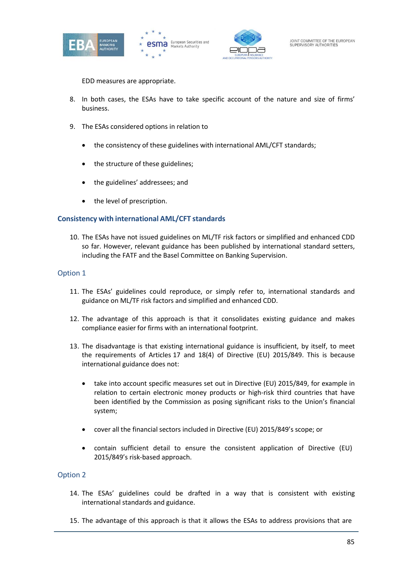





EDD measures are appropriate.

- 8. In both cases, the ESAs have to take specific account of the nature and size of firms' business.
- 9. The ESAs considered options in relation to
	- the consistency of these guidelines with international AML/CFT standards;
	- the structure of these guidelines;
	- the guidelines' addressees; and
	- the level of prescription.

#### **Consistency with international AML/CFT standards**

10. The ESAs have not issued guidelines on ML/TF risk factors or simplified and enhanced CDD so far. However, relevant guidance has been published by international standard setters, including the FATF and the Basel Committee on Banking Supervision.

#### Option 1

- 11. The ESAs' guidelines could reproduce, or simply refer to, international standards and guidance on ML/TF risk factors and simplified and enhanced CDD.
- 12. The advantage of this approach is that it consolidates existing guidance and makes compliance easier for firms with an international footprint.
- 13. The disadvantage is that existing international guidance is insufficient, by itself, to meet the requirements of Articles 17 and 18(4) of Directive (EU) 2015/849. This is because international guidance does not:
	- take into account specific measures set out in Directive (EU) 2015/849, for example in relation to certain electronic money products or high-risk third countries that have been identified by the Commission as posing significant risks to the Union's financial system;
	- cover all the financial sectors included in Directive (EU) 2015/849's scope; or
	- contain sufficient detail to ensure the consistent application of Directive (EU) 2015/849's risk-based approach.

- 14. The ESAs' guidelines could be drafted in a way that is consistent with existing international standards and guidance.
- 15. The advantage of this approach is that it allows the ESAs to address provisions that are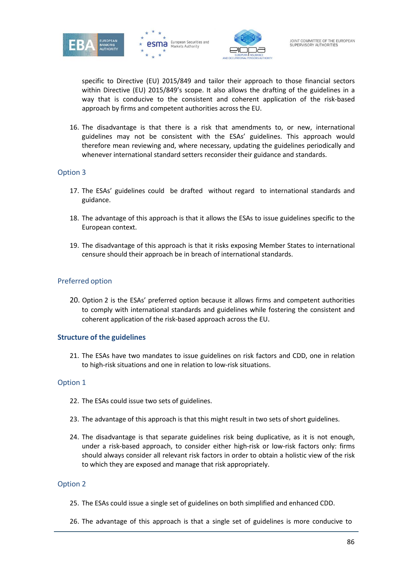





specific to Directive (EU) 2015/849 and tailor their approach to those financial sectors within Directive (EU) 2015/849's scope. It also allows the drafting of the guidelines in a way that is conducive to the consistent and coherent application of the risk-based approach by firms and competent authorities across the EU.

16. The disadvantage is that there is a risk that amendments to, or new, international guidelines may not be consistent with the ESAs' guidelines. This approach would therefore mean reviewing and, where necessary, updating the guidelines periodically and whenever international standard setters reconsider their guidance and standards.

#### Option 3

- 17. The ESAs' guidelines could be drafted without regard to international standards and guidance.
- 18. The advantage of this approach is that it allows the ESAs to issue guidelines specific to the European context.
- 19. The disadvantage of this approach is that it risks exposing Member States to international censure should their approach be in breach of international standards.

#### Preferred option

20. Option 2 is the ESAs' preferred option because it allows firms and competent authorities to comply with international standards and guidelines while fostering the consistent and coherent application of the risk-based approach across the EU.

#### **Structure of the guidelines**

21. The ESAs have two mandates to issue guidelines on risk factors and CDD, one in relation to high-risk situations and one in relation to low-risk situations.

#### Option 1

- 22. The ESAs could issue two sets of guidelines.
- 23. The advantage of this approach is that this might result in two sets of short guidelines.
- 24. The disadvantage is that separate guidelines risk being duplicative, as it is not enough, under a risk-based approach, to consider either high-risk or low-risk factors only: firms should always consider all relevant risk factors in order to obtain a holistic view of the risk to which they are exposed and manage that risk appropriately.

- 25. The ESAs could issue a single set of guidelines on both simplified and enhanced CDD.
- 26. The advantage of this approach is that a single set of guidelines is more conducive to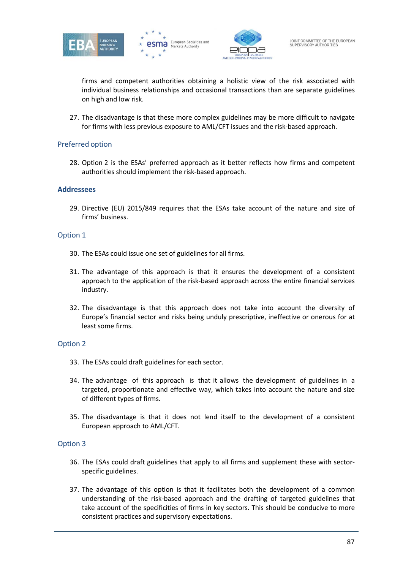





firms and competent authorities obtaining a holistic view of the risk associated with individual business relationships and occasional transactions than are separate guidelines on high and low risk.

27. The disadvantage is that these more complex guidelines may be more difficult to navigate for firms with less previous exposure to AML/CFT issues and the risk-based approach.

#### Preferred option

28. Option 2 is the ESAs' preferred approach as it better reflects how firms and competent authorities should implement the risk-based approach.

#### **Addressees**

29. Directive (EU) 2015/849 requires that the ESAs take account of the nature and size of firms' business.

#### Option 1

- 30. The ESAs could issue one set of guidelines for all firms.
- 31. The advantage of this approach is that it ensures the development of a consistent approach to the application of the risk-based approach across the entire financial services industry.
- 32. The disadvantage is that this approach does not take into account the diversity of Europe's financial sector and risks being unduly prescriptive, ineffective or onerous for at least some firms.

#### Option 2

- 33. The ESAs could draft guidelines for each sector.
- 34. The advantage of this approach is that it allows the development of guidelines in a targeted, proportionate and effective way, which takes into account the nature and size of different types of firms.
- 35. The disadvantage is that it does not lend itself to the development of a consistent European approach to AML/CFT.

- 36. The ESAs could draft guidelines that apply to all firms and supplement these with sectorspecific guidelines.
- 37. The advantage of this option is that it facilitates both the development of a common understanding of the risk-based approach and the drafting of targeted guidelines that take account of the specificities of firms in key sectors. This should be conducive to more consistent practices and supervisory expectations.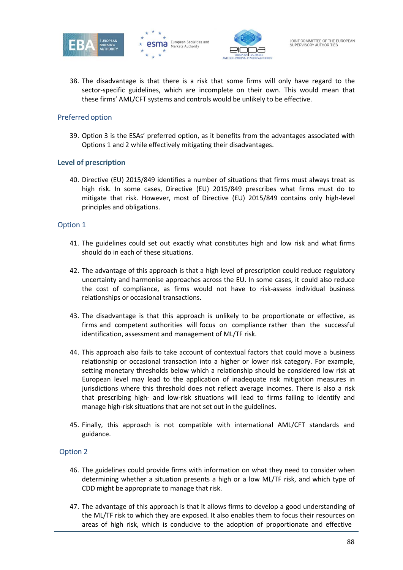





38. The disadvantage is that there is a risk that some firms will only have regard to the sector-specific guidelines, which are incomplete on their own. This would mean that these firms' AML/CFT systems and controls would be unlikely to be effective.

#### Preferred option

39. Option 3 is the ESAs' preferred option, as it benefits from the advantages associated with Options 1 and 2 while effectively mitigating their disadvantages.

#### **Level of prescription**

40. Directive (EU) 2015/849 identifies a number of situations that firms must always treat as high risk. In some cases, Directive (EU) 2015/849 prescribes what firms must do to mitigate that risk. However, most of Directive (EU) 2015/849 contains only high-level principles and obligations.

#### Option 1

- 41. The guidelines could set out exactly what constitutes high and low risk and what firms should do in each of these situations.
- 42. The advantage of this approach is that a high level of prescription could reduce regulatory uncertainty and harmonise approaches across the EU. In some cases, it could also reduce the cost of compliance, as firms would not have to risk-assess individual business relationships or occasional transactions.
- 43. The disadvantage is that this approach is unlikely to be proportionate or effective, as firms and competent authorities will focus on compliance rather than the successful identification, assessment and management of ML/TF risk.
- 44. This approach also fails to take account of contextual factors that could move a business relationship or occasional transaction into a higher or lower risk category. For example, setting monetary thresholds below which a relationship should be considered low risk at European level may lead to the application of inadequate risk mitigation measures in jurisdictions where this threshold does not reflect average incomes. There is also a risk that prescribing high- and low-risk situations will lead to firms failing to identify and manage high-risk situations that are not set out in the guidelines.
- 45. Finally, this approach is not compatible with international AML/CFT standards and guidance.

- 46. The guidelines could provide firms with information on what they need to consider when determining whether a situation presents a high or a low ML/TF risk, and which type of CDD might be appropriate to manage that risk.
- 47. The advantage of this approach is that it allows firms to develop a good understanding of the ML/TF risk to which they are exposed. It also enables them to focus their resources on areas of high risk, which is conducive to the adoption of proportionate and effective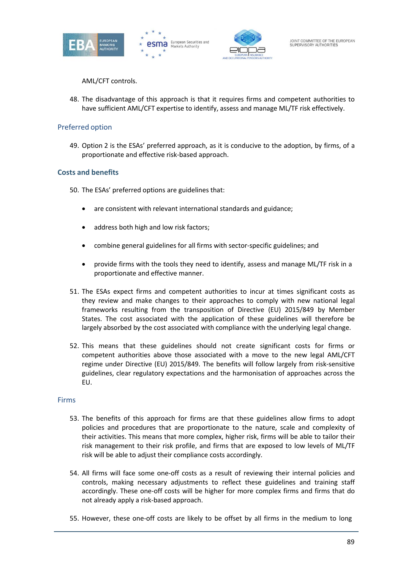





AML/CFT controls.

48. The disadvantage of this approach is that it requires firms and competent authorities to have sufficient AML/CFT expertise to identify, assess and manage ML/TF risk effectively.

#### Preferred option

49. Option 2 is the ESAs' preferred approach, as it is conducive to the adoption, by firms, of a proportionate and effective risk-based approach.

#### **Costs and benefits**

- 50. The ESAs' preferred options are guidelines that:
	- are consistent with relevant international standards and guidance;
	- address both high and low risk factors;
	- combine general guidelines for all firms with sector-specific guidelines; and
	- provide firms with the tools they need to identify, assess and manage ML/TF risk in a proportionate and effective manner.
- 51. The ESAs expect firms and competent authorities to incur at times significant costs as they review and make changes to their approaches to comply with new national legal frameworks resulting from the transposition of Directive (EU) 2015/849 by Member States. The cost associated with the application of these guidelines will therefore be largely absorbed by the cost associated with compliance with the underlying legal change.
- 52. This means that these guidelines should not create significant costs for firms or competent authorities above those associated with a move to the new legal AML/CFT regime under Directive (EU) 2015/849. The benefits will follow largely from risk-sensitive guidelines, clear regulatory expectations and the harmonisation of approaches across the EU.

#### Firms

- 53. The benefits of this approach for firms are that these guidelines allow firms to adopt policies and procedures that are proportionate to the nature, scale and complexity of their activities. This means that more complex, higher risk, firms will be able to tailor their risk management to their risk profile, and firms that are exposed to low levels of ML/TF risk will be able to adjust their compliance costs accordingly.
- 54. All firms will face some one-off costs as a result of reviewing their internal policies and controls, making necessary adjustments to reflect these guidelines and training staff accordingly. These one-off costs will be higher for more complex firms and firms that do not already apply a risk-based approach.
- 55. However, these one-off costs are likely to be offset by all firms in the medium to long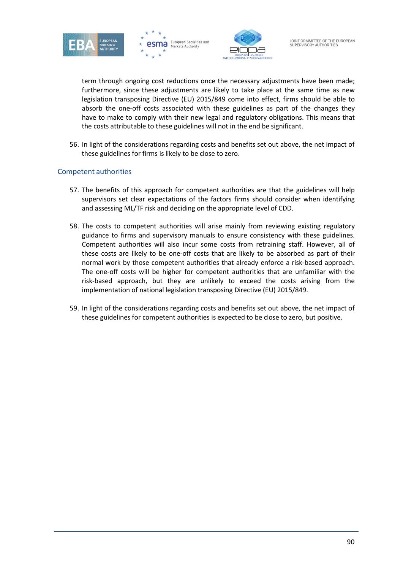





term through ongoing cost reductions once the necessary adjustments have been made; furthermore, since these adjustments are likely to take place at the same time as new legislation transposing Directive (EU) 2015/849 come into effect, firms should be able to absorb the one-off costs associated with these guidelines as part of the changes they have to make to comply with their new legal and regulatory obligations. This means that the costs attributable to these guidelines will not in the end be significant.

56. In light of the considerations regarding costs and benefits set out above, the net impact of these guidelines for firms is likely to be close to zero.

#### Competent authorities

- 57. The benefits of this approach for competent authorities are that the guidelines will help supervisors set clear expectations of the factors firms should consider when identifying and assessing ML/TF risk and deciding on the appropriate level of CDD.
- 58. The costs to competent authorities will arise mainly from reviewing existing regulatory guidance to firms and supervisory manuals to ensure consistency with these guidelines. Competent authorities will also incur some costs from retraining staff. However, all of these costs are likely to be one-off costs that are likely to be absorbed as part of their normal work by those competent authorities that already enforce a risk-based approach. The one-off costs will be higher for competent authorities that are unfamiliar with the risk-based approach, but they are unlikely to exceed the costs arising from the implementation of national legislation transposing Directive (EU) 2015/849.
- 59. In light of the considerations regarding costs and benefits set out above, the net impact of these guidelines for competent authorities is expected to be close to zero, but positive.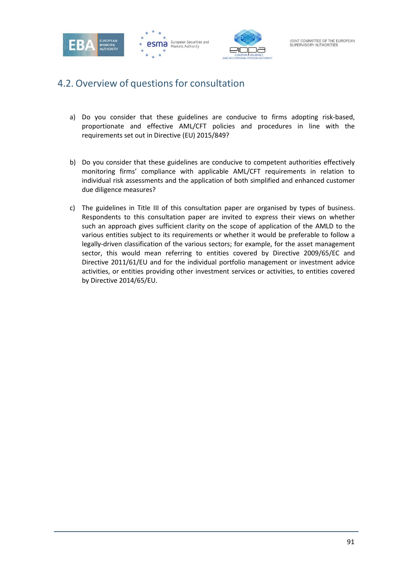

# 4.2. Overview of questions for consultation

- a) Do you consider that these guidelines are conducive to firms adopting risk-based, proportionate and effective AML/CFT policies and procedures in line with the requirements set out in Directive (EU) 2015/849?
- b) Do you consider that these guidelines are conducive to competent authorities effectively monitoring firms' compliance with applicable AML/CFT requirements in relation to individual risk assessments and the application of both simplified and enhanced customer due diligence measures?
- c) The guidelines in Title III of this consultation paper are organised by types of business. Respondents to this consultation paper are invited to express their views on whether such an approach gives sufficient clarity on the scope of application of the AMLD to the various entities subject to its requirements or whether it would be preferable to follow a legally-driven classification of the various sectors; for example, for the asset management sector, this would mean referring to entities covered by Directive 2009/65/EC and Directive 2011/61/EU and for the individual portfolio management or investment advice activities, or entities providing other investment services or activities, to entities covered by Directive 2014/65/EU.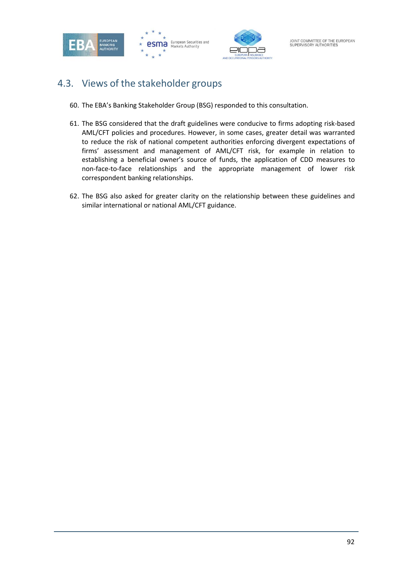

# 4.3. Views of the stakeholder groups

- 60. The EBA's Banking Stakeholder Group (BSG) responded to this consultation.
- 61. The BSG considered that the draft guidelines were conducive to firms adopting risk-based AML/CFT policies and procedures. However, in some cases, greater detail was warranted to reduce the risk of national competent authorities enforcing divergent expectations of firms' assessment and management of AML/CFT risk, for example in relation to establishing a beneficial owner's source of funds, the application of CDD measures to non-face-to-face relationships and the appropriate management of lower risk correspondent banking relationships.
- 62. The BSG also asked for greater clarity on the relationship between these guidelines and similar international or national AML/CFT guidance.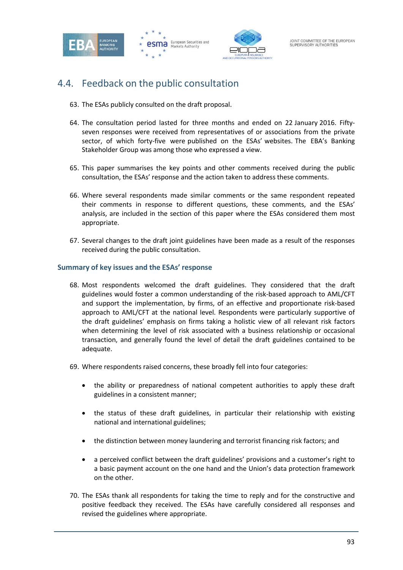



# 4.4. Feedback on the public consultation

- 63. The ESAs publicly consulted on the draft proposal.
- 64. The consultation period lasted for three months and ended on 22 January 2016. Fiftyseven responses were received from representatives of or associations from the private sector, of which forty-five were published on the ESAs' websites. The EBA's Banking Stakeholder Group was among those who expressed a view.
- 65. This paper summarises the key points and other comments received during the public consultation, the ESAs' response and the action taken to address these comments.
- 66. Where several respondents made similar comments or the same respondent repeated their comments in response to different questions, these comments, and the ESAs' analysis, are included in the section of this paper where the ESAs considered them most appropriate.
- 67. Several changes to the draft joint guidelines have been made as a result of the responses received during the public consultation.

#### **Summary of key issues and the ESAs' response**

- 68. Most respondents welcomed the draft guidelines. They considered that the draft guidelines would foster a common understanding of the risk-based approach to AML/CFT and support the implementation, by firms, of an effective and proportionate risk-based approach to AML/CFT at the national level. Respondents were particularly supportive of the draft guidelines' emphasis on firms taking a holistic view of all relevant risk factors when determining the level of risk associated with a business relationship or occasional transaction, and generally found the level of detail the draft guidelines contained to be adequate.
- 69. Where respondents raised concerns, these broadly fell into four categories:
	- the ability or preparedness of national competent authorities to apply these draft guidelines in a consistent manner;
	- the status of these draft guidelines, in particular their relationship with existing national and international guidelines;
	- the distinction between money laundering and terrorist financing risk factors; and
	- a perceived conflict between the draft guidelines' provisions and a customer's right to a basic payment account on the one hand and the Union's data protection framework on the other.
- 70. The ESAs thank all respondents for taking the time to reply and for the constructive and positive feedback they received. The ESAs have carefully considered all responses and revised the guidelines where appropriate.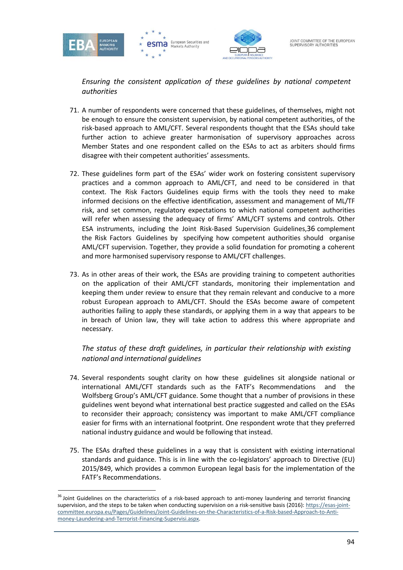

*Ensuring the consistent application of these guidelines by national competent authorities*

- 71. A number of respondents were concerned that these guidelines, of themselves, might not be enough to ensure the consistent supervision, by national competent authorities, of the risk-based approach to AML/CFT. Several respondents thought that the ESAs should take further action to achieve greater harmonisation of supervisory approaches across Member States and one respondent called on the ESAs to act as arbiters should firms disagree with their competent authorities' assessments.
- 72. These guidelines form part of the ESAs' wider work on fostering consistent supervisory practices and a common approach to AML/CFT, and need to be considered in that context. The Risk Factors Guidelines equip firms with the tools they need to make informed decisions on the effective identification, assessment and management of ML/TF risk, and set common, regulatory expectations to which national competent authorities will refer when assessing the adequacy of firms' AML/CFT systems and controls. Other ESA instruments, including the Joint Risk-Based Supervision Guidelines,36 complement the Risk Factors Guidelines by specifying how competent authorities should organise AML/CFT supervision. Together, they provide a solid foundation for promoting a coherent and more harmonised supervisory response to AML/CFT challenges.
- 73. As in other areas of their work, the ESAs are providing training to competent authorities on the application of their AML/CFT standards, monitoring their implementation and keeping them under review to ensure that they remain relevant and conducive to a more robust European approach to AML/CFT. Should the ESAs become aware of competent authorities failing to apply these standards, or applying them in a way that appears to be in breach of Union law, they will take action to address this where appropriate and necessary.

*The status of these draft guidelines, in particular their relationship with existing national and international guidelines*

- 74. Several respondents sought clarity on how these guidelines sit alongside national or international AML/CFT standards such as the FATF's Recommendations and the Wolfsberg Group's AML/CFT guidance. Some thought that a number of provisions in these guidelines went beyond what international best practice suggested and called on the ESAs to reconsider their approach; consistency was important to make AML/CFT compliance easier for firms with an international footprint. One respondent wrote that they preferred national industry guidance and would be following that instead.
- 75. The ESAs drafted these guidelines in a way that is consistent with existing international standards and guidance. This is in line with the co-legislators' approach to Directive (EU) 2015/849, which provides a common European legal basis for the implementation of the FATF's Recommendations.

<sup>&</sup>lt;sup>36</sup> Joint Guidelines on the characteristics of a risk-based approach to anti-money laundering and terrorist financing supervision, and the steps to be taken when conducting supervision on a risk-sensitive basis (2016): https://esas-jointcommittee.europa.eu/Pages/Guidelines/Joint-Guidelines-on-the-Characteristics-of-a-Risk-based-Approach-to-Antimoney-Laundering-and-Terrorist-Financing-Supervisi.aspx.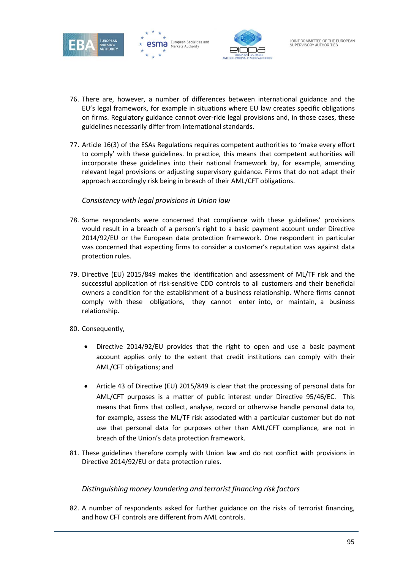





- 76. There are, however, a number of differences between international guidance and the EU's legal framework, for example in situations where EU law creates specific obligations on firms. Regulatory guidance cannot over-ride legal provisions and, in those cases, these guidelines necessarily differ from international standards.
- 77. Article 16(3) of the ESAs Regulations requires competent authorities to 'make every effort to comply' with these guidelines. In practice, this means that competent authorities will incorporate these guidelines into their national framework by, for example, amending relevant legal provisions or adjusting supervisory guidance. Firms that do not adapt their approach accordingly risk being in breach of their AML/CFT obligations.

#### *Consistency with legal provisions in Union law*

- 78. Some respondents were concerned that compliance with these guidelines' provisions would result in a breach of a person's right to a basic payment account under Directive 2014/92/EU or the European data protection framework. One respondent in particular was concerned that expecting firms to consider a customer's reputation was against data protection rules.
- 79. Directive (EU) 2015/849 makes the identification and assessment of ML/TF risk and the successful application of risk-sensitive CDD controls to all customers and their beneficial owners a condition for the establishment of a business relationship. Where firms cannot comply with these obligations, they cannot enter into, or maintain, a business relationship.
- 80. Consequently,
	- Directive 2014/92/EU provides that the right to open and use a basic payment account applies only to the extent that credit institutions can comply with their AML/CFT obligations; and
	- Article 43 of Directive (EU) 2015/849 is clear that the processing of personal data for AML/CFT purposes is a matter of public interest under Directive 95/46/EC. This means that firms that collect, analyse, record or otherwise handle personal data to, for example, assess the ML/TF risk associated with a particular customer but do not use that personal data for purposes other than AML/CFT compliance, are not in breach of the Union's data protection framework.
- 81. These guidelines therefore comply with Union law and do not conflict with provisions in Directive 2014/92/EU or data protection rules.

#### *Distinguishing money laundering and terrorist financing risk factors*

82. A number of respondents asked for further guidance on the risks of terrorist financing, and how CFT controls are different from AML controls.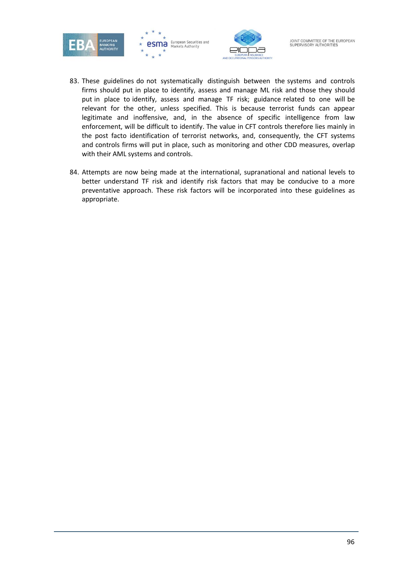

- 83. These guidelines do not systematically distinguish between the systems and controls firms should put in place to identify, assess and manage ML risk and those they should put in place to identify, assess and manage TF risk; guidance related to one will be relevant for the other, unless specified. This is because terrorist funds can appear legitimate and inoffensive, and, in the absence of specific intelligence from law enforcement, will be difficult to identify. The value in CFT controls therefore lies mainly in the post facto identification of terrorist networks, and, consequently, the CFT systems and controls firms will put in place, such as monitoring and other CDD measures, overlap with their AML systems and controls.
- 84. Attempts are now being made at the international, supranational and national levels to better understand TF risk and identify risk factors that may be conducive to a more preventative approach. These risk factors will be incorporated into these guidelines as appropriate.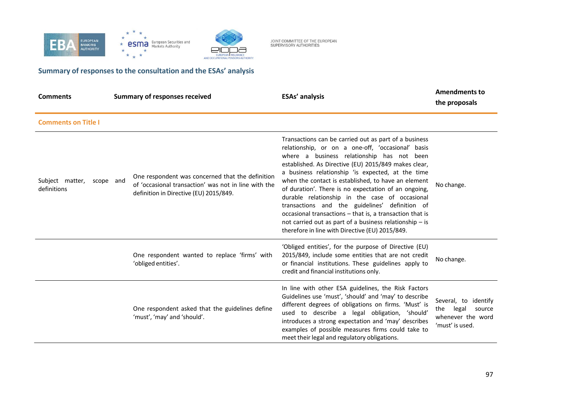

 $\star$ **esma** European Securities and  $\rightarrow$  $\star$ 

AND OCCUPATIONAL PENSIONS AL



## **Summary of responses to the consultation and the ESAs' analysis**

 $\star$  $\rightarrow$ 

| <b>Comments</b>                             | <b>Summary of responses received</b>                                                                                                               | <b>ESAs' analysis</b>                                                                                                                                                                                                                                                                                                                                                                                                                                                                                                                                                                                                                                              | <b>Amendments to</b><br>the proposals                                                     |
|---------------------------------------------|----------------------------------------------------------------------------------------------------------------------------------------------------|--------------------------------------------------------------------------------------------------------------------------------------------------------------------------------------------------------------------------------------------------------------------------------------------------------------------------------------------------------------------------------------------------------------------------------------------------------------------------------------------------------------------------------------------------------------------------------------------------------------------------------------------------------------------|-------------------------------------------------------------------------------------------|
| <b>Comments on Title I</b>                  |                                                                                                                                                    |                                                                                                                                                                                                                                                                                                                                                                                                                                                                                                                                                                                                                                                                    |                                                                                           |
| Subject matter,<br>scope and<br>definitions | One respondent was concerned that the definition<br>of 'occasional transaction' was not in line with the<br>definition in Directive (EU) 2015/849. | Transactions can be carried out as part of a business<br>relationship, or on a one-off, 'occasional' basis<br>where a business relationship has not been<br>established. As Directive (EU) 2015/849 makes clear,<br>a business relationship 'is expected, at the time<br>when the contact is established, to have an element<br>of duration'. There is no expectation of an ongoing,<br>durable relationship in the case of occasional<br>transactions and the guidelines' definition of<br>occasional transactions - that is, a transaction that is<br>not carried out as part of a business relationship - is<br>therefore in line with Directive (EU) 2015/849. | No change.                                                                                |
|                                             | One respondent wanted to replace 'firms' with<br>'obliged entities'.                                                                               | 'Obliged entities', for the purpose of Directive (EU)<br>2015/849, include some entities that are not credit<br>or financial institutions. These guidelines apply to<br>credit and financial institutions only.                                                                                                                                                                                                                                                                                                                                                                                                                                                    | No change.                                                                                |
|                                             | One respondent asked that the guidelines define<br>'must', 'may' and 'should'.                                                                     | In line with other ESA guidelines, the Risk Factors<br>Guidelines use 'must', 'should' and 'may' to describe<br>different degrees of obligations on firms. 'Must' is<br>used to describe a legal obligation, 'should'<br>introduces a strong expectation and 'may' describes<br>examples of possible measures firms could take to<br>meet their legal and regulatory obligations.                                                                                                                                                                                                                                                                                  | Several, to<br>identify<br>legal<br>the<br>source<br>whenever the word<br>'must' is used. |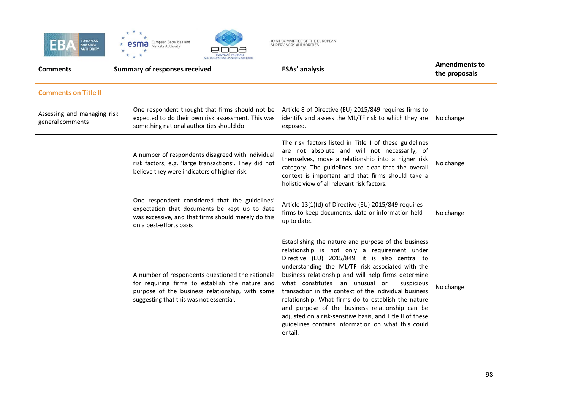





| <b>Comments</b>                                   | <b>Summary of responses received</b>                                                                                                                                                              | <b>ESAs' analysis</b>                                                                                                                                                                                                                                                                                                                                                                                                                                                                                                                                                                                             | <b>Amendments to</b><br>the proposals |
|---------------------------------------------------|---------------------------------------------------------------------------------------------------------------------------------------------------------------------------------------------------|-------------------------------------------------------------------------------------------------------------------------------------------------------------------------------------------------------------------------------------------------------------------------------------------------------------------------------------------------------------------------------------------------------------------------------------------------------------------------------------------------------------------------------------------------------------------------------------------------------------------|---------------------------------------|
| <b>Comments on Title II</b>                       |                                                                                                                                                                                                   |                                                                                                                                                                                                                                                                                                                                                                                                                                                                                                                                                                                                                   |                                       |
| Assessing and managing risk -<br>general comments | One respondent thought that firms should not be<br>expected to do their own risk assessment. This was<br>something national authorities should do.                                                | Article 8 of Directive (EU) 2015/849 requires firms to<br>identify and assess the ML/TF risk to which they are No change.<br>exposed.                                                                                                                                                                                                                                                                                                                                                                                                                                                                             |                                       |
|                                                   | A number of respondents disagreed with individual<br>risk factors, e.g. 'large transactions'. They did not<br>believe they were indicators of higher risk.                                        | The risk factors listed in Title II of these guidelines<br>are not absolute and will not necessarily, of<br>themselves, move a relationship into a higher risk<br>category. The guidelines are clear that the overall<br>context is important and that firms should take a<br>holistic view of all relevant risk factors.                                                                                                                                                                                                                                                                                         | No change.                            |
|                                                   | One respondent considered that the guidelines'<br>expectation that documents be kept up to date<br>was excessive, and that firms should merely do this<br>on a best-efforts basis                 | Article 13(1)(d) of Directive (EU) 2015/849 requires<br>firms to keep documents, data or information held<br>up to date.                                                                                                                                                                                                                                                                                                                                                                                                                                                                                          | No change.                            |
|                                                   | A number of respondents questioned the rationale<br>for requiring firms to establish the nature and<br>purpose of the business relationship, with some<br>suggesting that this was not essential. | Establishing the nature and purpose of the business<br>relationship is not only a requirement under<br>Directive (EU) 2015/849, it is also central to<br>understanding the ML/TF risk associated with the<br>business relationship and will help firms determine<br>what constitutes an unusual or<br>suspicious<br>transaction in the context of the individual business<br>relationship. What firms do to establish the nature<br>and purpose of the business relationship can be<br>adjusted on a risk-sensitive basis, and Title II of these<br>guidelines contains information on what this could<br>entail. | No change.                            |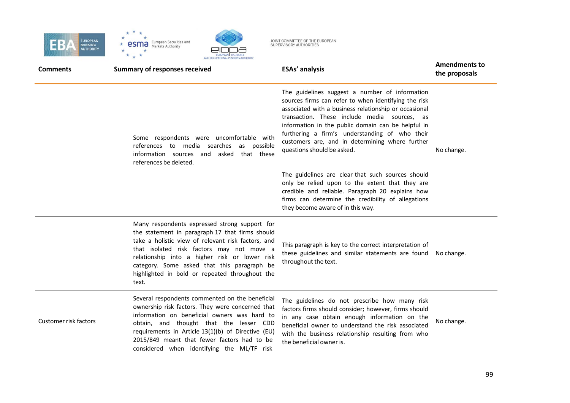





| <b>Comments</b>       | <b>Summary of responses received</b>                                                                                                                                                                                                                                                                                                                           | <b>ESAs' analysis</b>                                                                                                                                                                                                                                                                                                                                                                                    | <b>Amendments to</b><br>the proposals |
|-----------------------|----------------------------------------------------------------------------------------------------------------------------------------------------------------------------------------------------------------------------------------------------------------------------------------------------------------------------------------------------------------|----------------------------------------------------------------------------------------------------------------------------------------------------------------------------------------------------------------------------------------------------------------------------------------------------------------------------------------------------------------------------------------------------------|---------------------------------------|
|                       | Some respondents were uncomfortable with<br>references to media searches<br>as possible<br>information sources and<br>asked<br>that these<br>references be deleted.                                                                                                                                                                                            | The guidelines suggest a number of information<br>sources firms can refer to when identifying the risk<br>associated with a business relationship or occasional<br>transaction. These include media sources, as<br>information in the public domain can be helpful in<br>furthering a firm's understanding of who their<br>customers are, and in determining where further<br>questions should be asked. | No change.                            |
|                       |                                                                                                                                                                                                                                                                                                                                                                | The guidelines are clear that such sources should<br>only be relied upon to the extent that they are<br>credible and reliable. Paragraph 20 explains how<br>firms can determine the credibility of allegations<br>they become aware of in this way.                                                                                                                                                      |                                       |
|                       | Many respondents expressed strong support for<br>the statement in paragraph 17 that firms should<br>take a holistic view of relevant risk factors, and<br>that isolated risk factors may not move a<br>relationship into a higher risk or lower risk<br>category. Some asked that this paragraph be<br>highlighted in bold or repeated throughout the<br>text. | This paragraph is key to the correct interpretation of<br>these guidelines and similar statements are found<br>throughout the text.                                                                                                                                                                                                                                                                      | No change.                            |
| Customer risk factors | Several respondents commented on the beneficial<br>ownership risk factors. They were concerned that<br>information on beneficial owners was hard to<br>obtain, and thought that the lesser CDD<br>requirements in Article 13(1)(b) of Directive (EU)<br>2015/849 meant that fewer factors had to be<br>considered when identifying the ML/TF risk              | The guidelines do not prescribe how many risk<br>factors firms should consider; however, firms should<br>in any case obtain enough information on the<br>beneficial owner to understand the risk associated<br>with the business relationship resulting from who<br>the beneficial owner is.                                                                                                             | No change.                            |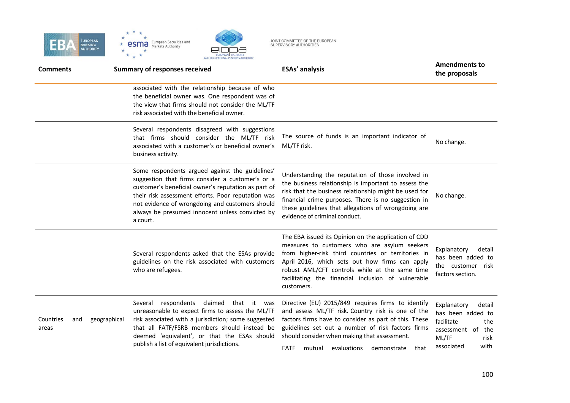



| <b>Comments</b>           |              | <b>Summary of responses received</b>                                                                                                                                                                                                                                                                                               | <b>ESAs' analysis</b>                                                                                                                                                                                                                                                                                                                | <b>Amendments to</b><br>the proposals                                                                                          |
|---------------------------|--------------|------------------------------------------------------------------------------------------------------------------------------------------------------------------------------------------------------------------------------------------------------------------------------------------------------------------------------------|--------------------------------------------------------------------------------------------------------------------------------------------------------------------------------------------------------------------------------------------------------------------------------------------------------------------------------------|--------------------------------------------------------------------------------------------------------------------------------|
|                           |              | associated with the relationship because of who<br>the beneficial owner was. One respondent was of<br>the view that firms should not consider the ML/TF<br>risk associated with the beneficial owner.                                                                                                                              |                                                                                                                                                                                                                                                                                                                                      |                                                                                                                                |
|                           |              | Several respondents disagreed with suggestions<br>that firms should consider the ML/TF risk<br>associated with a customer's or beneficial owner's<br>business activity.                                                                                                                                                            | The source of funds is an important indicator of<br>ML/TF risk.                                                                                                                                                                                                                                                                      | No change.                                                                                                                     |
|                           |              | Some respondents argued against the guidelines'<br>suggestion that firms consider a customer's or a<br>customer's beneficial owner's reputation as part of<br>their risk assessment efforts. Poor reputation was<br>not evidence of wrongdoing and customers should<br>always be presumed innocent unless convicted by<br>a court. | Understanding the reputation of those involved in<br>the business relationship is important to assess the<br>risk that the business relationship might be used for<br>financial crime purposes. There is no suggestion in<br>these guidelines that allegations of wrongdoing are<br>evidence of criminal conduct.                    | No change.                                                                                                                     |
|                           |              | Several respondents asked that the ESAs provide<br>guidelines on the risk associated with customers<br>who are refugees.                                                                                                                                                                                                           | The EBA issued its Opinion on the application of CDD<br>measures to customers who are asylum seekers<br>from higher-risk third countries or territories in<br>April 2016, which sets out how firms can apply<br>robust AML/CFT controls while at the same time<br>facilitating the financial inclusion of vulnerable<br>customers.   | Explanatory<br>detail<br>has been added to<br>the customer risk<br>factors section.                                            |
| Countries<br>and<br>areas | geographical | claimed that it was<br>respondents<br>Several<br>unreasonable to expect firms to assess the ML/TF<br>risk associated with a jurisdiction; some suggested<br>that all FATF/FSRB members should instead be<br>deemed 'equivalent', or that the ESAs should<br>publish a list of equivalent jurisdictions.                            | Directive (EU) 2015/849 requires firms to identify<br>and assess ML/TF risk. Country risk is one of the<br>factors firms have to consider as part of this. These<br>guidelines set out a number of risk factors firms<br>should consider when making that assessment.<br><b>FATF</b><br>evaluations<br>demonstrate<br>mutual<br>that | Explanatory<br>detail<br>has been added to<br>facilitate<br>the<br>assessment of<br>the<br>ML/TF<br>risk<br>associated<br>with |

EUROPEAN INSURANCE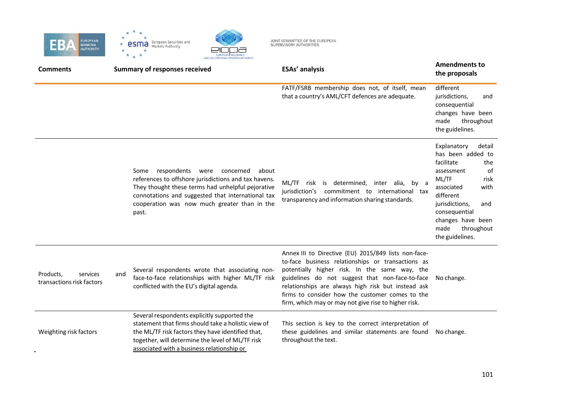





| <b>Comments</b>                                    |     | <b>Summary of responses received</b>                                                                                                                                                                                                                                | <b>ESAs' analysis</b>                                                                                                                                                                                                                                                                                                                                                          | <b>Amendments to</b><br>the proposals                                                                                                                                                                                                           |
|----------------------------------------------------|-----|---------------------------------------------------------------------------------------------------------------------------------------------------------------------------------------------------------------------------------------------------------------------|--------------------------------------------------------------------------------------------------------------------------------------------------------------------------------------------------------------------------------------------------------------------------------------------------------------------------------------------------------------------------------|-------------------------------------------------------------------------------------------------------------------------------------------------------------------------------------------------------------------------------------------------|
|                                                    |     |                                                                                                                                                                                                                                                                     | FATF/FSRB membership does not, of itself, mean<br>that a country's AML/CFT defences are adequate.                                                                                                                                                                                                                                                                              | different<br>jurisdictions,<br>and<br>consequential<br>changes have been<br>made<br>throughout<br>the guidelines.                                                                                                                               |
|                                                    |     | Some respondents were concerned<br>about<br>references to offshore jurisdictions and tax havens.<br>They thought these terms had unhelpful pejorative<br>connotations and suggested that international tax<br>cooperation was now much greater than in the<br>past. | ML/TF risk is determined, inter alia, by a<br>jurisdiction's commitment to international tax<br>transparency and information sharing standards.                                                                                                                                                                                                                                | Explanatory<br>detail<br>has been added to<br>facilitate<br>the<br>0f<br>assessment<br>ML/TF<br>risk<br>with<br>associated<br>different<br>jurisdictions,<br>and<br>consequential<br>changes have been<br>made<br>throughout<br>the guidelines. |
| Products,<br>services<br>transactions risk factors | and | Several respondents wrote that associating non-<br>face-to-face relationships with higher ML/TF risk<br>conflicted with the EU's digital agenda.                                                                                                                    | Annex III to Directive (EU) 2015/849 lists non-face-<br>to-face business relationships or transactions as<br>potentially higher risk. In the same way, the<br>guidelines do not suggest that non-face-to-face<br>relationships are always high risk but instead ask<br>firms to consider how the customer comes to the<br>firm, which may or may not give rise to higher risk. | No change.                                                                                                                                                                                                                                      |
| Weighting risk factors                             |     | Several respondents explicitly supported the<br>statement that firms should take a holistic view of<br>the ML/TF risk factors they have identified that,<br>together, will determine the level of ML/TF risk<br>associated with a business relationship or          | This section is key to the correct interpretation of<br>these guidelines and similar statements are found<br>throughout the text.                                                                                                                                                                                                                                              | No change.                                                                                                                                                                                                                                      |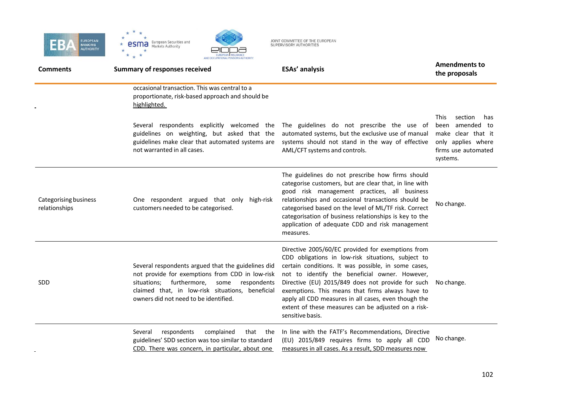



| <b>Comments</b>                        | <b>Summary of responses received</b>                                                                                                                                                                                                                  | <b>ESAs' analysis</b>                                                                                                                                                                                                                                                                                                                                                                                                                                        | <b>Amendments to</b><br>the proposals                                                                                              |
|----------------------------------------|-------------------------------------------------------------------------------------------------------------------------------------------------------------------------------------------------------------------------------------------------------|--------------------------------------------------------------------------------------------------------------------------------------------------------------------------------------------------------------------------------------------------------------------------------------------------------------------------------------------------------------------------------------------------------------------------------------------------------------|------------------------------------------------------------------------------------------------------------------------------------|
|                                        | occasional transaction. This was central to a<br>proportionate, risk-based approach and should be<br>highlighted.                                                                                                                                     |                                                                                                                                                                                                                                                                                                                                                                                                                                                              |                                                                                                                                    |
|                                        | Several respondents explicitly welcomed the<br>guidelines on weighting, but asked that the<br>guidelines make clear that automated systems are<br>not warranted in all cases.                                                                         | The guidelines do not prescribe the use of<br>automated systems, but the exclusive use of manual<br>systems should not stand in the way of effective<br>AML/CFT systems and controls.                                                                                                                                                                                                                                                                        | section<br><b>This</b><br>has<br>amended to<br>been<br>make clear that it<br>only applies where<br>firms use automated<br>systems. |
| Categorising business<br>relationships | One respondent argued that only high-risk<br>customers needed to be categorised.                                                                                                                                                                      | The guidelines do not prescribe how firms should<br>categorise customers, but are clear that, in line with<br>good risk management practices, all business<br>relationships and occasional transactions should be<br>categorised based on the level of ML/TF risk. Correct<br>categorisation of business relationships is key to the<br>application of adequate CDD and risk management<br>measures.                                                         | No change.                                                                                                                         |
| SDD                                    | Several respondents argued that the guidelines did<br>not provide for exemptions from CDD in low-risk<br>situations; furthermore,<br>some<br>respondents<br>claimed that, in low-risk situations, beneficial<br>owners did not need to be identified. | Directive 2005/60/EC provided for exemptions from<br>CDD obligations in low-risk situations, subject to<br>certain conditions. It was possible, in some cases,<br>not to identify the beneficial owner. However,<br>Directive (EU) 2015/849 does not provide for such<br>exemptions. This means that firms always have to<br>apply all CDD measures in all cases, even though the<br>extent of these measures can be adjusted on a risk-<br>sensitive basis. | No change.                                                                                                                         |
|                                        | respondents<br>complained<br>that the<br>Several<br>guidelines' SDD section was too similar to standard<br>CDD. There was concern, in particular, about one                                                                                           | In line with the FATF's Recommendations, Directive<br>(EU) 2015/849 requires firms to apply all CDD<br>measures in all cases. As a result, SDD measures now                                                                                                                                                                                                                                                                                                  | No change.                                                                                                                         |

EUROPEAN INSURANCE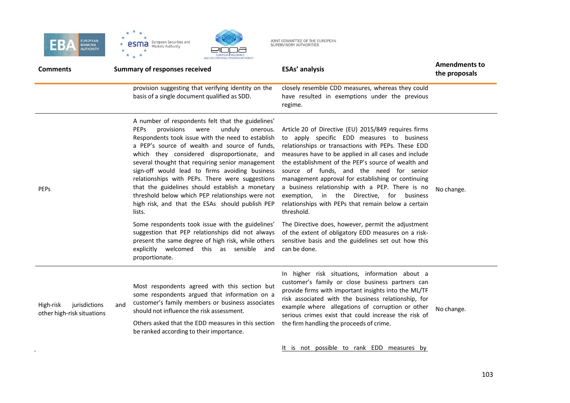

 $\sim 10^{-1}$ 



| <b>Comments</b>                                          |     | AND OCCUPATIONAL PENSIONS AUTHORITY<br><b>Summary of responses received</b>                                                                                                                                                                                                                                                                                                                                                                                                                                                                                                                                                                                                                            | <b>ESAs' analysis</b>                                                                                                                                                                                                                                                                                                                                                                                                                                                                                                                                                                                                                                       | <b>Amendments to</b><br>the proposals |
|----------------------------------------------------------|-----|--------------------------------------------------------------------------------------------------------------------------------------------------------------------------------------------------------------------------------------------------------------------------------------------------------------------------------------------------------------------------------------------------------------------------------------------------------------------------------------------------------------------------------------------------------------------------------------------------------------------------------------------------------------------------------------------------------|-------------------------------------------------------------------------------------------------------------------------------------------------------------------------------------------------------------------------------------------------------------------------------------------------------------------------------------------------------------------------------------------------------------------------------------------------------------------------------------------------------------------------------------------------------------------------------------------------------------------------------------------------------------|---------------------------------------|
|                                                          |     | provision suggesting that verifying identity on the<br>basis of a single document qualified as SDD.                                                                                                                                                                                                                                                                                                                                                                                                                                                                                                                                                                                                    | closely resemble CDD measures, whereas they could<br>have resulted in exemptions under the previous<br>regime.                                                                                                                                                                                                                                                                                                                                                                                                                                                                                                                                              |                                       |
| PEPs                                                     |     | A number of respondents felt that the guidelines'<br><b>PEPS</b><br>provisions<br>unduly<br>were<br>onerous.<br>Respondents took issue with the need to establish<br>a PEP's source of wealth and source of funds,<br>which they considered disproportionate, and<br>several thought that requiring senior management<br>sign-off would lead to firms avoiding business<br>relationships with PEPs. There were suggestions<br>that the guidelines should establish a monetary<br>threshold below which PEP relationships were not<br>high risk, and that the ESAs should publish PEP<br>lists.<br>Some respondents took issue with the guidelines'<br>suggestion that PEP relationships did not always | Article 20 of Directive (EU) 2015/849 requires firms<br>to apply specific EDD measures to business<br>relationships or transactions with PEPs. These EDD<br>measures have to be applied in all cases and include<br>the establishment of the PEP's source of wealth and<br>source of funds, and the need for senior<br>management approval for establishing or continuing<br>a business relationship with a PEP. There is no<br>exemption, in the Directive, for business<br>relationships with PEPs that remain below a certain<br>threshold.<br>The Directive does, however, permit the adjustment<br>of the extent of obligatory EDD measures on a risk- | No change.                            |
|                                                          |     | present the same degree of high risk, while others<br>explicitly welcomed this as sensible and<br>proportionate.                                                                                                                                                                                                                                                                                                                                                                                                                                                                                                                                                                                       | sensitive basis and the guidelines set out how this<br>can be done.                                                                                                                                                                                                                                                                                                                                                                                                                                                                                                                                                                                         |                                       |
| High-risk<br>jurisdictions<br>other high-risk situations | and | Most respondents agreed with this section but<br>some respondents argued that information on a<br>customer's family members or business associates<br>should not influence the risk assessment.<br>Others asked that the EDD measures in this section<br>be ranked according to their importance.                                                                                                                                                                                                                                                                                                                                                                                                      | In higher risk situations, information about a<br>customer's family or close business partners can<br>provide firms with important insights into the ML/TF<br>risk associated with the business relationship, for<br>example where allegations of corruption or other<br>serious crimes exist that could increase the risk of<br>the firm handling the proceeds of crime.                                                                                                                                                                                                                                                                                   | No change.                            |
|                                                          |     |                                                                                                                                                                                                                                                                                                                                                                                                                                                                                                                                                                                                                                                                                                        | It is not possible to rank EDD measures by                                                                                                                                                                                                                                                                                                                                                                                                                                                                                                                                                                                                                  |                                       |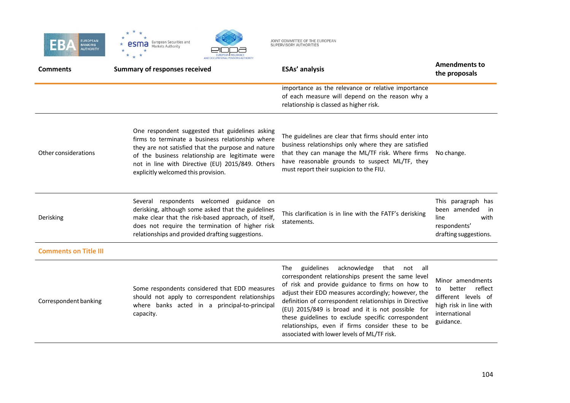



| <b>Comments</b>              | AND OCCUPATIONAL PENSIONS AUTHORITY<br><b>Summary of responses received</b>                                                                                                                                                                                                                              | <b>ESAs' analysis</b>                                                                                                                                                                                                                                                                                                                                                                                                                                                                         | <b>Amendments to</b><br>the proposals                                                                                      |
|------------------------------|----------------------------------------------------------------------------------------------------------------------------------------------------------------------------------------------------------------------------------------------------------------------------------------------------------|-----------------------------------------------------------------------------------------------------------------------------------------------------------------------------------------------------------------------------------------------------------------------------------------------------------------------------------------------------------------------------------------------------------------------------------------------------------------------------------------------|----------------------------------------------------------------------------------------------------------------------------|
|                              |                                                                                                                                                                                                                                                                                                          | importance as the relevance or relative importance<br>of each measure will depend on the reason why a<br>relationship is classed as higher risk.                                                                                                                                                                                                                                                                                                                                              |                                                                                                                            |
| Other considerations         | One respondent suggested that guidelines asking<br>firms to terminate a business relationship where<br>they are not satisfied that the purpose and nature<br>of the business relationship are legitimate were<br>not in line with Directive (EU) 2015/849. Others<br>explicitly welcomed this provision. | The guidelines are clear that firms should enter into<br>business relationships only where they are satisfied<br>that they can manage the ML/TF risk. Where firms<br>have reasonable grounds to suspect ML/TF, they<br>must report their suspicion to the FIU.                                                                                                                                                                                                                                | No change.                                                                                                                 |
| Derisking                    | Several respondents welcomed guidance on<br>derisking, although some asked that the guidelines<br>make clear that the risk-based approach, of itself,<br>does not require the termination of higher risk<br>relationships and provided drafting suggestions.                                             | This clarification is in line with the FATF's derisking<br>statements.                                                                                                                                                                                                                                                                                                                                                                                                                        | This paragraph has<br>been amended<br>in<br>line<br>with<br>respondents'<br>drafting suggestions.                          |
| <b>Comments on Title III</b> |                                                                                                                                                                                                                                                                                                          |                                                                                                                                                                                                                                                                                                                                                                                                                                                                                               |                                                                                                                            |
| Correspondent banking        | Some respondents considered that EDD measures<br>should not apply to correspondent relationships<br>where banks acted in a principal-to-principal<br>capacity.                                                                                                                                           | guidelines<br>acknowledge that not all<br><b>The</b><br>correspondent relationships present the same level<br>of risk and provide guidance to firms on how to<br>adjust their EDD measures accordingly; however, the<br>definition of correspondent relationships in Directive<br>(EU) 2015/849 is broad and it is not possible for<br>these guidelines to exclude specific correspondent<br>relationships, even if firms consider these to be<br>associated with lower levels of ML/TF risk. | Minor amendments<br>reflect<br>better<br>to<br>different levels of<br>high risk in line with<br>international<br>guidance. |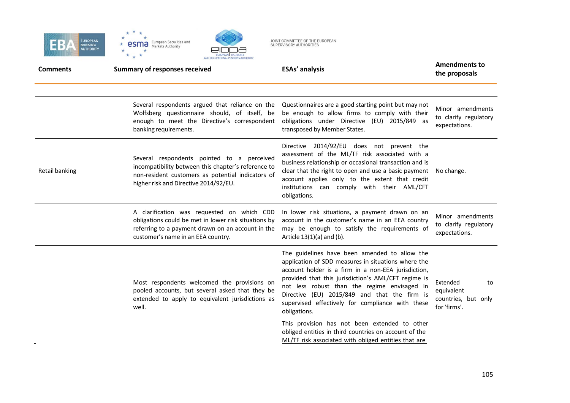





| <b>Comments</b> | <b>Summary of responses received</b>                                                                                                                                                            | <b>ESAs' analysis</b>                                                                                                                                                                                                                                                                                                                                                                  | <b>Amendments to</b><br>the proposals                               |
|-----------------|-------------------------------------------------------------------------------------------------------------------------------------------------------------------------------------------------|----------------------------------------------------------------------------------------------------------------------------------------------------------------------------------------------------------------------------------------------------------------------------------------------------------------------------------------------------------------------------------------|---------------------------------------------------------------------|
|                 | Several respondents argued that reliance on the<br>Wolfsberg questionnaire should, of itself, be<br>enough to meet the Directive's correspondent<br>banking requirements.                       | Questionnaires are a good starting point but may not<br>be enough to allow firms to comply with their<br>obligations under Directive (EU) 2015/849 as<br>transposed by Member States.                                                                                                                                                                                                  | Minor amendments<br>to clarify regulatory<br>expectations.          |
| Retail banking  | Several respondents pointed to a perceived<br>incompatibility between this chapter's reference to<br>non-resident customers as potential indicators of<br>higher risk and Directive 2014/92/EU. | Directive 2014/92/EU does not prevent the<br>assessment of the ML/TF risk associated with a<br>business relationship or occasional transaction and is<br>clear that the right to open and use a basic payment<br>account applies only to the extent that credit<br>institutions can comply with their AML/CFT<br>obligations.                                                          | No change.                                                          |
|                 | A clarification was requested on which CDD<br>obligations could be met in lower risk situations by<br>referring to a payment drawn on an account in the<br>customer's name in an EEA country.   | In lower risk situations, a payment drawn on an<br>account in the customer's name in an EEA country<br>may be enough to satisfy the requirements of<br>Article $13(1)(a)$ and (b).                                                                                                                                                                                                     | Minor amendments<br>to clarify regulatory<br>expectations.          |
|                 | Most respondents welcomed the provisions on<br>pooled accounts, but several asked that they be<br>extended to apply to equivalent jurisdictions as<br>well.                                     | The guidelines have been amended to allow the<br>application of SDD measures in situations where the<br>account holder is a firm in a non-EEA jurisdiction,<br>provided that this jurisdiction's AML/CFT regime is<br>not less robust than the regime envisaged in<br>Directive (EU) 2015/849 and that the firm is<br>supervised effectively for compliance with these<br>obligations. | Extended<br>to<br>equivalent<br>countries, but only<br>for 'firms'. |
|                 |                                                                                                                                                                                                 | This provision has not been extended to other<br>obliged entities in third countries on account of the<br>ML/TF risk associated with obliged entities that are                                                                                                                                                                                                                         |                                                                     |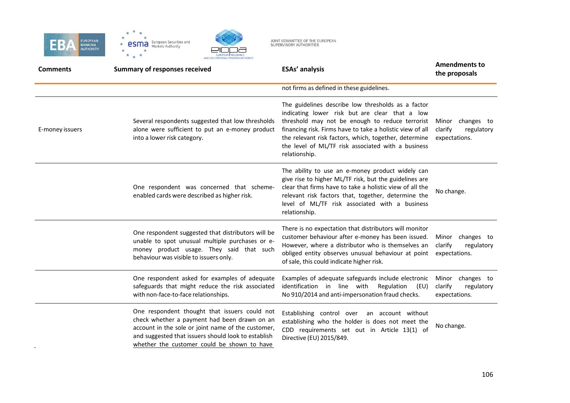





| <b>Comments</b> | <b>Summary of responses received</b>                                                                                                                                                                                                                      | <b>ESAs' analysis</b>                                                                                                                                                                                                                                                                                                                                | <b>Amendments to</b><br>the proposals                         |
|-----------------|-----------------------------------------------------------------------------------------------------------------------------------------------------------------------------------------------------------------------------------------------------------|------------------------------------------------------------------------------------------------------------------------------------------------------------------------------------------------------------------------------------------------------------------------------------------------------------------------------------------------------|---------------------------------------------------------------|
|                 |                                                                                                                                                                                                                                                           | not firms as defined in these guidelines.                                                                                                                                                                                                                                                                                                            |                                                               |
| E-money issuers | Several respondents suggested that low thresholds<br>alone were sufficient to put an e-money product<br>into a lower risk category.                                                                                                                       | The guidelines describe low thresholds as a factor<br>indicating lower risk but are clear that a low<br>threshold may not be enough to reduce terrorist<br>financing risk. Firms have to take a holistic view of all<br>the relevant risk factors, which, together, determine<br>the level of ML/TF risk associated with a business<br>relationship. | changes to<br>Minor<br>clarify<br>regulatory<br>expectations. |
|                 | One respondent was concerned that scheme-<br>enabled cards were described as higher risk.                                                                                                                                                                 | The ability to use an e-money product widely can<br>give rise to higher ML/TF risk, but the guidelines are<br>clear that firms have to take a holistic view of all the<br>relevant risk factors that, together, determine the<br>level of ML/TF risk associated with a business<br>relationship.                                                     | No change.                                                    |
|                 | One respondent suggested that distributors will be<br>unable to spot unusual multiple purchases or e-<br>money product usage. They said that such<br>behaviour was visible to issuers only.                                                               | There is no expectation that distributors will monitor<br>customer behaviour after e-money has been issued.<br>However, where a distributor who is themselves an<br>obliged entity observes unusual behaviour at point<br>of sale, this could indicate higher risk.                                                                                  | Minor changes to<br>clarify<br>regulatory<br>expectations.    |
|                 | One respondent asked for examples of adequate<br>safeguards that might reduce the risk associated<br>with non-face-to-face relationships.                                                                                                                 | Examples of adequate safeguards include electronic<br>identification in line with<br>Regulation<br>(EU)<br>No 910/2014 and anti-impersonation fraud checks.                                                                                                                                                                                          | Minor changes to<br>clarify<br>regulatory<br>expectations.    |
|                 | One respondent thought that issuers could not<br>check whether a payment had been drawn on an<br>account in the sole or joint name of the customer,<br>and suggested that issuers should look to establish<br>whether the customer could be shown to have | Establishing control over<br>an account without<br>establishing who the holder is does not meet the<br>CDD requirements set out in Article 13(1) of<br>Directive (EU) 2015/849.                                                                                                                                                                      | No change.                                                    |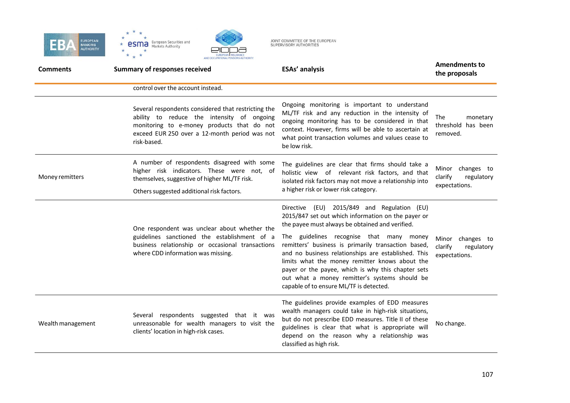



| <b>Comments</b>   | <b>Summary of responses received</b>                                                                                                                                                                            | <b>ESAs' analysis</b>                                                                                                                                                                                                                                                                                                                                                                                                                                                                                              | <b>Amendments to</b><br>the proposals                      |
|-------------------|-----------------------------------------------------------------------------------------------------------------------------------------------------------------------------------------------------------------|--------------------------------------------------------------------------------------------------------------------------------------------------------------------------------------------------------------------------------------------------------------------------------------------------------------------------------------------------------------------------------------------------------------------------------------------------------------------------------------------------------------------|------------------------------------------------------------|
|                   | control over the account instead.                                                                                                                                                                               |                                                                                                                                                                                                                                                                                                                                                                                                                                                                                                                    |                                                            |
|                   | Several respondents considered that restricting the<br>ability to reduce the intensity of ongoing<br>monitoring to e-money products that do not<br>exceed EUR 250 over a 12-month period was not<br>risk-based. | Ongoing monitoring is important to understand<br>ML/TF risk and any reduction in the intensity of<br>ongoing monitoring has to be considered in that<br>context. However, firms will be able to ascertain at<br>what point transaction volumes and values cease to<br>be low risk.                                                                                                                                                                                                                                 | <b>The</b><br>monetary<br>threshold has been<br>removed.   |
| Money remitters   | A number of respondents disagreed with some<br>higher risk indicators. These were not, of<br>themselves, suggestive of higher ML/TF risk.<br>Others suggested additional risk factors.                          | The guidelines are clear that firms should take a<br>holistic view of relevant risk factors, and that<br>isolated risk factors may not move a relationship into<br>a higher risk or lower risk category.                                                                                                                                                                                                                                                                                                           | Minor changes to<br>clarify<br>regulatory<br>expectations. |
|                   | One respondent was unclear about whether the<br>guidelines sanctioned the establishment of a<br>business relationship or occasional transactions<br>where CDD information was missing.                          | Directive (EU) 2015/849 and Regulation (EU)<br>2015/847 set out which information on the payer or<br>the payee must always be obtained and verified.<br>The guidelines recognise that many money<br>remitters' business is primarily transaction based,<br>and no business relationships are established. This<br>limits what the money remitter knows about the<br>payer or the payee, which is why this chapter sets<br>out what a money remitter's systems should be<br>capable of to ensure ML/TF is detected. | Minor changes to<br>clarify<br>regulatory<br>expectations. |
| Wealth management | Several respondents suggested that it was<br>unreasonable for wealth managers to visit the<br>clients' location in high-risk cases.                                                                             | The guidelines provide examples of EDD measures<br>wealth managers could take in high-risk situations,<br>but do not prescribe EDD measures. Title II of these<br>guidelines is clear that what is appropriate will<br>depend on the reason why a relationship was<br>classified as high risk.                                                                                                                                                                                                                     | No change.                                                 |